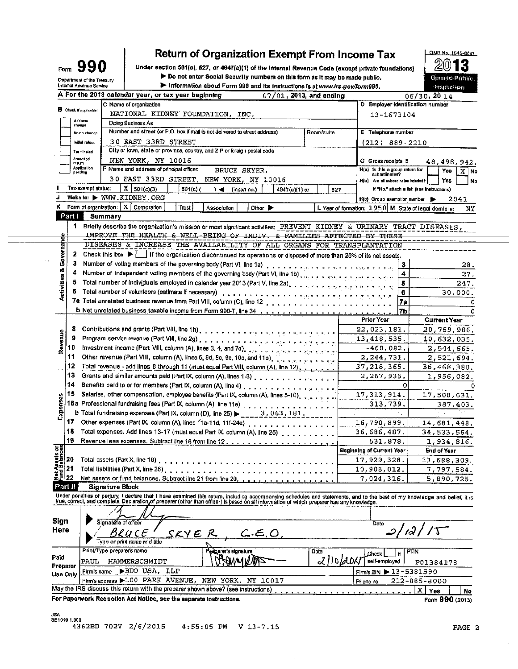# **Return of Organization Exempt From Income Tax**

Under section 501(c), 527, or 4947(a)(1) of the Internal Revenue Code (except private foundations) > Do not enter Social Security numbers on this form as it may be made public. 'n.



Form  $990$ 

÷.

|  |  | Information about Form 990 and its instructions is at www.irs.gov/form99 |  |
|--|--|--------------------------------------------------------------------------|--|
|  |  |                                                                          |  |



|                                                                                  | A For the 2013 catendar year, or tax year beginning<br>$07/01$ , 2013, and ending                                                                                                                                                 |            |                                                      |                   | наружить, п<br>06/30, 2014                       |
|----------------------------------------------------------------------------------|-----------------------------------------------------------------------------------------------------------------------------------------------------------------------------------------------------------------------------------|------------|------------------------------------------------------|-------------------|--------------------------------------------------|
|                                                                                  | C Name of organization                                                                                                                                                                                                            |            | D Employer identification number                     |                   |                                                  |
| <b>B</b> Check if applicable:                                                    | NATIONAL KIDNEY FOUNDATION, INC.                                                                                                                                                                                                  |            | 13-1673104                                           |                   |                                                  |
| Address<br>change                                                                | Doing Business As                                                                                                                                                                                                                 |            |                                                      |                   |                                                  |
| Name change                                                                      | Number and street (or P.O. box if mail is not delivered to street address)                                                                                                                                                        | Room/sulte | <b>E</b> Telephone number                            |                   |                                                  |
| Initial return                                                                   | 30 EAST 33RD STREET                                                                                                                                                                                                               |            | $(212)$ 889-2210                                     |                   |                                                  |
| Terminated                                                                       | City or town, state or province, country, and ZIP or foreign postal code                                                                                                                                                          |            |                                                      |                   |                                                  |
| Amonded                                                                          | NEW YORK, NY 10016                                                                                                                                                                                                                |            | G Gross receipts \$                                  |                   | 48, 498, 942.                                    |
| relum<br>Application                                                             | F Name and address of principal officer:<br>BRUCE SKYER,                                                                                                                                                                          |            | H(a) is this a group return for                      |                   | Yes<br>X.<br>No.                                 |
| pending                                                                          | 30 EAST 33RD STREET, NEW YORK, NY 10016                                                                                                                                                                                           |            | subordinates?<br>H(b) Arc all subordinates included? |                   | Yes                                              |
| Tax-exempt status:                                                               | X   501(c)(3)<br>501(c) (<br>$) \triangleleft$ (inserting.)<br>4947(a)(1) or                                                                                                                                                      | 527        |                                                      |                   | No<br>It "No," attach a list. (see instructions) |
|                                                                                  | Website: WWW.KIDNEY.ORG                                                                                                                                                                                                           |            | H(c) Group exemption number                          |                   | 2041                                             |
|                                                                                  | K Form of organization: $\mid X \mid$ Corporation<br>Trust  <br>Other $\blacktriangleright$<br>Association                                                                                                                        |            | L Year of formation: 1950 M State of legal domicile: |                   | NΥ                                               |
| Part I                                                                           | Summary                                                                                                                                                                                                                           |            |                                                      |                   |                                                  |
|                                                                                  | 1 Briefly describe the organization's mission or most significant activities: PREVENT KIDNEY & URINARY TRACT DISEASES,                                                                                                            |            |                                                      |                   |                                                  |
|                                                                                  | IMPROVE THE HEALTH & WELL-BEING OF INDIV. & FAMILIES AFFECTED BY THESE                                                                                                                                                            |            |                                                      |                   |                                                  |
| Governance                                                                       | DISEASES & INCREASE THE AVAILABILITY OF ALL ORGANS FOR TRANSPLANTATION                                                                                                                                                            |            |                                                      |                   |                                                  |
|                                                                                  | 2 Check this box $\blacktriangleright$ if the organization discontinued its operations or disposed of more than 25% of its net assets.                                                                                            |            |                                                      |                   |                                                  |
|                                                                                  |                                                                                                                                                                                                                                   |            |                                                      |                   |                                                  |
|                                                                                  | 4 Number of independent voting members of the governing body (Part VI, line 1b)                                                                                                                                                   |            |                                                      | 3<br>4            | 28.                                              |
|                                                                                  | 5 Total number of individuals employed in calendar year 2013 (Part V, line 2a) entitled as a state of the                                                                                                                         |            |                                                      |                   | 27.                                              |
| Activities &                                                                     |                                                                                                                                                                                                                                   |            |                                                      | 5<br>6            | 247.                                             |
|                                                                                  | Total number of volunteers (estimate if necessary) product of the state of the state of the state of the state of the state of the state of the state of the state of the state of the state of the state of the state of the     |            |                                                      |                   | 30,000.                                          |
|                                                                                  |                                                                                                                                                                                                                                   |            |                                                      | 7э                | ٥                                                |
|                                                                                  |                                                                                                                                                                                                                                   |            | Prior Year                                           | 7Ь                | ٥<br><b>Current Year</b>                         |
|                                                                                  |                                                                                                                                                                                                                                   |            |                                                      |                   |                                                  |
| Revenue<br>9                                                                     |                                                                                                                                                                                                                                   |            | 22,023,181.                                          |                   | 20,769,986.                                      |
| 10                                                                               |                                                                                                                                                                                                                                   |            | 13, 418, 535.                                        |                   | 10,632,035.                                      |
| 11                                                                               | Investment income (Part VIII, column (A), lines 3, 4, and 7d), and $\frac{1}{2}$ are proposed to a general group                                                                                                                  |            | -468,082.                                            |                   | 2,544,665.                                       |
| 12                                                                               | Other revenue (Part VIII, column (A), lines 5, 6d, 8c, 9c, 10c, and 11e). Contract and the state                                                                                                                                  |            | 2,244,731.                                           |                   | 2,521,694.                                       |
| 13                                                                               | Total revenue - add lines 8 through 11 (must equal Part VIII, column (A), line 12),                                                                                                                                               |            | 37,218,365.                                          |                   | 36,468,380.                                      |
| 14                                                                               | Grants and similar amounts paid (Part IX, column (A), lines 1-3)                                                                                                                                                                  |            | 2,267,935.                                           |                   | 1,956,082.                                       |
| 15                                                                               |                                                                                                                                                                                                                                   |            |                                                      | $\mathbf{O}$      |                                                  |
|                                                                                  | Salaries, other compensation, employee benefits (Part IX, column (A), lines 5-10), $\frac{1}{2}$ , $\frac{1}{2}$ , $\frac{1}{2}$                                                                                                  |            | 17,313,914.                                          |                   | 17,508,631.                                      |
| Expenses                                                                         | 16a Professional fundraising fees (Part IX, column (A), line 11e), prototion of the context of the context of                                                                                                                     |            | 313,739.                                             |                   | 387,403.                                         |
|                                                                                  | <b>b</b> Total fundraising expenses (Part IX, column (D), line 25) $\blacktriangleright$ ____3, 063, 181,                                                                                                                         |            |                                                      |                   |                                                  |
|                                                                                  | 17 Other expenses (Part IX, column (A), lines 11a-11d, 11f-24e)                                                                                                                                                                   |            | 16,790.899.                                          |                   | 14,681,448.                                      |
| 18                                                                               | Total expenses. Add lines 13-17 (must equal Part IX, column (A), line 25)                                                                                                                                                         |            | 36,686,487.                                          |                   | 34,533,564.                                      |
| 19                                                                               |                                                                                                                                                                                                                                   |            | 531.878.                                             |                   | 1,934,816.                                       |
| ssets or                                                                         |                                                                                                                                                                                                                                   |            | <b>Beginning of Current Year</b>                     |                   | End of Year                                      |
| 20<br>2m                                                                         |                                                                                                                                                                                                                                   |            | 17,929,328.                                          |                   | 13,688,309.                                      |
| $\begin{array}{c}\n\frac{25}{12} \\ \frac{25}{12} \\ \frac{22}{12}\n\end{array}$ | Total liabilities (Part X, line 26)                                                                                                                                                                                               |            | 10,905,012.                                          |                   | 7,797,584.                                       |
|                                                                                  | Net assets or fund balances. Subtract line 21 from line 20,                                                                                                                                                                       |            | 7,024,316.                                           |                   | 5,890,725.                                       |
| <b>Part II</b>                                                                   | Signature Block                                                                                                                                                                                                                   |            |                                                      |                   |                                                  |
|                                                                                  | Under penalties of perjury, I declare that I have examined this return, including accompanying schedules and statements, and to the best of my knowledge and belief, it is<br>true, correct, and complete Declaration of preparer |            |                                                      |                   |                                                  |
|                                                                                  |                                                                                                                                                                                                                                   |            |                                                      |                   |                                                  |
| <b>Sign</b>                                                                      | Signature of officer                                                                                                                                                                                                              |            |                                                      |                   |                                                  |
| Неге                                                                             |                                                                                                                                                                                                                                   |            | Date                                                 | ر جہا             |                                                  |
|                                                                                  | SKY E R<br>C.E.O                                                                                                                                                                                                                  |            |                                                      |                   |                                                  |
|                                                                                  | Type or print name and title                                                                                                                                                                                                      |            |                                                      |                   |                                                  |
|                                                                                  | Print/Type preparer's name<br>Pregarer's signature                                                                                                                                                                                | Date       | Check                                                | <b>PTIN</b><br>if |                                                  |
|                                                                                  |                                                                                                                                                                                                                                   |            |                                                      |                   |                                                  |
| Paid<br>PAUL<br>Preparer                                                         | HAMMERSCHMIDT                                                                                                                                                                                                                     | 2/10/201   | self-employed                                        |                   | P01384178                                        |

For Paperwork Reduction Act Notice, see the separate instructions.

 $212 - 885 - 8000$ 

 $\sqrt{X}$  Yes

Phone no.

May the IRS discuss this return with the preparer shown above? (see instructions)

Firm's address >100 PARK AVENUE, NEW YORK, NY 10017

**No**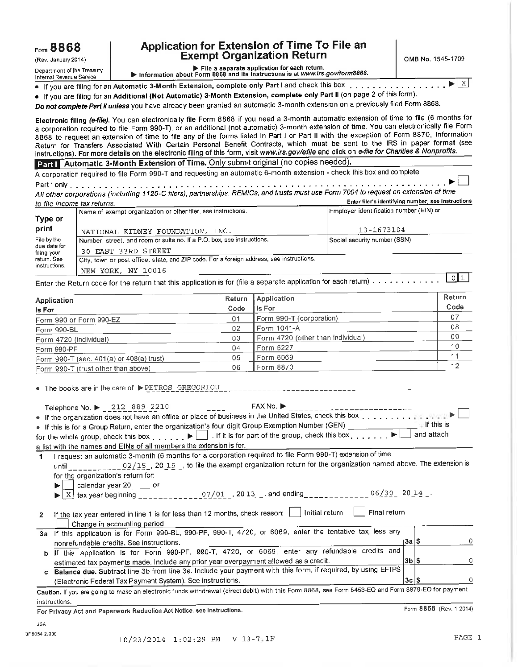Department of the Treasury Internal Revenue Service

## **Application for Extension of Time To File an Exempt Organization Return**

**OMB** No. 1545-1709

▶ File a separate application for each return.<br>▶ Information about Form 8868 and its instructions is at *www.irs.gov/form8868.* 

• If you are filing for an **Automatic 3-Month Extension, complete only Part I** and check this box .................................................. 0. X

• If you are filing for an **Additional (Not Automatic) 3-Month Extension, complete only Part II** (on page 2 of this form).

**Do not complete Part II unless** you have already been granted an automatic 3-month extension on a previously filed Form 8868.

**Electronic filing (e-file).** You can electronically file Form 8868 if you need a 3-month automatic extension of time to file (6 months for a corporation required to file Form 990-T), or an additional (not automatic) 3-month extension of time. You can electronically file Form 8868 to request an extension of time to file any of the forms listed in Part I or Part II with the exception of Form 8870, Information Return for Transfers Associated With Certain Personal Benefit Contracts, which must be sent to the IRS in paper format (see instructions). For more details on the electronic filing of this form, visit www.irs.gov/efile and click on e-file for Charities & Nonprofits.

**Part I Automatic 3-Month Extension of Time.** Only submit original (no copies needed).

A corporation required to file Form 990-T and requesting an automatic 6-month extension - check this box and complete Part I only ......................................................................................................................................................................................................

**All** other corporations (including 1120-C filers), partnerships, REM/Cs, and trusts must use Form 7004 to request an extension of time to file income tax returns. **Enter filer's identifying number, see instructions** 

|                                                                                                | Name of exempt organization or other filer, see instructions.                            | Employer identification number (EIN) or |
|------------------------------------------------------------------------------------------------|------------------------------------------------------------------------------------------|-----------------------------------------|
|                                                                                                |                                                                                          |                                         |
|                                                                                                | NATIONAL KIDNEY FOUNDATION, INC.                                                         | 13-1673104                              |
|                                                                                                | Number, street, and room or suite no. If a P.O. box, see instructions.                   | Social security number (SSN)            |
| Type or<br>print<br>File by the<br>due date for<br>filing your<br>return. See<br>instructions. | 30 EAST 33RD STREET                                                                      |                                         |
|                                                                                                | City, town or post office, state, and ZIP code. For a foreign address, see instructions. |                                         |
|                                                                                                | NEW YORK, NY 10016                                                                       |                                         |

Enter the Return code for the return that this application is for (file a separate application for each return) . . . . . . . . . . . . . . <u>I O</u>I<sub>I</sub>

| Application                                  | Return | <b>Application</b>                | Return |
|----------------------------------------------|--------|-----------------------------------|--------|
| Is For                                       | Code   | l Is For                          | Code   |
| Form 990 or Form 990-EZ                      | 01     | Form 990-T (corporation)          | 07     |
| Form 990-BL                                  | 02     | <b>Form 1041-A</b>                | 08     |
| Form 4720 (individual)                       | 03     | Form 4720 (other than individual) | 09     |
| Form 990-PF                                  | 04     | Form 5227                         | 10     |
| Form 990-T (sec. $401(a)$ or $408(a)$ trust) | 05     | Form 6069                         |        |
| Form 990-T (trust other than above)          | 06     | Form 8870                         | 12     |

• The books are in the care of  $\blacktriangleright$  PETROS GREGORIOU  $\Box$ 

| FAX No.<br>Telephone No. $\blacktriangleright$ 212 889-2210                                                                                 |             |  |
|---------------------------------------------------------------------------------------------------------------------------------------------|-------------|--|
| $\bullet$ If the organization does not have an office or place of business in the United States, check this box $\ldots \ldots \ldots$      |             |  |
| • If this is for a Group Return, enter the organization's four digit Group Exemption Number (GEN)                                           | lf this is: |  |
| for the whole group, check this box $\blacktriangleright$ . If it is for part of the group, check this box $\blacktriangleright$ and attach |             |  |
| a list with the names and EINs of all members the extension is for.                                                                         |             |  |
| If the success and utemptic 2 menth (6 menths for a corporation required to file Form 000-T) extension of time                              |             |  |

1 I request an automatic 3-month (6 months for a corporation required to file Form 990-T) extension of time until  $22/15$ ,  $20/15$ ,  $20/15$ , to file the exempt organization return for the organization named above. The extension is for the organization's return for:  $\begin{array}{r} \n\text{F} \n\end{array}$  is the extension is the extension of the theory of the theory of the state of the state of the state of the state of the state of the state of the state of the state of the state of the state of th

calendar year 20 or ▶  $\boxed{X}$  tax year beginning \_\_\_\_\_\_\_\_\_\_\_\_\_\_\_07/01 , 20 13 \_, and ending \_\_\_\_\_\_\_\_\_\_\_\_\_06/30 , 20 14 \_. ь

| 2 If the tax year entered in line 1 is for less than 12 months, check reason: 1 Initial return 1 Final return                                                                                                                        |  |
|--------------------------------------------------------------------------------------------------------------------------------------------------------------------------------------------------------------------------------------|--|
| <u>in the community of the community of the community of the community of the community of the community of the community of the community of the community of the community of the community of the community of the community </u> |  |

- Change in accounting period 3a If this application is for Form 990-BL, 990-PF, 990-T, 4720, or 6069, enter the tentative tax, less any nonrefundable credits. See instructions.  $3a|$$
- erganization<br>
deturn<br>
tentative tart<br>
tentative tart<br>
fundable<br>
deturned, by u **b** If this application is for Form 990-PF, 990-T, 4720, or 6069, enter any refundable credits and estimated tax payments made. Include any prior year overpayment allowed as a credit. **3b**  O **c Balance due.**  Subtract line 3b from line 3a. Include your payment with this form, if required, by using EFTPS

(Electronic Federal Tax Payment System). See instructions. O **3c Caution. If you** are going to make an electronic funds withdrawal (direct debit) with this Form 8868, see Form 8453-EO and Form 8879-E0 for payment instructions.

**For Privacy Act and Paperwork Reduction Act Notice, see instructions. <b>For Privacy Act and Paperwork Reduction Act Notice, see instructions. Form 8868** (Rev. 1-2014)

iSA 3F8054 2.000 0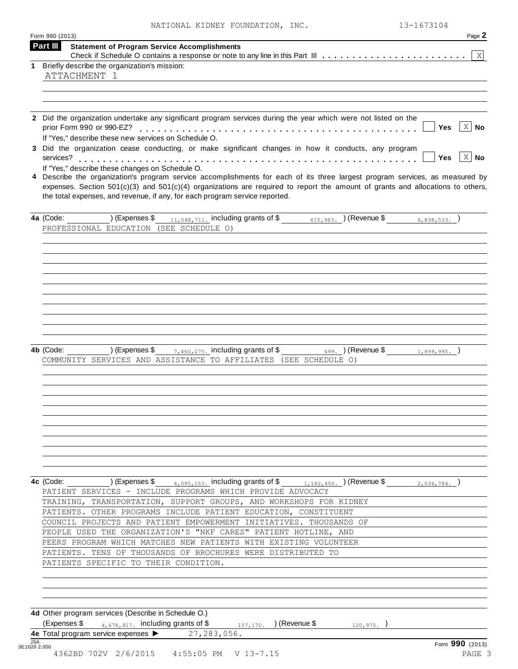|  |  | NATIONAL KIDNEY FOUNDATION, INC |  |
|--|--|---------------------------------|--|
|--|--|---------------------------------|--|

|   | 13-1673104<br>NATIONAL KIDNEY FOUNDATION, INC.                                                                                                                                                                                                                     |
|---|--------------------------------------------------------------------------------------------------------------------------------------------------------------------------------------------------------------------------------------------------------------------|
|   | Form 990 (2013)<br>Page 2<br><b>Part III</b>                                                                                                                                                                                                                       |
|   | <b>Statement of Program Service Accomplishments</b><br>Χ                                                                                                                                                                                                           |
| 1 | Briefly describe the organization's mission:                                                                                                                                                                                                                       |
|   | ATTACHMENT 1                                                                                                                                                                                                                                                       |
|   |                                                                                                                                                                                                                                                                    |
|   |                                                                                                                                                                                                                                                                    |
|   | 2 Did the organization undertake any significant program services during the year which were not listed on the                                                                                                                                                     |
|   | $\mathbf{X}$<br>prior Form 990 or 990-EZ?<br>Yes<br>No                                                                                                                                                                                                             |
|   | If "Yes," describe these new services on Schedule O.                                                                                                                                                                                                               |
|   | 3 Did the organization cease conducting, or make significant changes in how it conducts, any program                                                                                                                                                               |
|   | $X \mid N$ o<br>services?<br>Yes                                                                                                                                                                                                                                   |
|   | If "Yes," describe these changes on Schedule O.                                                                                                                                                                                                                    |
|   | 4 Describe the organization's program service accomplishments for each of its three largest program services, as measured by<br>expenses. Section $501(c)(3)$ and $501(c)(4)$ organizations are required to report the amount of grants and allocations to others, |
|   | the total expenses, and revenue, if any, for each program service reported.                                                                                                                                                                                        |
|   |                                                                                                                                                                                                                                                                    |
|   | 4a (Code:<br>) (Expenses \$<br>11,048,711. including grants of \$<br>) (Revenue \$<br>615,963.<br>6,838,533.                                                                                                                                                       |
|   | PROFESSIONAL EDUCATION (SEE SCHEDULE O)                                                                                                                                                                                                                            |
|   |                                                                                                                                                                                                                                                                    |
|   |                                                                                                                                                                                                                                                                    |
|   |                                                                                                                                                                                                                                                                    |
|   |                                                                                                                                                                                                                                                                    |
|   |                                                                                                                                                                                                                                                                    |
|   |                                                                                                                                                                                                                                                                    |
|   |                                                                                                                                                                                                                                                                    |
|   |                                                                                                                                                                                                                                                                    |
|   |                                                                                                                                                                                                                                                                    |
|   |                                                                                                                                                                                                                                                                    |
|   |                                                                                                                                                                                                                                                                    |
|   |                                                                                                                                                                                                                                                                    |
|   | including grants of \$<br>4b (Code:<br>) (Expenses \$<br>(Revenue \$<br>7,460,275.<br>499.<br>1,899,995.<br>(SEE SCHEDULE O)                                                                                                                                       |
|   | COMMUNITY SERVICES AND ASSISTANCE TO AFFILIATES                                                                                                                                                                                                                    |
|   |                                                                                                                                                                                                                                                                    |
|   |                                                                                                                                                                                                                                                                    |
|   |                                                                                                                                                                                                                                                                    |
|   |                                                                                                                                                                                                                                                                    |
|   |                                                                                                                                                                                                                                                                    |
|   |                                                                                                                                                                                                                                                                    |
|   |                                                                                                                                                                                                                                                                    |
|   |                                                                                                                                                                                                                                                                    |
|   |                                                                                                                                                                                                                                                                    |
|   |                                                                                                                                                                                                                                                                    |
|   | ) (Expenses $\frac{2}{3}$ $\frac{4,095,153}{2}$ including grants of $\frac{2}{3}$ $\frac{1,182,450}{2}$ ) (Revenue \$<br>4c (Code:<br>2,034,784.                                                                                                                   |
|   | PATIENT SERVICES - INCLUDE PROGRAMS WHICH PROVIDE ADVOCACY                                                                                                                                                                                                         |
|   | TRAINING, TRANSPORTATION, SUPPORT GROUPS, AND WORKSHOPS FOR KIDNEY                                                                                                                                                                                                 |
|   | PATIENTS. OTHER PROGRAMS INCLUDE PATIENT EDUCATION, CONSTITUENT                                                                                                                                                                                                    |
|   | COUNCIL PROJECTS AND PATIENT EMPOWERMENT INITIATIVES. THOUSANDS OF                                                                                                                                                                                                 |
|   | PEOPLE USED THE ORGANIZATION'S "NKF CARES" PATIENT HOTLINE, AND                                                                                                                                                                                                    |
|   | PEERS PROGRAM WHICH MATCHES NEW PATIENTS WITH EXISTING VOLUNTEER                                                                                                                                                                                                   |
|   | PATIENTS. TENS OF THOUSANDS OF BROCHURES WERE DISTRIBUTED TO                                                                                                                                                                                                       |
|   | PATIENTS SPECIFIC TO THEIR CONDITION.                                                                                                                                                                                                                              |
|   |                                                                                                                                                                                                                                                                    |
|   |                                                                                                                                                                                                                                                                    |
|   |                                                                                                                                                                                                                                                                    |
|   |                                                                                                                                                                                                                                                                    |
|   | 4d Other program services (Describe in Schedule O.)<br>(Expenses \$ $4,678,917$ including grants of \$<br>) (Revenue \$<br>157, 170.<br>120,970.                                                                                                                   |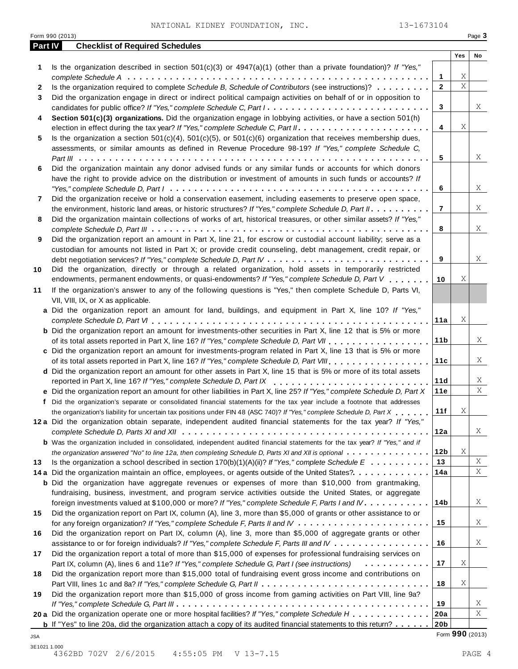|                | 13-1673104<br>NATIONAL KIDNEY FOUNDATION, INC.<br>Form 990 (2013)                                                                   |                 |           | Page 3       |
|----------------|-------------------------------------------------------------------------------------------------------------------------------------|-----------------|-----------|--------------|
| <b>Part IV</b> | <b>Checklist of Required Schedules</b>                                                                                              |                 |           |              |
|                |                                                                                                                                     |                 | Yes       | No           |
| 1              | Is the organization described in section $501(c)(3)$ or $4947(a)(1)$ (other than a private foundation)? If "Yes,"                   |                 |           |              |
|                |                                                                                                                                     | 1               | Χ         |              |
| 2              | Is the organization required to complete Schedule B, Schedule of Contributors (see instructions)?                                   | $\overline{2}$  | $\bar{X}$ |              |
| 3              | Did the organization engage in direct or indirect political campaign activities on behalf of or in opposition to                    |                 |           |              |
|                | candidates for public office? If "Yes," complete Schedule C, Part I.                                                                | 3               |           | Χ            |
| 4              | Section 501(c)(3) organizations. Did the organization engage in lobbying activities, or have a section 501(h)                       |                 |           |              |
|                |                                                                                                                                     | 4               | X         |              |
| 5              | Is the organization a section $501(c)(4)$ , $501(c)(5)$ , or $501(c)(6)$ organization that receives membership dues,                |                 |           |              |
|                | assessments, or similar amounts as defined in Revenue Procedure 98-19? If "Yes," complete Schedule C,                               |                 |           |              |
|                |                                                                                                                                     | 5               |           | Χ            |
| 6              | Did the organization maintain any donor advised funds or any similar funds or accounts for which donors                             |                 |           |              |
|                | have the right to provide advice on the distribution or investment of amounts in such funds or accounts? If                         |                 |           |              |
|                |                                                                                                                                     | 6               |           | Χ            |
| 7              | Did the organization receive or hold a conservation easement, including easements to preserve open space,                           |                 |           |              |
|                | the environment, historic land areas, or historic structures? If "Yes," complete Schedule D, Part II.                               | 7               |           | Χ            |
| 8              | Did the organization maintain collections of works of art, historical treasures, or other similar assets? If "Yes,"                 |                 |           |              |
|                |                                                                                                                                     | 8               |           | Χ            |
| 9              | Did the organization report an amount in Part X, line 21, for escrow or custodial account liability; serve as a                     |                 |           |              |
|                | custodian for amounts not listed in Part X; or provide credit counseling, debt management, credit repair, or                        |                 |           |              |
|                |                                                                                                                                     | 9               |           | Χ            |
| 10             | Did the organization, directly or through a related organization, hold assets in temporarily restricted                             |                 |           |              |
|                | endowments, permanent endowments, or quasi-endowments? If "Yes," complete Schedule D, Part V                                        | 10              | Χ         |              |
| 11             | If the organization's answer to any of the following questions is "Yes," then complete Schedule D, Parts VI,                        |                 |           |              |
|                | VII, VIII, IX, or X as applicable.                                                                                                  |                 |           |              |
|                | a Did the organization report an amount for land, buildings, and equipment in Part X, line 10? If "Yes,"                            |                 |           |              |
|                |                                                                                                                                     | 11a             | Χ         |              |
|                | <b>b</b> Did the organization report an amount for investments-other securities in Part X, line 12 that is 5% or more               |                 |           |              |
|                |                                                                                                                                     | 11 <sub>b</sub> |           | Χ            |
|                | of its total assets reported in Part X, line 16? If "Yes," complete Schedule D, Part VII                                            |                 |           |              |
|                | c Did the organization report an amount for investments-program related in Part X, line 13 that is 5% or more                       | 11c             |           | X            |
|                | of its total assets reported in Part X, line 16? If "Yes," complete Schedule D, Part VIII                                           |                 |           |              |
|                | d Did the organization report an amount for other assets in Part X, line 15 that is 5% or more of its total assets                  |                 |           |              |
|                | reported in Part X, line 16? If "Yes," complete Schedule D, Part IX                                                                 | 11d<br>11e      |           | Χ<br>$\rm X$ |
|                | e Did the organization report an amount for other liabilities in Part X, line 25? If "Yes," complete Schedule D, Part X             |                 |           |              |
|                | f Did the organization's separate or consolidated financial statements for the tax year include a footnote that addresses           |                 | Χ         |              |
|                | the organization's liability for uncertain tax positions under FIN 48 (ASC 740)? If "Yes," complete Schedule D, Part X              | 11f             |           |              |
|                | 12a Did the organization obtain separate, independent audited financial statements for the tax year? If "Yes,"                      |                 |           |              |
|                |                                                                                                                                     | 12a             |           | X            |
|                | <b>b</b> Was the organization included in consolidated, independent audited financial statements for the tax year? If "Yes," and if |                 |           |              |
|                | the organization answered "No" to line 12a, then completing Schedule D, Parts XI and XII is optional                                | 12b             | Χ         |              |
| 13             | Is the organization a school described in section $170(b)(1)(A)(ii)?$ If "Yes," complete Schedule E                                 | 13              |           | Χ            |
|                | 14 a Did the organization maintain an office, employees, or agents outside of the United States?                                    | 14a             |           | Χ            |
|                | <b>b</b> Did the organization have aggregate revenues or expenses of more than \$10,000 from grantmaking,                           |                 |           |              |
|                | fundraising, business, investment, and program service activities outside the United States, or aggregate                           |                 |           |              |
|                | foreign investments valued at \$100,000 or more? If "Yes," complete Schedule F, Parts I and IV.                                     | 14b             |           | X            |
| 15             | Did the organization report on Part IX, column (A), line 3, more than \$5,000 of grants or other assistance to or                   |                 |           |              |
|                |                                                                                                                                     | 15              |           | Χ            |
| 16             | Did the organization report on Part IX, column (A), line 3, more than \$5,000 of aggregate grants or other                          |                 |           |              |
|                | assistance to or for foreign individuals? If "Yes," complete Schedule F, Parts III and IV                                           | 16              |           | Χ            |
| 17             | Did the organization report a total of more than \$15,000 of expenses for professional fundraising services on                      |                 |           |              |
|                | Part IX, column (A), lines 6 and 11e? If "Yes," complete Schedule G, Part I (see instructions)<br>.                                 | 17              | Χ         |              |
| 18             | Did the organization report more than \$15,000 total of fundraising event gross income and contributions on                         |                 |           |              |
|                |                                                                                                                                     | 18              | Χ         |              |
| 19             | Did the organization report more than \$15,000 of gross income from gaming activities on Part VIII, line 9a?                        |                 |           |              |
|                |                                                                                                                                     | 19              |           | Χ            |
|                | 20 a Did the organization operate one or more hospital facilities? If "Yes," complete Schedule H                                    | 20a             |           | Χ            |
|                | <b>b</b> If "Yes" to line 20a, did the organization attach a copy of its audited financial statements to this return?               | 20 <sub>b</sub> |           |              |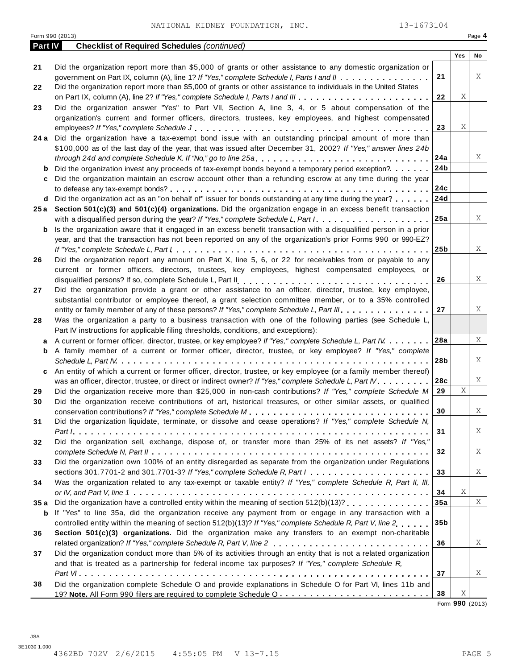|                | NATIONAL KIDNEY FOUNDATION, INC.<br>13-1673104<br>Form 990 (2013)                                                                                                                                                      |                 |                |                 |
|----------------|------------------------------------------------------------------------------------------------------------------------------------------------------------------------------------------------------------------------|-----------------|----------------|-----------------|
| <b>Part IV</b> | <b>Checklist of Required Schedules (continued)</b>                                                                                                                                                                     |                 |                | Page 4          |
|                |                                                                                                                                                                                                                        |                 | Yes            | No              |
| 21             | Did the organization report more than \$5,000 of grants or other assistance to any domestic organization or                                                                                                            |                 |                |                 |
|                | government on Part IX, column (A), line 1? If "Yes," complete Schedule I, Parts I and II                                                                                                                               | 21              |                | X               |
| 22             | Did the organization report more than \$5,000 of grants or other assistance to individuals in the United States                                                                                                        |                 | Χ              |                 |
| 23             | Did the organization answer "Yes" to Part VII, Section A, line 3, 4, or 5 about compensation of the                                                                                                                    | 22              |                |                 |
|                | organization's current and former officers, directors, trustees, key employees, and highest compensated                                                                                                                |                 |                |                 |
|                |                                                                                                                                                                                                                        | 23              | Χ              |                 |
|                | 24 a Did the organization have a tax-exempt bond issue with an outstanding principal amount of more than                                                                                                               |                 |                |                 |
|                | \$100,000 as of the last day of the year, that was issued after December 31, 2002? If "Yes," answer lines 24b                                                                                                          |                 |                |                 |
|                |                                                                                                                                                                                                                        | 24a             |                | X               |
| b              | Did the organization invest any proceeds of tax-exempt bonds beyond a temporary period exception?                                                                                                                      | 24b             |                |                 |
| c              | Did the organization maintain an escrow account other than a refunding escrow at any time during the year                                                                                                              |                 |                |                 |
|                |                                                                                                                                                                                                                        | 24c<br>24d      |                |                 |
| d<br>25 a      | Did the organization act as an "on behalf of" issuer for bonds outstanding at any time during the year?<br>Section 501(c)(3) and 501(c)(4) organizations. Did the organization engage in an excess benefit transaction |                 |                |                 |
|                | with a disqualified person during the year? If "Yes," complete Schedule L, Part I                                                                                                                                      | 25a             |                | X               |
| b              | Is the organization aware that it engaged in an excess benefit transaction with a disqualified person in a prior                                                                                                       |                 |                |                 |
|                | year, and that the transaction has not been reported on any of the organization's prior Forms 990 or 990-EZ?                                                                                                           |                 |                |                 |
|                |                                                                                                                                                                                                                        | 25 <sub>b</sub> |                | X               |
| 26             | Did the organization report any amount on Part X, line 5, 6, or 22 for receivables from or payable to any                                                                                                              |                 |                |                 |
|                | current or former officers, directors, trustees, key employees, highest compensated employees, or                                                                                                                      |                 |                |                 |
|                |                                                                                                                                                                                                                        | 26              |                | X               |
| 27             | Did the organization provide a grant or other assistance to an officer, director, trustee, key employee,                                                                                                               |                 |                |                 |
|                | substantial contributor or employee thereof, a grant selection committee member, or to a 35% controlled<br>entity or family member of any of these persons? If "Yes," complete Schedule L, Part III.                   | 27              |                | Χ               |
| 28             | Was the organization a party to a business transaction with one of the following parties (see Schedule L,                                                                                                              |                 |                |                 |
|                | Part IV instructions for applicable filing thresholds, conditions, and exceptions):                                                                                                                                    |                 |                |                 |
| a              | A current or former officer, director, trustee, or key employee? If "Yes," complete Schedule L, Part IV                                                                                                                | 28a             |                | X               |
| b              | A family member of a current or former officer, director, trustee, or key employee? If "Yes," complete                                                                                                                 |                 |                |                 |
|                |                                                                                                                                                                                                                        | 28b             |                | X               |
| c              | An entity of which a current or former officer, director, trustee, or key employee (or a family member thereof)                                                                                                        |                 |                |                 |
|                | was an officer, director, trustee, or direct or indirect owner? If "Yes," complete Schedule L, Part IV.<br>Did the organization receive more than \$25,000 in non-cash contributions? If "Yes," complete Schedule M    | 28c<br>29       | $\overline{X}$ | X               |
| 29<br>30       | Did the organization receive contributions of art, historical treasures, or other similar assets, or qualified                                                                                                         |                 |                |                 |
|                |                                                                                                                                                                                                                        | 30              |                | X               |
| 31             | Did the organization liquidate, terminate, or dissolve and cease operations? If "Yes," complete Schedule N,                                                                                                            |                 |                |                 |
|                |                                                                                                                                                                                                                        | 31              |                | X               |
| 32             | Did the organization sell, exchange, dispose of, or transfer more than 25% of its net assets? If "Yes,"                                                                                                                |                 |                |                 |
|                |                                                                                                                                                                                                                        | 32              |                | X               |
| 33             | Did the organization own 100% of an entity disregarded as separate from the organization under Regulations                                                                                                             |                 |                |                 |
|                | sections 301.7701-2 and 301.7701-3? If "Yes," complete Schedule R, Part $l_1, \ldots, l_l, l_l, \ldots, l_l, l_l, \ldots, l_l, l_l$                                                                                    | 33              |                | X               |
| 34             | Was the organization related to any tax-exempt or taxable entity? If "Yes," complete Schedule R, Part II, III,                                                                                                         | 34              | Χ              |                 |
| 35 a           | Did the organization have a controlled entity within the meaning of section 512(b)(13)?                                                                                                                                | 35a             |                | X               |
| b              | If "Yes" to line 35a, did the organization receive any payment from or engage in any transaction with a                                                                                                                |                 |                |                 |
|                | controlled entity within the meaning of section 512(b)(13)? If "Yes," complete Schedule R, Part V, line 2                                                                                                              | 35 <sub>b</sub> |                |                 |
| 36             | Section 501(c)(3) organizations. Did the organization make any transfers to an exempt non-charitable                                                                                                                   |                 |                |                 |
|                |                                                                                                                                                                                                                        | 36              |                | X               |
| 37             | Did the organization conduct more than 5% of its activities through an entity that is not a related organization                                                                                                       |                 |                |                 |
|                | and that is treated as a partnership for federal income tax purposes? If "Yes," complete Schedule R,                                                                                                                   |                 |                |                 |
|                | Did the organization complete Schedule O and provide explanations in Schedule O for Part VI, lines 11b and                                                                                                             | 37              |                | X               |
| 38             | 19? Note. All Form 990 filers are required to complete Schedule O.                                                                                                                                                     | 38              | Χ              |                 |
|                |                                                                                                                                                                                                                        |                 |                | Form 990 (2013) |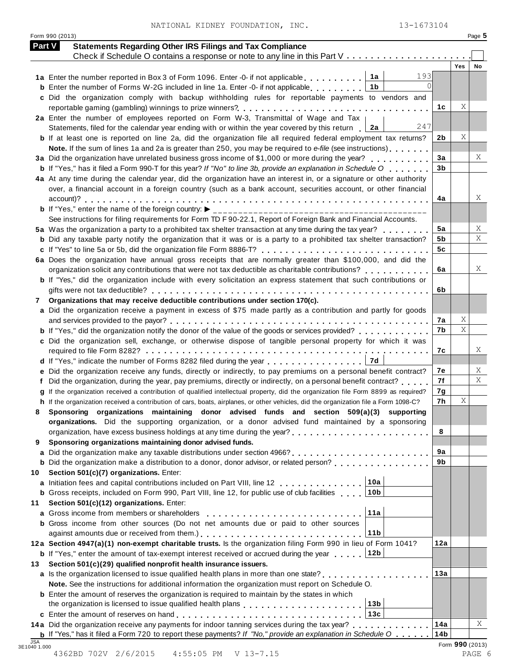|  | NATIONAL KIDNEY FOUNDATION, | INC |
|--|-----------------------------|-----|
|  |                             |     |

|    | 13-1673104<br>NATIONAL KIDNEY FOUNDATION, INC.<br>Form 990 (2013)                                                                                                                                             |                |                         | Page 5    |
|----|---------------------------------------------------------------------------------------------------------------------------------------------------------------------------------------------------------------|----------------|-------------------------|-----------|
|    | <b>Statements Regarding Other IRS Filings and Tax Compliance</b><br>Part V                                                                                                                                    |                |                         |           |
|    |                                                                                                                                                                                                               |                |                         |           |
|    |                                                                                                                                                                                                               |                | <b>Yes</b>              | <b>No</b> |
|    | 193<br>1a<br>1a Enter the number reported in Box 3 of Form 1096. Enter -0- if not applicable                                                                                                                  |                |                         |           |
|    | <b>b</b> Enter the number of Forms W-2G included in line 1a. Enter -0- if not applicable<br>1b                                                                                                                |                |                         |           |
|    | c Did the organization comply with backup withholding rules for reportable payments to vendors and                                                                                                            |                |                         |           |
|    |                                                                                                                                                                                                               | 1с             | Χ                       |           |
|    | 2a Enter the number of employees reported on Form W-3, Transmittal of Wage and Tax  <br>247                                                                                                                   |                |                         |           |
|    | Statements, filed for the calendar year ending with or within the year covered by this return   2a                                                                                                            |                | Χ                       |           |
|    | <b>b</b> If at least one is reported on line 2a, did the organization file all required federal employment tax returns?                                                                                       | 2b             |                         |           |
|    | Note. If the sum of lines 1a and 2a is greater than 250, you may be required to e-file (see instructions)<br>3a Did the organization have unrelated business gross income of \$1,000 or more during the year? | 3a             |                         |           |
|    | <b>b</b> If "Yes," has it filed a Form 990-T for this year? If "No" to line 3b, provide an explanation in Schedule O                                                                                          | 3 <sub>b</sub> |                         |           |
|    | 4a At any time during the calendar year, did the organization have an interest in, or a signature or other authority                                                                                          |                |                         |           |
|    | over, a financial account in a foreign country (such as a bank account, securities account, or other financial                                                                                                |                |                         |           |
|    |                                                                                                                                                                                                               | 4a             |                         |           |
|    | <b>b</b> If "Yes," enter the name of the foreign country: $\blacktriangleright$                                                                                                                               |                |                         |           |
|    | See instructions for filing requirements for Form TD F 90-22.1, Report of Foreign Bank and Financial Accounts.                                                                                                |                |                         |           |
|    | 5a Was the organization a party to a prohibited tax shelter transaction at any time during the tax year?                                                                                                      | 5a             |                         |           |
|    | <b>b</b> Did any taxable party notify the organization that it was or is a party to a prohibited tax shelter transaction?                                                                                     | 5b             |                         |           |
|    | c If "Yes" to line 5a or 5b, did the organization file Form 8886-T?                                                                                                                                           | 5c             |                         |           |
|    | 6a Does the organization have annual gross receipts that are normally greater than \$100,000, and did the                                                                                                     |                |                         |           |
|    |                                                                                                                                                                                                               | 6a             |                         |           |
|    | b If "Yes," did the organization include with every solicitation an express statement that such contributions or                                                                                              |                |                         |           |
|    |                                                                                                                                                                                                               | 6b             |                         |           |
| 7  | Organizations that may receive deductible contributions under section 170(c).                                                                                                                                 |                |                         |           |
|    | a Did the organization receive a payment in excess of \$75 made partly as a contribution and partly for goods                                                                                                 |                |                         |           |
|    |                                                                                                                                                                                                               | 7а             | Χ                       |           |
|    | <b>b</b> If "Yes," did the organization notify the donor of the value of the goods or services provided?                                                                                                      | 7b             | $\overline{\mathbf{x}}$ |           |
|    | c Did the organization sell, exchange, or otherwise dispose of tangible personal property for which it was                                                                                                    |                |                         |           |
|    |                                                                                                                                                                                                               | 7c             |                         |           |
|    | 7d<br>d If "Yes," indicate the number of Forms 8282 filed during the year                                                                                                                                     |                |                         |           |
|    | e Did the organization receive any funds, directly or indirectly, to pay premiums on a personal benefit contract?                                                                                             | 7е             |                         |           |
|    | f Did the organization, during the year, pay premiums, directly or indirectly, on a personal benefit contract?                                                                                                | 7f             |                         |           |
|    | If the organization received a contribution of qualified intellectual property, did the organization file Form 8899 as required?                                                                              | 7g<br>7h       | Χ                       |           |
|    | h If the organization received a contribution of cars, boats, airplanes, or other vehicles, did the organization file a Form 1098-C?                                                                          |                |                         |           |
| 8  | Sponsoring organizations maintaining donor advised funds and section 509(a)(3) supporting<br>organizations. Did the supporting organization, or a donor advised fund maintained by a sponsoring               |                |                         |           |
|    |                                                                                                                                                                                                               | 8              |                         |           |
| 9  | Sponsoring organizations maintaining donor advised funds.                                                                                                                                                     |                |                         |           |
| a  |                                                                                                                                                                                                               | 9a             |                         |           |
|    |                                                                                                                                                                                                               | 9b             |                         |           |
| 10 | Section 501(c)(7) organizations. Enter:                                                                                                                                                                       |                |                         |           |
|    | 10a<br>a Initiation fees and capital contributions included on Part VIII, line 12                                                                                                                             |                |                         |           |
|    | 10b<br><b>b</b> Gross receipts, included on Form 990, Part VIII, line 12, for public use of club facilities                                                                                                   |                |                         |           |
| 11 | Section 501(c)(12) organizations. Enter:                                                                                                                                                                      |                |                         |           |
|    | 11a<br>a Gross income from members or shareholders                                                                                                                                                            |                |                         |           |
|    | <b>b</b> Gross income from other sources (Do not net amounts due or paid to other sources                                                                                                                     |                |                         |           |
|    | 11 <sub>b</sub>                                                                                                                                                                                               |                |                         |           |
|    | 12a Section 4947(a)(1) non-exempt charitable trusts. Is the organization filing Form 990 in lieu of Form 1041?                                                                                                | 12a            |                         |           |
|    | 12b <br><b>b</b> If "Yes," enter the amount of tax-exempt interest received or accrued during the year                                                                                                        |                |                         |           |
| 13 | Section 501(c)(29) qualified nonprofit health insurance issuers.                                                                                                                                              |                |                         |           |
|    | a Is the organization licensed to issue qualified health plans in more than one state?                                                                                                                        | 13a            |                         |           |
|    | Note. See the instructions for additional information the organization must report on Schedule O.                                                                                                             |                |                         |           |
|    | <b>b</b> Enter the amount of reserves the organization is required to maintain by the states in which                                                                                                         |                |                         |           |
|    | the organization is licensed to issue qualified health plans [1] [1] $\ldots$ [1] $\ldots$ [1] $\ldots$ [1] $\ldots$ [1]<br>13 <sub>b</sub>                                                                   |                |                         |           |
|    | 13c                                                                                                                                                                                                           |                |                         |           |
|    | 14a Did the organization receive any payments for indoor tanning services during the tax year?                                                                                                                | 14a            |                         |           |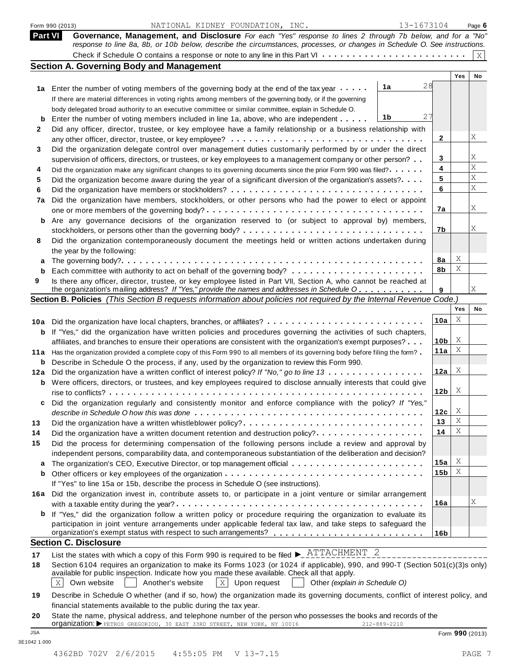|              | 13-1673104<br>NATIONAL KIDNEY FOUNDATION, INC.<br>Form 990 (2013)                                                                                                                                                                                                                                                                          |                 |        | Page 6      |
|--------------|--------------------------------------------------------------------------------------------------------------------------------------------------------------------------------------------------------------------------------------------------------------------------------------------------------------------------------------------|-----------------|--------|-------------|
| Part VI      | Governance, Management, and Disclosure For each "Yes" response to lines 2 through 7b below, and for a "No"<br>response to line 8a, 8b, or 10b below, describe the circumstances, processes, or changes in Schedule O. See instructions.                                                                                                    |                 |        |             |
|              |                                                                                                                                                                                                                                                                                                                                            |                 |        | $\mathbf X$ |
|              | <b>Section A. Governing Body and Management</b>                                                                                                                                                                                                                                                                                            |                 |        |             |
|              |                                                                                                                                                                                                                                                                                                                                            |                 | Yes    | No          |
|              | 28<br>1a<br>1a Enter the number of voting members of the governing body at the end of the tax year                                                                                                                                                                                                                                         |                 |        |             |
|              | If there are material differences in voting rights among members of the governing body, or if the governing                                                                                                                                                                                                                                |                 |        |             |
|              | body delegated broad authority to an executive committee or similar committee, explain in Schedule O.<br>27<br>1b                                                                                                                                                                                                                          |                 |        |             |
| b            | Enter the number of voting members included in line 1a, above, who are independent                                                                                                                                                                                                                                                         |                 |        |             |
| $\mathbf{2}$ | Did any officer, director, trustee, or key employee have a family relationship or a business relationship with                                                                                                                                                                                                                             | 2               |        | Χ           |
| 3            | Did the organization delegate control over management duties customarily performed by or under the direct                                                                                                                                                                                                                                  |                 |        |             |
|              | supervision of officers, directors, or trustees, or key employees to a management company or other person?                                                                                                                                                                                                                                 | 3               |        | Χ           |
| 4            | Did the organization make any significant changes to its governing documents since the prior Form 990 was filed?                                                                                                                                                                                                                           | 4               |        | X           |
| 5            | Did the organization become aware during the year of a significant diversion of the organization's assets?                                                                                                                                                                                                                                 | 5               |        | Χ           |
| 6            |                                                                                                                                                                                                                                                                                                                                            | 6               |        | X           |
| 7a           | Did the organization have members, stockholders, or other persons who had the power to elect or appoint                                                                                                                                                                                                                                    |                 |        |             |
|              |                                                                                                                                                                                                                                                                                                                                            | 7a              |        | Χ           |
|              | <b>b</b> Are any governance decisions of the organization reserved to (or subject to approval by) members,                                                                                                                                                                                                                                 |                 |        |             |
|              |                                                                                                                                                                                                                                                                                                                                            | 7b              |        | Χ           |
| 8            | Did the organization contemporaneously document the meetings held or written actions undertaken during                                                                                                                                                                                                                                     |                 |        |             |
|              | the year by the following:                                                                                                                                                                                                                                                                                                                 |                 |        |             |
| a            |                                                                                                                                                                                                                                                                                                                                            | 8a              | Χ      |             |
| b            |                                                                                                                                                                                                                                                                                                                                            | 8b              | Χ      |             |
| 9            | Is there any officer, director, trustee, or key employee listed in Part VII, Section A, who cannot be reached at<br>the organization's mailing address? If "Yes," provide the names and addresses in Schedule O                                                                                                                            | 9               |        | Χ           |
|              | Section B. Policies (This Section B requests information about policies not required by the Internal Revenue Code.)                                                                                                                                                                                                                        |                 |        |             |
|              |                                                                                                                                                                                                                                                                                                                                            |                 | Yes    | No          |
|              |                                                                                                                                                                                                                                                                                                                                            | 10a             | X      |             |
|              | <b>b</b> If "Yes," did the organization have written policies and procedures governing the activities of such chapters,                                                                                                                                                                                                                    |                 |        |             |
|              | affiliates, and branches to ensure their operations are consistent with the organization's exempt purposes?                                                                                                                                                                                                                                | 10b             | X      |             |
|              | 11a Has the organization provided a complete copy of this Form 990 to all members of its governing body before filing the form?                                                                                                                                                                                                            | 11a             | X      |             |
|              | <b>b</b> Describe in Schedule O the process, if any, used by the organization to review this Form 990.                                                                                                                                                                                                                                     |                 |        |             |
|              | 12a Did the organization have a written conflict of interest policy? If "No," go to line 13                                                                                                                                                                                                                                                | 12a             | X      |             |
|              | <b>b</b> Were officers, directors, or trustees, and key employees required to disclose annually interests that could give                                                                                                                                                                                                                  |                 |        |             |
|              |                                                                                                                                                                                                                                                                                                                                            | 12 <sub>b</sub> | X      |             |
| c            | Did the organization regularly and consistently monitor and enforce compliance with the policy? If "Yes,"                                                                                                                                                                                                                                  |                 |        |             |
|              |                                                                                                                                                                                                                                                                                                                                            | 12c             | X      |             |
| 13           | Did the organization have a written whistleblower policy?                                                                                                                                                                                                                                                                                  | 13              | Χ<br>Χ |             |
| 14           | Did the organization have a written document retention and destruction policy?                                                                                                                                                                                                                                                             | 14              |        |             |
| 15           | Did the process for determining compensation of the following persons include a review and approval by                                                                                                                                                                                                                                     |                 |        |             |
|              | independent persons, comparability data, and contemporaneous substantiation of the deliberation and decision?                                                                                                                                                                                                                              | 15a             | Χ      |             |
| a<br>b       |                                                                                                                                                                                                                                                                                                                                            | 15 <sub>b</sub> | Χ      |             |
|              | If "Yes" to line 15a or 15b, describe the process in Schedule O (see instructions).                                                                                                                                                                                                                                                        |                 |        |             |
|              | 16a Did the organization invest in, contribute assets to, or participate in a joint venture or similar arrangement                                                                                                                                                                                                                         |                 |        |             |
|              |                                                                                                                                                                                                                                                                                                                                            | 16a             |        | Χ           |
| b            | If "Yes," did the organization follow a written policy or procedure requiring the organization to evaluate its                                                                                                                                                                                                                             |                 |        |             |
|              | participation in joint venture arrangements under applicable federal tax law, and take steps to safeguard the                                                                                                                                                                                                                              |                 |        |             |
|              | organization's exempt status with respect to such arrangements?                                                                                                                                                                                                                                                                            | 16 <sub>b</sub> |        |             |
|              | <b>Section C. Disclosure</b>                                                                                                                                                                                                                                                                                                               |                 |        |             |
| 17           | List the states with which a copy of this Form 990 is required to be filed $\blacktriangleright$ $\frac{\text{ATTACHMENT}}{\text{2}}$ 2                                                                                                                                                                                                    |                 |        |             |
| 18           | Section 6104 requires an organization to make its Forms 1023 (or 1024 if applicable), 990, and 990-T (Section 501(c)(3)s only)<br>available for public inspection. Indicate how you made these available. Check all that apply.<br>Own website<br>$ X $ Upon request<br>$\mathbf{X}$<br>Another's website<br>Other (explain in Schedule O) |                 |        |             |
| 19           | Describe in Schedule O whether (and if so, how) the organization made its governing documents, conflict of interest policy, and<br>financial statements available to the public during the tax year.                                                                                                                                       |                 |        |             |
| 20           | State the name, physical address, and telephone number of the person who possesses the books and records of the                                                                                                                                                                                                                            |                 |        |             |
|              | Organization: PETROS GREGORIOU, 30 EAST 33RD STREET, NEW YORK, NY 10016<br>212-889-2210                                                                                                                                                                                                                                                    |                 |        |             |

JSA Form **990** (2013)

3E1042 1.000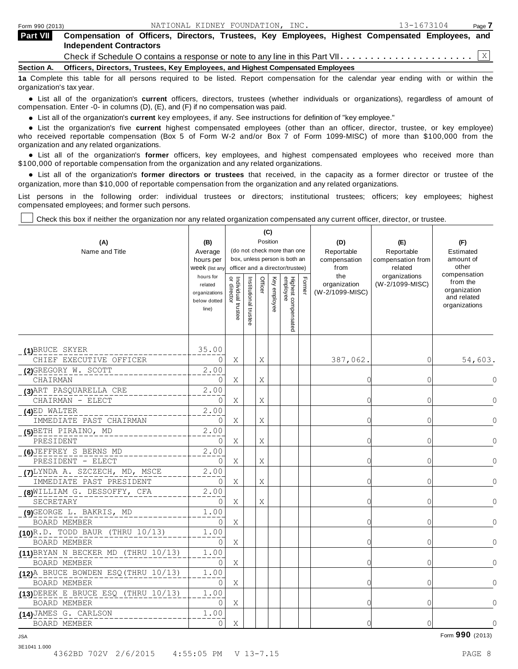| Form 990 (2013) | NATIONAL KIDNEY FOUNDATION, INC.                                                                                                   | 13-1673104 | Page 7 |  |  |  |  |  |
|-----------------|------------------------------------------------------------------------------------------------------------------------------------|------------|--------|--|--|--|--|--|
| <b>Part VII</b> | Compensation of Officers, Directors, Trustees, Key Employees, Highest Compensated Employees, and<br><b>Independent Contractors</b> |            |        |  |  |  |  |  |
|                 |                                                                                                                                    |            |        |  |  |  |  |  |
| Section A.      | Officers, Directors, Trustees, Key Employees, and Highest Compensated Employees                                                    |            |        |  |  |  |  |  |
|                 | 12 Complete this table for all nersons required to be listed. Report compensation for the calendar year ending with or within the  |            |        |  |  |  |  |  |

a. Report compensation for organization's tax year.

anization's lax year.<br>● List all of the organization's **current** officers, directors, trustees (whether individuals or organizations), regardless of amount of<br>nnensation Enter -0- in columns (D) (E) and (E) if no compensa compensation. Enter -0- in columns (D), (E), and (F) if no compensation was paid.

**■** List all of the organization's **current** key employees, if any. See instructions for definition of "key employee."<br>■ List the experimentals five expect highest expressed explores (other than an efficer director t

**Example in the organization's current** key employees, if any. See instructions for definition of key employee.<br>• List the organization's five **current** highest compensated employees (other than an officer, director, trust who received reportable compensation (Box 5 of Form W-2 and/or Box 7 of Form 1099-MISC) of more than \$100,000 from the

organization and any related organizations.<br>• List all of the organization's **former** officers, key employees, and highest compensated employees who received more than<br>\$1.00.000 of reportable componention from the erganiza \$100,000 of reportable compensation from the organization and any related organizations.

% List all of the organization's **former directors or trustees** that received, in the capacity as a former director or trustee of the organization, more than \$10,000 of reportable compensation from the organization and any related organizations.

List persons in the following order: individual trustees or directors; institutional trustees; officers; key employees; highest compensated employees; and former such persons.

Т

Τ

Check this box if neither the organization nor any related organization compensated any current officer, director, or trustee.

┰

| (A)<br>Name and Title                                        | (B)<br>Average<br>hours per<br>Week (list any<br>hours for<br>related<br>organizations<br>below dotted<br>line) | Position<br>(do not check more than one<br>box, unless person is both an<br>officer and a director/trustee)<br>or director<br>Individual trustee<br>Officer<br>Institutional trustee |  |   |  | Highest compensated<br>employee | Former | (D)<br>Reportable<br>compensation<br>from<br>the<br>organization<br>(W-2/1099-MISC) | (E)<br>Reportable<br>compensation from<br>related<br>organizations<br>(W-2/1099-MISC) | (F)<br>Estimated<br>amount of<br>other<br>compensation<br>from the<br>organization<br>and related<br>organizations |
|--------------------------------------------------------------|-----------------------------------------------------------------------------------------------------------------|--------------------------------------------------------------------------------------------------------------------------------------------------------------------------------------|--|---|--|---------------------------------|--------|-------------------------------------------------------------------------------------|---------------------------------------------------------------------------------------|--------------------------------------------------------------------------------------------------------------------|
| (1)BRUCE SKYER                                               | 35.00                                                                                                           |                                                                                                                                                                                      |  |   |  |                                 |        |                                                                                     |                                                                                       |                                                                                                                    |
| CHIEF EXECUTIVE OFFICER                                      | 0                                                                                                               | Χ                                                                                                                                                                                    |  | Χ |  |                                 |        | 387,062.                                                                            | 0                                                                                     | 54,603.                                                                                                            |
| (2) GREGORY W. SCOTT<br>CHAIRMAN                             | 2.00<br>0                                                                                                       | Χ                                                                                                                                                                                    |  | Χ |  |                                 |        | C                                                                                   | 0                                                                                     | 0                                                                                                                  |
| (3) ART PASQUARELLA CRE                                      | 2.00                                                                                                            |                                                                                                                                                                                      |  |   |  |                                 |        |                                                                                     |                                                                                       |                                                                                                                    |
| CHAIRMAN - ELECT                                             | 0                                                                                                               | Χ                                                                                                                                                                                    |  | Χ |  |                                 |        | C                                                                                   | 0                                                                                     | 0                                                                                                                  |
| (4)ED WALTER                                                 | 2.00                                                                                                            |                                                                                                                                                                                      |  |   |  |                                 |        |                                                                                     |                                                                                       |                                                                                                                    |
| IMMEDIATE PAST CHAIRMAN                                      | 0                                                                                                               | Χ                                                                                                                                                                                    |  | Χ |  |                                 |        | C                                                                                   | 0                                                                                     | n                                                                                                                  |
| (5) BETH PIRAINO, MD                                         | 2.00                                                                                                            |                                                                                                                                                                                      |  |   |  |                                 |        |                                                                                     |                                                                                       |                                                                                                                    |
| PRESIDENT                                                    | 0                                                                                                               | X                                                                                                                                                                                    |  | Χ |  |                                 |        | C                                                                                   | 0                                                                                     | $\cap$                                                                                                             |
| (6) JEFFREY S BERNS MD<br>PRESIDENT - ELECT                  | 2.00<br>0                                                                                                       | Χ                                                                                                                                                                                    |  | Χ |  |                                 |        | 0                                                                                   | 0                                                                                     | ∩                                                                                                                  |
| (7) LYNDA A. SZCZECH, MD, MSCE<br>IMMEDIATE PAST PRESIDENT   | 2.00<br>$\Omega$                                                                                                | Χ                                                                                                                                                                                    |  | Χ |  |                                 |        | C                                                                                   | 0                                                                                     |                                                                                                                    |
| (8) WILLIAM G. DESSOFFY, CFA<br>SECRETARY                    | 2.00<br>0                                                                                                       | X                                                                                                                                                                                    |  | Χ |  |                                 |        | C                                                                                   | 0                                                                                     |                                                                                                                    |
| .09 GEORGE L. BAKRIS, MD<br>BOARD MEMBER                     | 1.00<br>0                                                                                                       | Χ                                                                                                                                                                                    |  |   |  |                                 |        | C                                                                                   | 0                                                                                     |                                                                                                                    |
| $(10)^R$ .D. TODD BAUR (THRU 10/13)                          | 1.00                                                                                                            |                                                                                                                                                                                      |  |   |  |                                 |        |                                                                                     |                                                                                       |                                                                                                                    |
| BOARD MEMBER                                                 | 0                                                                                                               | X                                                                                                                                                                                    |  |   |  |                                 |        | $\bigcap$                                                                           | 0                                                                                     | $\cap$                                                                                                             |
| $(11)$ BRYAN N BECKER MD (THRU 10/13)<br><b>BOARD MEMBER</b> | 1.00<br>0                                                                                                       | Χ                                                                                                                                                                                    |  |   |  |                                 |        | $\bigcap$                                                                           | 0                                                                                     |                                                                                                                    |
| (12) A BRUCE BOWDEN ESQ (THRU 10/13)<br>BOARD MEMBER         | 1.00<br>0                                                                                                       | X                                                                                                                                                                                    |  |   |  |                                 |        | C                                                                                   | 0                                                                                     | 0                                                                                                                  |
| $(13)$ DEREK E BRUCE ESQ (THRU 10/13)<br>BOARD MEMBER        | 1.00<br>0                                                                                                       | Χ                                                                                                                                                                                    |  |   |  |                                 |        | C                                                                                   | 0                                                                                     | $\Omega$                                                                                                           |
| (14) JAMES G. CARLSON<br>BOARD MEMBER                        | 1.00<br>0                                                                                                       | Χ                                                                                                                                                                                    |  |   |  |                                 |        | C                                                                                   | 0                                                                                     | $\mathbf{0}$                                                                                                       |

Form **990** (2013) JSA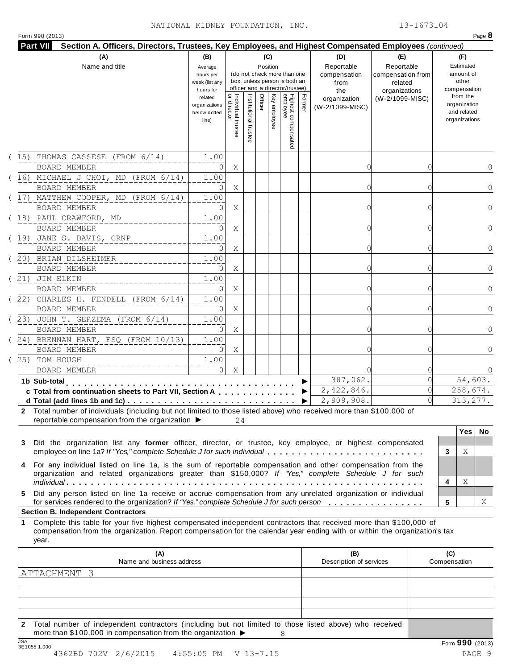## NATIONAL KIDNEY FOUNDATION, INC. 13-1673104

|  | Form 990 (2013) |
|--|-----------------|
|  |                 |

|                                                                                                                                                                                                                                                                                                                                                                   | (A)<br>(B)<br>(C)<br>Name and title<br>Position<br>Average<br>(do not check more than one<br>hours per<br>box, unless person is both an<br>week (list any<br>officer and a director/trustee)<br>hours for |                                     |                      |         |              |                                 |        | (D)<br>Reportable<br>compensation<br>from<br>the | (E)<br>Reportable<br>compensation from<br>related<br>organizations | (F)<br>Estimated<br>amount of<br>other<br>compensation   |
|-------------------------------------------------------------------------------------------------------------------------------------------------------------------------------------------------------------------------------------------------------------------------------------------------------------------------------------------------------------------|-----------------------------------------------------------------------------------------------------------------------------------------------------------------------------------------------------------|-------------------------------------|----------------------|---------|--------------|---------------------------------|--------|--------------------------------------------------|--------------------------------------------------------------------|----------------------------------------------------------|
|                                                                                                                                                                                                                                                                                                                                                                   | related<br>organizations<br>below dotted<br>line)                                                                                                                                                         | Individual trustee<br>  or director | Institutional truste | Officer | Key employee | Highest compensated<br>employee | Former | organization<br>(W-2/1099-MISC)                  | (W-2/1099-MISC)                                                    | from the<br>organization<br>and related<br>organizations |
| (15) THOMAS CASSESE (FROM 6/14)<br><b>BOARD MEMBER</b>                                                                                                                                                                                                                                                                                                            | 1.00<br>0                                                                                                                                                                                                 | Χ                                   |                      |         |              |                                 |        |                                                  |                                                                    | 0                                                        |
| (16) MICHAEL J CHOI, MD (FROM 6/14)<br>BOARD MEMBER                                                                                                                                                                                                                                                                                                               | 1.00<br>0                                                                                                                                                                                                 | Χ                                   |                      |         |              |                                 |        |                                                  |                                                                    | $\Omega$                                                 |
| (17) MATTHEW COOPER, MD (FROM 6/14)<br><b>BOARD MEMBER</b>                                                                                                                                                                                                                                                                                                        | 1.00<br>0                                                                                                                                                                                                 | Χ                                   |                      |         |              |                                 |        |                                                  |                                                                    | $\Omega$                                                 |
| (18) PAUL CRAWFORD, MD<br>BOARD MEMBER                                                                                                                                                                                                                                                                                                                            | 1.00<br>0                                                                                                                                                                                                 | Χ                                   |                      |         |              |                                 |        | ∩                                                |                                                                    | $\Omega$                                                 |
| (19) JANE S. DAVIS, CRNP<br><b>BOARD MEMBER</b>                                                                                                                                                                                                                                                                                                                   | 1.00<br>0                                                                                                                                                                                                 | Χ                                   |                      |         |              |                                 |        |                                                  |                                                                    | $\Omega$                                                 |
| (20) BRIAN DILSHEIMER<br><b>BOARD MEMBER</b>                                                                                                                                                                                                                                                                                                                      | 1.00<br>$\Omega$                                                                                                                                                                                          | Χ                                   |                      |         |              |                                 |        |                                                  |                                                                    | $\Omega$                                                 |
| (21) JIM ELKIN<br>BOARD MEMBER                                                                                                                                                                                                                                                                                                                                    | 1.00<br>$\Omega$                                                                                                                                                                                          | Χ                                   |                      |         |              |                                 |        |                                                  |                                                                    | $\Omega$                                                 |
| (22) CHARLES H. FENDELL (FROM 6/14)<br><b>BOARD MEMBER</b>                                                                                                                                                                                                                                                                                                        | 1.00<br>0                                                                                                                                                                                                 | Χ                                   |                      |         |              |                                 |        |                                                  |                                                                    | $\Omega$                                                 |
| (23) JOHN T. GERZEMA (FROM 6/14)<br>BOARD MEMBER                                                                                                                                                                                                                                                                                                                  | 1.00<br>$\Omega$                                                                                                                                                                                          | Χ                                   |                      |         |              |                                 |        |                                                  |                                                                    |                                                          |
| $(24)$ BRENNAN HART, ESQ (FROM $10/13$ )<br>BOARD MEMBER<br>(25) TOM HOUGH                                                                                                                                                                                                                                                                                        | 1.00<br>$\Omega$<br>1.00                                                                                                                                                                                  | Χ                                   |                      |         |              |                                 |        |                                                  |                                                                    | $\Omega$                                                 |
| BOARD MEMBER<br>1b Sub-total                                                                                                                                                                                                                                                                                                                                      | $\Omega$                                                                                                                                                                                                  | Χ                                   |                      |         |              |                                 |        | 387,062.                                         |                                                                    | 0<br>54,603.                                             |
| c Total from continuation sheets to Part VII, Section A                                                                                                                                                                                                                                                                                                           |                                                                                                                                                                                                           |                                     |                      |         |              |                                 | ▶      | 2,422,846.<br>2,809,908.                         |                                                                    | 258,674.<br>313,277.                                     |
| 2 Total number of individuals (including but not limited to those listed above) who received more than \$100,000 of<br>reportable compensation from the organization ▶<br>Did the organization list any former officer, director, or trustee, key employee, or highest compensated<br>3<br>employee on line 1a? If "Yes," complete Schedule J for such individual |                                                                                                                                                                                                           | 24                                  |                      |         |              |                                 |        |                                                  |                                                                    | Yes<br>No.<br>Χ<br>3                                     |
| For any individual listed on line 1a, is the sum of reportable compensation and other compensation from the<br>4<br>organization and related organizations greater than \$150,000? If "Yes," complete Schedule J for such<br>Did any person listed on line 1a receive or accrue compensation from any unrelated organization or individual<br>5.                  |                                                                                                                                                                                                           |                                     |                      |         |              |                                 |        |                                                  |                                                                    | Χ<br>4<br>Χ<br>5                                         |
| for services rendered to the organization? If "Yes," complete Schedule J for such person                                                                                                                                                                                                                                                                          |                                                                                                                                                                                                           |                                     |                      |         |              |                                 |        |                                                  |                                                                    |                                                          |
| Complete this table for your five highest compensated independent contractors that received more than \$100,000 of<br>compensation from the organization. Report compensation for the calendar year ending with or within the organization's tax<br>year.                                                                                                         |                                                                                                                                                                                                           |                                     |                      |         |              |                                 |        |                                                  |                                                                    |                                                          |
| (A)<br>Name and business address                                                                                                                                                                                                                                                                                                                                  |                                                                                                                                                                                                           |                                     |                      |         |              |                                 |        | (B)<br>Description of services                   |                                                                    | (C)<br>Compensation                                      |
| <b>Section B. Independent Contractors</b><br>1<br>ATTACHMENT 3                                                                                                                                                                                                                                                                                                    |                                                                                                                                                                                                           |                                     |                      |         |              |                                 |        |                                                  |                                                                    |                                                          |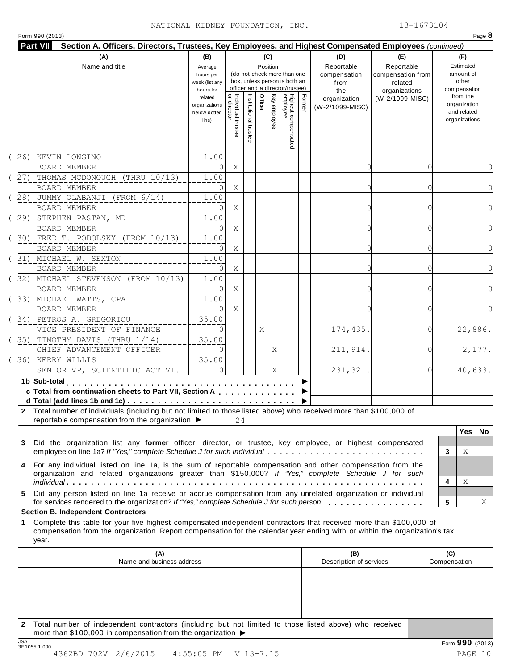#### NATIONAL KIDNEY FOUNDATION, INC. 13-1673104

|  | Form 990 (2013) |  |
|--|-----------------|--|
|  |                 |  |

|    | (A)<br>Name and title                                                                                                                                                                                                                                                                                                                                        | (B)<br>(C)<br>Position<br>Average<br>(do not check more than one<br>hours per<br>box, unless person is both an<br>week (list any<br>officer and a director/trustee)<br>hours for |                                           |                       |         |              |                                 |        |                                 | (E)<br>Reportable<br>compensation from<br>related<br>organizations | (F)<br>Estimated<br>amount of<br>other<br>compensation   |
|----|--------------------------------------------------------------------------------------------------------------------------------------------------------------------------------------------------------------------------------------------------------------------------------------------------------------------------------------------------------------|----------------------------------------------------------------------------------------------------------------------------------------------------------------------------------|-------------------------------------------|-----------------------|---------|--------------|---------------------------------|--------|---------------------------------|--------------------------------------------------------------------|----------------------------------------------------------|
|    |                                                                                                                                                                                                                                                                                                                                                              | related<br>organizations<br>below dotted<br>line)                                                                                                                                | <br>  Individual trustee<br>  or director | Institutional trustee | Officer | Key employee | Highest compensated<br>employee | Former | organization<br>(W-2/1099-MISC) | (W-2/1099-MISC)                                                    | from the<br>organization<br>and related<br>organizations |
|    | 26) KEVIN LONGINO                                                                                                                                                                                                                                                                                                                                            | 1.00                                                                                                                                                                             |                                           |                       |         |              |                                 |        |                                 |                                                                    |                                                          |
|    | <b>BOARD MEMBER</b>                                                                                                                                                                                                                                                                                                                                          | 0                                                                                                                                                                                | Χ                                         |                       |         |              |                                 |        | 0                               |                                                                    | 0                                                        |
|    | (27) THOMAS MCDONOUGH (THRU 10/13)<br><b>BOARD MEMBER</b>                                                                                                                                                                                                                                                                                                    | 1.00<br>0                                                                                                                                                                        | Χ                                         |                       |         |              |                                 |        | C                               |                                                                    | $\Omega$                                                 |
|    | (28) JUMMY OLABANJI (FROM 6/14)                                                                                                                                                                                                                                                                                                                              | 1.00                                                                                                                                                                             |                                           |                       |         |              |                                 |        |                                 |                                                                    |                                                          |
|    | BOARD MEMBER                                                                                                                                                                                                                                                                                                                                                 | 0                                                                                                                                                                                | Χ                                         |                       |         |              |                                 |        | 0                               |                                                                    | $\Omega$                                                 |
|    | (29) STEPHEN PASTAN, MD                                                                                                                                                                                                                                                                                                                                      | 1.00                                                                                                                                                                             |                                           |                       |         |              |                                 |        |                                 |                                                                    |                                                          |
|    | <b>BOARD MEMBER</b>                                                                                                                                                                                                                                                                                                                                          | 0                                                                                                                                                                                | Χ                                         |                       |         |              |                                 |        | 0                               |                                                                    | $\Omega$                                                 |
|    | (30) FRED T. PODOLSKY (FROM 10/13)                                                                                                                                                                                                                                                                                                                           | 1.00                                                                                                                                                                             |                                           |                       |         |              |                                 |        |                                 |                                                                    |                                                          |
|    | <b>BOARD MEMBER</b>                                                                                                                                                                                                                                                                                                                                          | 0                                                                                                                                                                                | Χ                                         |                       |         |              |                                 |        | 0                               |                                                                    | $\Omega$                                                 |
|    | (31) MICHAEL W. SEXTON                                                                                                                                                                                                                                                                                                                                       | 1.00                                                                                                                                                                             |                                           |                       |         |              |                                 |        |                                 |                                                                    |                                                          |
|    | <b>BOARD MEMBER</b>                                                                                                                                                                                                                                                                                                                                          | $\Omega$                                                                                                                                                                         | Χ                                         |                       |         |              |                                 |        |                                 |                                                                    | $\Omega$                                                 |
|    | (32) MICHAEL STEVENSON (FROM 10/13)                                                                                                                                                                                                                                                                                                                          | 1.00                                                                                                                                                                             |                                           |                       |         |              |                                 |        |                                 |                                                                    |                                                          |
|    | BOARD MEMBER                                                                                                                                                                                                                                                                                                                                                 | $\Omega$                                                                                                                                                                         | Χ                                         |                       |         |              |                                 |        |                                 |                                                                    | $\Omega$                                                 |
|    | (33) MICHAEL WATTS, CPA                                                                                                                                                                                                                                                                                                                                      | 1.00                                                                                                                                                                             |                                           |                       |         |              |                                 |        |                                 |                                                                    |                                                          |
|    | BOARD MEMBER<br>(34) PETROS A. GREGORIOU                                                                                                                                                                                                                                                                                                                     | $\Omega$                                                                                                                                                                         | Χ                                         |                       |         |              |                                 |        |                                 |                                                                    | $\Omega$                                                 |
|    | VICE PRESIDENT OF FINANCE                                                                                                                                                                                                                                                                                                                                    | 35.00<br>$\Omega$                                                                                                                                                                |                                           |                       | Χ       |              |                                 |        | 174,435.                        |                                                                    | 22,886.                                                  |
|    | (35) TIMOTHY DAVIS (THRU 1/14)                                                                                                                                                                                                                                                                                                                               | 35.00                                                                                                                                                                            |                                           |                       |         |              |                                 |        |                                 |                                                                    |                                                          |
|    | CHIEF ADVANCEMENT OFFICER                                                                                                                                                                                                                                                                                                                                    | $\Omega$                                                                                                                                                                         |                                           |                       |         | Χ            |                                 |        | 211, 914.                       |                                                                    | 2,177.                                                   |
|    | (36) KERRY WILLIS                                                                                                                                                                                                                                                                                                                                            | 35.00                                                                                                                                                                            |                                           |                       |         |              |                                 |        |                                 |                                                                    |                                                          |
|    | SENIOR VP, SCIENTIFIC ACTIVI.                                                                                                                                                                                                                                                                                                                                | $\Omega$                                                                                                                                                                         |                                           |                       |         | Χ            |                                 |        | 231,321.                        | $\Omega$                                                           | 40,633.                                                  |
|    | 1b Sub-total<br>.<br>c Total from continuation sheets to Part VII, Section A                                                                                                                                                                                                                                                                                 |                                                                                                                                                                                  |                                           |                       |         |              |                                 |        |                                 |                                                                    |                                                          |
| 3  | 2 Total number of individuals (including but not limited to those listed above) who received more than \$100,000 of<br>reportable compensation from the organization ▶<br>Did the organization list any former officer, director, or trustee, key employee, or highest compensated<br>employee on line 1a? If "Yes," complete Schedule J for such individual |                                                                                                                                                                                  | 24                                        |                       |         |              |                                 |        |                                 |                                                                    | Yes<br><b>No</b><br>Χ<br>3                               |
| 4  | For any individual listed on line 1a, is the sum of reportable compensation and other compensation from the<br>organization and related organizations greater than \$150,000? If "Yes," complete Schedule J for such                                                                                                                                         |                                                                                                                                                                                  |                                           |                       |         |              |                                 |        |                                 |                                                                    | Χ<br>4                                                   |
|    | Did any person listed on line 1a receive or accrue compensation from any unrelated organization or individual<br>for services rendered to the organization? If "Yes," complete Schedule J for such person                                                                                                                                                    |                                                                                                                                                                                  |                                           |                       |         |              |                                 |        |                                 |                                                                    | Χ<br>5                                                   |
| 5. |                                                                                                                                                                                                                                                                                                                                                              |                                                                                                                                                                                  |                                           |                       |         |              |                                 |        |                                 |                                                                    |                                                          |
| 1  | <b>Section B. Independent Contractors</b><br>Complete this table for your five highest compensated independent contractors that received more than \$100,000 of<br>compensation from the organization. Report compensation for the calendar year ending with or within the organization's tax<br>year.                                                       |                                                                                                                                                                                  |                                           |                       |         |              |                                 |        |                                 |                                                                    |                                                          |
|    | (A)<br>Name and business address                                                                                                                                                                                                                                                                                                                             |                                                                                                                                                                                  |                                           |                       |         |              |                                 |        | (B)<br>Description of services  |                                                                    | (C)<br>Compensation                                      |
|    |                                                                                                                                                                                                                                                                                                                                                              |                                                                                                                                                                                  |                                           |                       |         |              |                                 |        |                                 |                                                                    |                                                          |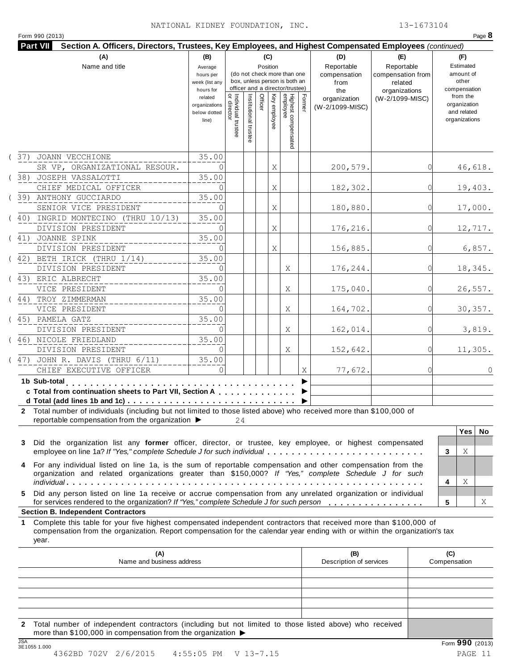| (A)<br>Name and title                                                                                                                                                                                                                                           | (B)<br>Average<br>hours per<br>week (list any<br>hours for |                                           |                       | (C)<br>Position |              | (do not check more than one<br>box, unless person is both an<br>officer and a director/trustee) |        | (D)<br>Reportable<br>compensation<br>from<br>the | (E)<br>Reportable<br>compensation from<br>related<br>organizations |              | (F)<br>Estimated<br>amount of<br>other<br>compensation   |           |
|-----------------------------------------------------------------------------------------------------------------------------------------------------------------------------------------------------------------------------------------------------------------|------------------------------------------------------------|-------------------------------------------|-----------------------|-----------------|--------------|-------------------------------------------------------------------------------------------------|--------|--------------------------------------------------|--------------------------------------------------------------------|--------------|----------------------------------------------------------|-----------|
|                                                                                                                                                                                                                                                                 | related<br>organizations<br>below dotted<br>line)          | <br>  Individual trustee<br>  or director | Institutional trustee | Officer         | Key employee | Highest compensated<br>employee                                                                 | Former | organization<br>(W-2/1099-MISC)                  | (W-2/1099-MISC)                                                    |              | from the<br>organization<br>and related<br>organizations |           |
| ( 37) JOANN VECCHIONE                                                                                                                                                                                                                                           | 35.00                                                      |                                           |                       |                 |              |                                                                                                 |        |                                                  |                                                                    |              |                                                          |           |
| SR VP, ORGANIZATIONAL RESOUR.                                                                                                                                                                                                                                   | $\Omega$                                                   |                                           |                       |                 | Χ            |                                                                                                 |        | 200,579.                                         |                                                                    |              | 46,618.                                                  |           |
| (38) JOSEPH VASSALOTTI                                                                                                                                                                                                                                          | 35.00                                                      |                                           |                       |                 |              |                                                                                                 |        |                                                  |                                                                    |              |                                                          |           |
| CHIEF MEDICAL OFFICER                                                                                                                                                                                                                                           | $\Omega$                                                   |                                           |                       |                 | Χ            |                                                                                                 |        | 182,302.                                         | 0                                                                  |              | 19,403.                                                  |           |
| (39) ANTHONY GUCCIARDO<br>SENIOR VICE PRESIDENT                                                                                                                                                                                                                 | 35.00<br>$\Omega$                                          |                                           |                       |                 | Χ            |                                                                                                 |        | 180,880.                                         | 0                                                                  |              | 17,000.                                                  |           |
| (40) INGRID MONTECINO (THRU 10/13)                                                                                                                                                                                                                              | 35.00                                                      |                                           |                       |                 |              |                                                                                                 |        |                                                  |                                                                    |              |                                                          |           |
| DIVISION PRESIDENT                                                                                                                                                                                                                                              | $\Omega$                                                   |                                           |                       |                 | Χ            |                                                                                                 |        | 176,216.                                         | 0                                                                  |              | 12,717.                                                  |           |
| (41) JOANNE SPINK                                                                                                                                                                                                                                               | 35.00                                                      |                                           |                       |                 |              |                                                                                                 |        |                                                  |                                                                    |              |                                                          |           |
| DIVISION PRESIDENT                                                                                                                                                                                                                                              | $\Omega$                                                   |                                           |                       |                 | Χ            |                                                                                                 |        | 156,885.                                         | 0                                                                  |              | 6,857.                                                   |           |
| $(42)$ BETH IRICK (THRU $1/14$ )                                                                                                                                                                                                                                | 35.00                                                      |                                           |                       |                 |              |                                                                                                 |        |                                                  |                                                                    |              |                                                          |           |
| DIVISION PRESIDENT                                                                                                                                                                                                                                              | $\Omega$                                                   |                                           |                       |                 |              | Χ                                                                                               |        | 176,244.                                         | 0                                                                  |              | 18,345.                                                  |           |
| (43) ERIC ALBRECHT                                                                                                                                                                                                                                              | 35.00                                                      |                                           |                       |                 |              |                                                                                                 |        |                                                  |                                                                    |              |                                                          |           |
| VICE PRESIDENT                                                                                                                                                                                                                                                  | $\Omega$                                                   |                                           |                       |                 |              | Χ                                                                                               |        | 175,040.                                         | U                                                                  |              | 26,557.                                                  |           |
| (44) TROY ZIMMERMAN                                                                                                                                                                                                                                             | 35.00                                                      |                                           |                       |                 |              |                                                                                                 |        |                                                  |                                                                    |              |                                                          |           |
| VICE PRESIDENT                                                                                                                                                                                                                                                  | $\Omega$                                                   |                                           |                       |                 |              | Χ                                                                                               |        | 164,702.                                         | 0                                                                  |              | 30, 357.                                                 |           |
| (45) PAMELA GATZ                                                                                                                                                                                                                                                | 35.00                                                      |                                           |                       |                 |              |                                                                                                 |        |                                                  |                                                                    |              |                                                          |           |
| DIVISION PRESIDENT                                                                                                                                                                                                                                              | $\Omega$                                                   |                                           |                       |                 |              | Χ                                                                                               |        | 162,014.                                         |                                                                    |              | 3,819.                                                   |           |
| (46) NICOLE FRIEDLAND<br>DIVISION PRESIDENT                                                                                                                                                                                                                     | 35.00<br>$\Omega$                                          |                                           |                       |                 |              | Χ                                                                                               |        | 152,642.                                         |                                                                    |              | 11,305.                                                  |           |
| (47) JOHN R. DAVIS (THRU 6/11)                                                                                                                                                                                                                                  | 35.00                                                      |                                           |                       |                 |              |                                                                                                 |        |                                                  |                                                                    |              |                                                          |           |
| CHIEF EXECUTIVE OFFICER                                                                                                                                                                                                                                         | $\Omega$                                                   |                                           |                       |                 |              |                                                                                                 | Χ      | 77,672.                                          | 0                                                                  |              |                                                          | $\Omega$  |
| 1b Sub-total                                                                                                                                                                                                                                                    |                                                            |                                           |                       |                 |              |                                                                                                 |        |                                                  |                                                                    |              |                                                          |           |
| c Total from continuation sheets to Part VII, Section A                                                                                                                                                                                                         |                                                            |                                           |                       |                 |              |                                                                                                 |        |                                                  |                                                                    |              |                                                          |           |
| d Total (add lines 1b and 1c) $\cdots$ $\cdots$ $\cdots$ $\cdots$ $\cdots$ $\cdots$ $\cdots$ $\cdots$ $\cdots$ $\cdots$ $\cdots$                                                                                                                                |                                                            |                                           |                       |                 |              |                                                                                                 | ▶      |                                                  |                                                                    |              |                                                          |           |
| 2 Total number of individuals (including but not limited to those listed above) who received more than \$100,000 of                                                                                                                                             |                                                            |                                           |                       |                 |              |                                                                                                 |        |                                                  |                                                                    |              |                                                          |           |
| reportable compensation from the organization ▶                                                                                                                                                                                                                 |                                                            | 24                                        |                       |                 |              |                                                                                                 |        |                                                  |                                                                    |              |                                                          |           |
|                                                                                                                                                                                                                                                                 |                                                            |                                           |                       |                 |              |                                                                                                 |        |                                                  |                                                                    |              | Yes                                                      | <b>No</b> |
| Did the organization list any former officer, director, or trustee, key employee, or highest compensated<br>3<br>employee on line 1a? If "Yes," complete Schedule J for such individual                                                                         |                                                            |                                           |                       |                 |              |                                                                                                 |        |                                                  |                                                                    | 3            | Χ                                                        |           |
|                                                                                                                                                                                                                                                                 |                                                            |                                           |                       |                 |              |                                                                                                 |        |                                                  |                                                                    |              |                                                          |           |
| For any individual listed on line 1a, is the sum of reportable compensation and other compensation from the<br>4<br>organization and related organizations greater than \$150,000? If "Yes," complete Schedule J for such                                       |                                                            |                                           |                       |                 |              |                                                                                                 |        |                                                  |                                                                    |              |                                                          |           |
|                                                                                                                                                                                                                                                                 |                                                            |                                           |                       |                 |              |                                                                                                 |        |                                                  |                                                                    | 4            | Χ                                                        |           |
| Did any person listed on line 1a receive or accrue compensation from any unrelated organization or individual<br>5.                                                                                                                                             |                                                            |                                           |                       |                 |              |                                                                                                 |        |                                                  |                                                                    |              |                                                          |           |
| for services rendered to the organization? If "Yes," complete Schedule J for such person                                                                                                                                                                        |                                                            |                                           |                       |                 |              |                                                                                                 |        |                                                  |                                                                    | 5            |                                                          | Χ         |
| <b>Section B. Independent Contractors</b>                                                                                                                                                                                                                       |                                                            |                                           |                       |                 |              |                                                                                                 |        |                                                  |                                                                    |              |                                                          |           |
| Complete this table for your five highest compensated independent contractors that received more than \$100,000 of<br>1.<br>compensation from the organization. Report compensation for the calendar year ending with or within the organization's tax<br>year. |                                                            |                                           |                       |                 |              |                                                                                                 |        |                                                  |                                                                    |              |                                                          |           |
| (A)                                                                                                                                                                                                                                                             |                                                            |                                           |                       |                 |              |                                                                                                 |        | (B)                                              |                                                                    | (C)          |                                                          |           |
| Name and business address                                                                                                                                                                                                                                       |                                                            |                                           |                       |                 |              |                                                                                                 |        | Description of services                          |                                                                    | Compensation |                                                          |           |
|                                                                                                                                                                                                                                                                 |                                                            |                                           |                       |                 |              |                                                                                                 |        |                                                  |                                                                    |              |                                                          |           |
|                                                                                                                                                                                                                                                                 |                                                            |                                           |                       |                 |              |                                                                                                 |        |                                                  |                                                                    |              |                                                          |           |
|                                                                                                                                                                                                                                                                 |                                                            |                                           |                       |                 |              |                                                                                                 |        |                                                  |                                                                    |              |                                                          |           |

**2** Total number of independent contractors (including but not limited to those listed above) who received more than \$100,000 in compensation from the organization  $\blacktriangleright$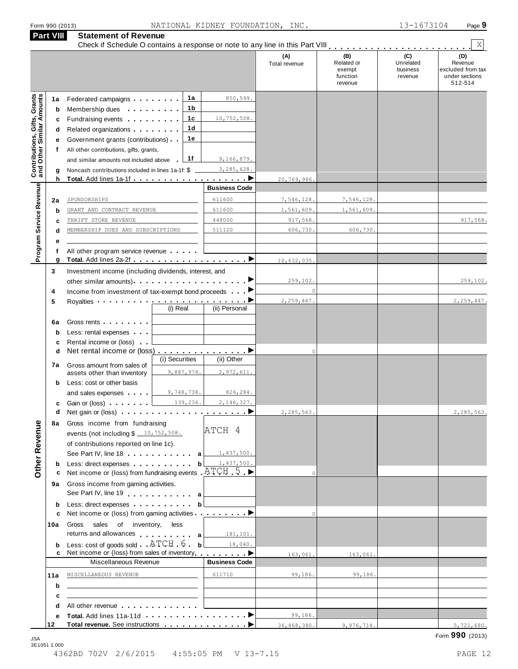| <b>Part VIII</b>                                                 |         | Form 990 (2013)<br><b>Statement of Revenue</b>                                                                                                                                                                                                            | NATIONAL KIDNEY FOUNDATION, INC. |                      |                                                    | 13-1673104                              | Page 9                                                           |
|------------------------------------------------------------------|---------|-----------------------------------------------------------------------------------------------------------------------------------------------------------------------------------------------------------------------------------------------------------|----------------------------------|----------------------|----------------------------------------------------|-----------------------------------------|------------------------------------------------------------------|
|                                                                  |         |                                                                                                                                                                                                                                                           |                                  |                      |                                                    |                                         | X                                                                |
|                                                                  |         |                                                                                                                                                                                                                                                           |                                  | (A)<br>Total revenue | (B)<br>Related or<br>exempt<br>function<br>revenue | (C)<br>Unrelated<br>business<br>revenue | (D)<br>Revenue<br>excluded from tax<br>under sections<br>512-514 |
| <b>Contributions, Gifts, Grants</b><br>and Other Similar Amounts | 1a<br>b | 1a<br>Federated campaigns <b>Federated</b><br>1 b<br>Membership dues <b>All Accords</b> Membership dues                                                                                                                                                   | 850,599.                         |                      |                                                    |                                         |                                                                  |
|                                                                  | c       | 1c<br>Fundraising events <b>Fundraising</b>                                                                                                                                                                                                               | 10,752,508.                      |                      |                                                    |                                         |                                                                  |
|                                                                  | d       | 1d<br>Related organizations <b>and the set of the set of the set of the set of the set of the set of the set of the set of the set of the set of the set of the set of the set of the set of the set of the set of the set of the set </b>                |                                  |                      |                                                    |                                         |                                                                  |
|                                                                  | е       | 1e<br>Government grants (contributions)                                                                                                                                                                                                                   |                                  |                      |                                                    |                                         |                                                                  |
|                                                                  | f       | All other contributions, gifts, grants,                                                                                                                                                                                                                   |                                  |                      |                                                    |                                         |                                                                  |
|                                                                  |         | 1f<br>and similar amounts not included above l                                                                                                                                                                                                            | 9,166,879.                       |                      |                                                    |                                         |                                                                  |
|                                                                  | g<br>h  | Noncash contributions included in lines 1a-1f: \$                                                                                                                                                                                                         | 3,285,628.                       | 20,769,986.          |                                                    |                                         |                                                                  |
|                                                                  |         |                                                                                                                                                                                                                                                           | <b>Business Code</b>             |                      |                                                    |                                         |                                                                  |
|                                                                  | 2a      | SPONSORSHIPS                                                                                                                                                                                                                                              | 611600                           | 7,546,128.           | 7,546,128.                                         |                                         |                                                                  |
| Program Service Revenue                                          | b       | GRANT AND CONTRACT REVENUE                                                                                                                                                                                                                                | 611600                           | 1,561,609.           | 1,561,609.                                         |                                         |                                                                  |
|                                                                  | c       | THRIFT STORE REVENUE                                                                                                                                                                                                                                      | 448000                           | 917,568.             |                                                    |                                         | 917,568.                                                         |
|                                                                  | d       | MEMBERSHIP DUES AND SUBSCRIPTIONS                                                                                                                                                                                                                         | 511120                           | 606,730.             | 606,730.                                           |                                         |                                                                  |
|                                                                  | е<br>f  | All other program service revenue                                                                                                                                                                                                                         |                                  |                      |                                                    |                                         |                                                                  |
|                                                                  | g       |                                                                                                                                                                                                                                                           |                                  | 10,632,035           |                                                    |                                         |                                                                  |
| 3                                                                |         | Investment income (including dividends, interest, and                                                                                                                                                                                                     |                                  |                      |                                                    |                                         |                                                                  |
|                                                                  |         | other similar amounts)                                                                                                                                                                                                                                    | ▶                                | 259,102.             |                                                    |                                         | 259,102.                                                         |
| 4                                                                |         | Income from investment of tax-exempt bond proceeds                                                                                                                                                                                                        |                                  | $\circ$              |                                                    |                                         |                                                                  |
| 5                                                                |         | Royalties ••••••••••• <del>•••••••••••••••••••••••</del><br>(i) Real                                                                                                                                                                                      | (ii) Personal                    | 2,259,447.           |                                                    |                                         | 2,259,447.                                                       |
|                                                                  | 6a      | Gross rents <b>contract of the set of the set of the set of the set of the set of the set of the set of the set of the set of the set of the set of the set of the set of the set of the set of the set of the set of the set of</b>                      |                                  |                      |                                                    |                                         |                                                                  |
|                                                                  | b       | Less: rental expenses                                                                                                                                                                                                                                     |                                  |                      |                                                    |                                         |                                                                  |
|                                                                  | c       | Rental income or (loss)                                                                                                                                                                                                                                   |                                  |                      |                                                    |                                         |                                                                  |
|                                                                  | d       |                                                                                                                                                                                                                                                           |                                  | $\circ$              |                                                    |                                         |                                                                  |
|                                                                  |         | (i) Securities<br>7a Gross amount from sales of                                                                                                                                                                                                           | (ii) Other                       |                      |                                                    |                                         |                                                                  |
|                                                                  |         | 9,887,974.<br>assets other than inventory                                                                                                                                                                                                                 | 2,972,611.                       |                      |                                                    |                                         |                                                                  |
|                                                                  | b       | Less: cost or other basis<br>and sales expenses $\sqrt{9,748,738}$ .                                                                                                                                                                                      | 826,284.                         |                      |                                                    |                                         |                                                                  |
|                                                                  | c       | Gain or (loss) <u>  139, 236.</u>                                                                                                                                                                                                                         | 2,146,327.                       |                      |                                                    |                                         |                                                                  |
|                                                                  | d       |                                                                                                                                                                                                                                                           |                                  | 2,285,563.           |                                                    |                                         | 2,285,563.                                                       |
|                                                                  | 8а      | Gross income from fundraising                                                                                                                                                                                                                             |                                  |                      |                                                    |                                         |                                                                  |
|                                                                  |         | events (not including $$10,752,508$ .                                                                                                                                                                                                                     | ATCH 4                           |                      |                                                    |                                         |                                                                  |
|                                                                  |         | of contributions reported on line 1c).                                                                                                                                                                                                                    |                                  |                      |                                                    |                                         |                                                                  |
| <b>Other Revenue</b>                                             |         | See Part IV, line 18 a   1,437,500.                                                                                                                                                                                                                       | 1,437,500.                       |                      |                                                    |                                         |                                                                  |
|                                                                  | b<br>с  | Less: direct expenses b<br>Net income or (loss) from fundraising events $ATCH.5$                                                                                                                                                                          |                                  |                      |                                                    |                                         |                                                                  |
|                                                                  | 9а      | Gross income from gaming activities.                                                                                                                                                                                                                      |                                  |                      |                                                    |                                         |                                                                  |
|                                                                  | b       | See Part IV, line 19 and the same of the same of the same of the same of the same of the same of the same of the same of the same of the same of the same of the same of the same of the same of the same of the same of the s<br>Less: direct expenses b |                                  |                      |                                                    |                                         |                                                                  |
|                                                                  | c       | Net income or (loss) from gaming activities <u>entitled</u> by Detail Details                                                                                                                                                                             |                                  | $\Omega$             |                                                    |                                         |                                                                  |
| 10a                                                              |         | Gross<br>sales of inventory, less<br>returns and allowances $a \overline{a}$ 181, 101.                                                                                                                                                                    |                                  |                      |                                                    |                                         |                                                                  |
|                                                                  | b       | Less: cost of goods sold $\Box$ ATCH $\Box$ 6 $\Box$ b $\Box$ 18,040.                                                                                                                                                                                     |                                  |                      |                                                    |                                         |                                                                  |
|                                                                  |         | Net income or (loss) from sales of inventory <u>entitled</u> ★                                                                                                                                                                                            |                                  | 163,061.             | 163,061.                                           |                                         |                                                                  |
|                                                                  |         | Miscellaneous Revenue                                                                                                                                                                                                                                     | <b>Business Code</b>             |                      |                                                    |                                         |                                                                  |
| 11a                                                              |         | MISCELLANEOUS REVENUE<br>the control of the control of the                                                                                                                                                                                                | 611710                           | 99,186.              | 99,186.                                            |                                         |                                                                  |
|                                                                  | b       | <u> 1989 - Johann John Stone, markin film yn y brening yn y brening yn y brening yn y brening yn y brening yn y b</u><br><u> 1989 - Johann Stein, mars an deutscher Stein und der Stein und der Stein und der Stein und der Stein und der</u>             |                                  |                      |                                                    |                                         |                                                                  |
|                                                                  | c<br>d  | All other revenue experience and the set of the set of the set of the set of the set of the set of the set of the set of the set of the set of the set of the set of the set of the set of the set of the set of the set of th                            |                                  |                      |                                                    |                                         |                                                                  |
|                                                                  | е       |                                                                                                                                                                                                                                                           |                                  | 99,186.              |                                                    |                                         |                                                                  |
| 12                                                               |         |                                                                                                                                                                                                                                                           |                                  | 36,468,380.          | 9,976,714.                                         |                                         | 5,721,680.                                                       |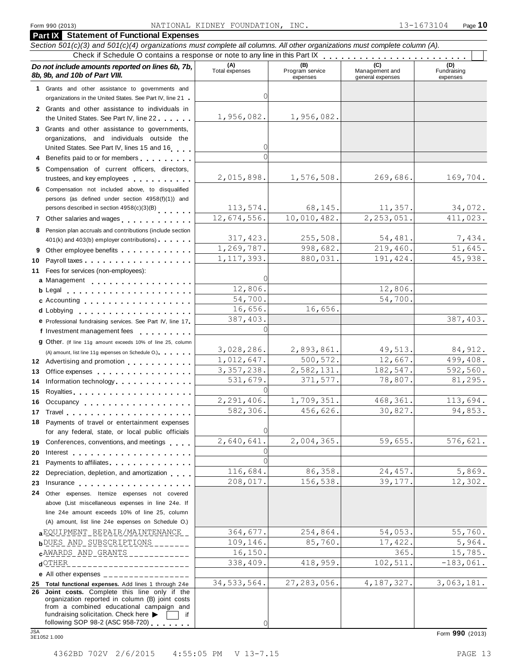#### **Part IX Statement of Functional Expenses** *Section 501(c)(3) and 501(c)(4) organizations must complete all columns. All other organizations must complete column (A).*  Form 990 (2013) MATIONAL KIDNEY FOUNDATION, INC. 13-1673104 Page 10<br> **Page 10**<br>
Section 501(c)(3) and 501(c)(4) organizations must complete all columns. All other organizations must complete column (A).<br>
Check if Schedule 8b, 9b, and 10b of Part VIII. expenses Management and general expenses Fundraising expenses **1** Grants and other assistance to governments and organizations in the United States. See Part IV, line 21 **m 2** Grants and other assistance to individuals in **The United States. See Part IV, line 21**<br>**States of States. The United States. See Part IV, line 21**<br>**Crants and other assistance to governments and organizations in the United States. See Part IV, line 21**<br>**2** Grants and organizations, and individuals outside the United States. See Part IV, line 21<br>
2 Grants and other assistance to individuals in<br>
the United States. See Part IV, line 22<br>
3 Grants and other assistance to governments,<br>
organizations, and individuals outside the<br>
Unit the United States. See Part IV, line 22<br>
3 Grants and other assistance to governments,<br>
organizations, and individuals outside the<br>
United States. See Part IV, lines 15 and 16<br>
4 Benefits paid to or for members<br>
5 Compensa persons (as defined under section 4958(f)(1)) and persons described in section 4958(c)(3)(B) 19 Denefits paid to or for members<br>
19 Benefits paid to or for members<br>
19 Compensation of current officers, directors,<br>
trustees, and key employees<br>
19 Compensation not included above, to disqualified<br>
19 Persons describe 401(k) and key employees<br>
6 Compensation not included above, to disqualified<br>
persons (as defined under section 4958(f)(1)) and<br>
persons described in section 4958(c)(3)(B)<br>
7 Other salaries and wages<br>
8 Pension plan accru 10 Payroll taxes . . . . . . . . . . . . . . . . . . Fees for services (non-employees): **11** 6 Compensation not included above, to disquainted<br>persons (as defined under section  $4958(f)(1)$ ) and<br>persons described in section  $4958(c)(3)(B)$ <br>7 Other salaries and wages<br>8 Pension plan accruals and contributions (include s m m m m m m m m m m m m m m m m m m **a** Management<br>**b** Legal Pension plan accruals and contributions (include section<br>401(k) and 403(b) employer contributions)<br>Other employee benefits<br>Payroll taxes<br>Fees for services (non-employees):<br>Management<br>Legal<br>Accounting c Accounting . . . . . . . . . . . . . . . **c** Accounting<br>**d** Lobbying **12** (A) amount, list line 11g expenses on Schedule O.) m m m m m m Advertising and promotion **13** Office expenses **14** Information technology 15 Royalties **1996 1996 1996 1996 1997 1998 1999 1999 1999 1999 1999 1999 1999 1999 1999 1999 1999 1999 1999 1999 1999 1999 1999 1999 1999 1999 1999 1999 1999 1999 16**<br> **16** Other. (If line 11g amount exceeds 10% of line 25, column<br>
(A) amount, list line 11g expenses on Schedule O.)<br> **12** Advertising and promotion<br> **13** Office expenses<br> **14** Information technology<br> **15** Royalties<br> **17** Travel 18 Payments of travel or entertainment expenses **19 20 21 22** Depreciation, depletion, and amortization **23** Insurance 24 Other expenses. Itemize expenses not covered **e** Professional fundraising services. See Part IV, line 17 f Investment management fees **g** Other. (If line 11q amount exceeds 10% of line 25, column m m m m m m m m m m m m m m m m m m m m m m m m m m m m m m m m m m m m m m m m m m m m m m m m m m m m m m m m m m Professional fundraising services. See Part IV, line 17 <sup>m</sup> Fees for services (non-employees):<br>
Legal<br>
Accounting<br>
Lobbying<br>
Professional fundraising services. See Part IV, line 17<br>
Investment management fees<br>
Other. (If line 11g amount exceeds 10% of line 25, column m m m m m m m m m m m m m m m m m m m m m m m m m m m Protessional tundraising services. See Part IV, line 17.<br>Investment management fees<br>Other. (If line 11g amount exceeds 10% of line 25, column<br>(A) amount, list line 11g expenses on Schedule O.).<br>Advertising and promotion<br>Of May a mount exceeds 10% of line 25, column<br>
in a fly expenses on Schedule O.)<br>
and promotion<br>
es<br>  $\cdots$ <br>  $\cdots$ <br>  $\cdots$ <br>  $\cdots$ <br>  $\cdots$ <br>  $\cdots$ <br>  $\cdots$ <br>  $\cdots$ <br>  $\cdots$ <br>  $\cdots$ <br>  $\cdots$ <br>  $\cdots$ <br>  $\cdots$ <br>  $\cdots$ <br>  $\cdots$ <br>  $\cdots$ (A) amount, list line 11g expenses on Schedule O.)<br>
Advertising and promotion<br>
Office expenses<br>
Information technology<br>
Royalties<br>
Decupancy<br>
Decupancy<br>
Travel<br>
Payments of travel or entertainment expenses<br>
for ony foderel for any federal, state, or local public officials Conferences, conventions, and meetings Interest Payments to affiliates **Exercise 2.1 and 2.1 and 2.1 and 2.1 and 2.1 and 2.1 and 2.1 and 2.1 and 2.1 and 2.1 and 2.1 and 2.1 and 2.1 and 2.1 and 2.1 and 2.1 and 2.1 and 2.1 and 2.1 and 2.1 and 2.1 and 2.1 and 2.1 and 2.1 a** m m m m m m m m m m m m m m m m m m m m m m m m m m m m m m m m m m m m m m m m m m m m m m m m m m m m m m m m m m m m m Other expenses. Itemize expenses not covered above (List miscellaneous expenses in line 24e. If line 24e amount exceeds 10% of line 25, column (A) amount, list line 24e expenses on Schedule O.) ab<u>QUIPMENT REPAIR/MAINTENANCE | 364,677. 254,864. 54,053. 55,760.</u><br>• <mark>b</mark>UES AND SUBSCRIPTIONS \_\_\_\_\_\_\_ 109,146. 85,760. 17,422. 5,964. **c**AWARDS\_AND\_GRANTS\_\_\_\_\_\_\_\_\_\_\_\_ 16,150.<br>dOTHER\_\_\_\_\_\_\_\_\_\_\_\_\_\_\_\_\_\_\_\_\_\_\_\_ 338,409. 418,959. 102,511. -183,061. **e** All other expenses \_\_\_\_\_\_\_\_\_\_\_\_\_\_\_\_\_\_ **25 Total functional expenses.** Add lines 1 through 24e **25 Total functional expenses.** Add lines 1 through 24e<br>**26 Joint costs.** Complete this line only if the<br>corranization reported in column (R) ionit costs organization reported in column (B) joint costs from a combined educational campaign and Form 990 (2013)<br>
STOtal functional expenses. Add lines 1 through 24e<br>
26 John Costs. Complete this line only if the<br>
organization reported in column (B) joint costs<br>
from a combined educational campaign and<br>
fundraising so <u>ା</u> 1,956,082. 1,956,082. <u>ା</u>  $\sqrt{2}$ 2,015,898. 1,576,508. 269,686. 169,704. 113,574. 68,145. 11,357. 34,072. 12,674,556. 10,010,482. 2,253,051. 411,023. 317,423. 255,508. 54,481. 7,434. 1,269,787. 998,682. 219,460. 51,645.<br>1,117,393. 880,031. 191,424. 45,938. 1,117,393. <u>ା</u> 12,806. 12,806. 54,700. 54,700. 16,656. 16,656.<br>387,403. 387,403. <u>ା</u> 3,028,286. 2,893,861. 49,513. 84,912.<br>1,012,647. 500,572. 12,667. 499,408. 1,012,647. 500,572. 12,667. 499,408.<br>3,357,238. 2,582,131. 182,547. 592,560. 2,582,131. 182,547. 592,560.<br>371,577. 78,807. 81,295. 531,679. <u>ା</u> 2,291,406. 1,709,351. 468,361. 113,694.<br>582,306. 456,626. 30,827. 94,853. 582,306. 456,626. 30,827. 94,853. <u>ା</u> 2,640,641. 2,004,365. 59,655. 576,621. <u>ା</u> <u>ା</u> 116,684. 86,358. 24,457. 5,869. 208,017. 156,538. 39,177. 12,302.  $\begin{array}{cccc} \texttt{a} \texttt{EQUIPMENT\_REPAIR/MAINTEMANCE} & = & 364,677. & 254,864. & 54,053. & 55,760. & 55,964. & 55,964. \end{array}$ CAMARDS AND GRANTS 19, 16,150.<br>
(CHER 15,785. 15,785. 15,785. 16,150. 16,150. 16,150. 16,150. 16,150. 165. 15,785. 34,533,564. 27,283,056. 4,187,327. 3,063,181.

0

fundraising solicitation. Check here  $\triangleright$   $\Box$  if following SOP 98-2 (ASC 958-720)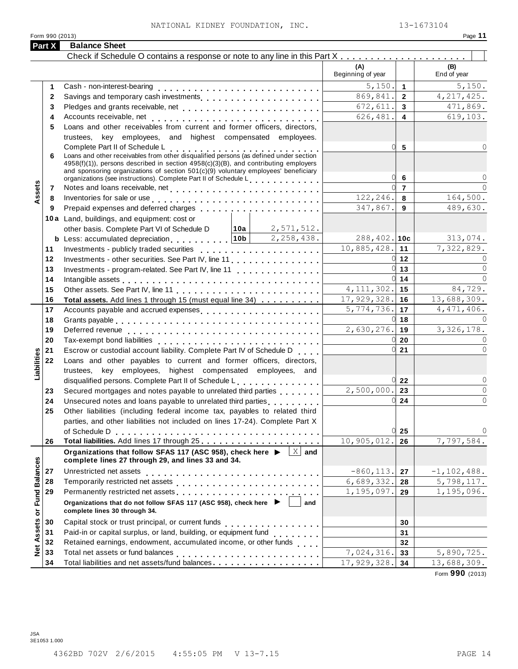### NATIONAL KIDNEY FOUNDATION, INC. 13-1673104

| Form 990 (2013)              | NATIONAL KIDNEY FOUNDATION, INC.                                                                                                                                                                                               |                                      | 13-1673104<br>Page 11       |
|------------------------------|--------------------------------------------------------------------------------------------------------------------------------------------------------------------------------------------------------------------------------|--------------------------------------|-----------------------------|
| Part X                       | <b>Balance Sheet</b>                                                                                                                                                                                                           |                                      |                             |
|                              |                                                                                                                                                                                                                                |                                      |                             |
|                              |                                                                                                                                                                                                                                | (A)                                  | (B)                         |
|                              |                                                                                                                                                                                                                                | Beginning of year                    | End of year                 |
| 1.                           | Cash - non-interest-bearing                                                                                                                                                                                                    | 5,150.<br>$\overline{1}$             | 5,150.                      |
| $\mathbf{2}$                 | Savings and temporary cash investments                                                                                                                                                                                         | 869,841.<br>$\overline{2}$           | 4, 217, 425.                |
| 3                            |                                                                                                                                                                                                                                | 672,611.<br>$\mathbf{3}$             | 471,869.                    |
| 4                            | Accounts receivable, net                                                                                                                                                                                                       | $\overline{4}$<br>626,481.           | 619,103.                    |
| 5                            | Loans and other receivables from current and former officers, directors,                                                                                                                                                       |                                      |                             |
|                              | trustees, key employees, and highest compensated employees.                                                                                                                                                                    |                                      |                             |
|                              | Complete Part II of Schedule L<br>Loans and other receivables from other disqualified persons (as defined under section                                                                                                        | 0l<br>5                              |                             |
| 6                            | $4958(f)(1)$ , persons described in section $4958(c)(3)(B)$ , and contributing employers                                                                                                                                       |                                      |                             |
|                              | and sponsoring organizations of section $501(c)(9)$ voluntary employees beneficiary                                                                                                                                            |                                      |                             |
|                              | organizations (see instructions). Complete Part II of Schedule L.                                                                                                                                                              | 0l<br>6                              |                             |
| Assets<br>7                  |                                                                                                                                                                                                                                | $\overline{7}$                       | $\cap$                      |
| 8                            | Inventories for sale or use enterpreteration of the contract of the contract of the contract of the contract of                                                                                                                | 122,246.<br>8                        | 164,500.                    |
| 9                            | Prepaid expenses and deferred charges experiences and the state of the state of the state of the state of the state of the state of the state of the state of the state of the state of the state of the state of the state of | 347,867.<br>9                        | 489,630.                    |
|                              | 10a Land, buildings, and equipment: cost or                                                                                                                                                                                    |                                      |                             |
|                              | other basis. Complete Part VI of Schedule D $\boxed{10a}$ $\boxed{2, 571, 512}$ .                                                                                                                                              |                                      |                             |
|                              | <b>b</b> Less: accumulated depreciation $\ldots \ldots \ldots \frac{10b}{2,258,438}$ .                                                                                                                                         | $288, 402.$ 10c                      | 313,074.                    |
| 11                           | Investments - publicly traded securities                                                                                                                                                                                       | $10,885,428.$ 11                     | 7,322,829.                  |
| 12                           | Investments - other securities. See Part IV, line 11                                                                                                                                                                           | $0 \vert 12 \vert$<br><sup>o</sup>   | $\Omega$                    |
| 13                           | Investments - program-related. See Part IV, line 11                                                                                                                                                                            | 13                                   | $\Omega$                    |
| 14                           |                                                                                                                                                                                                                                | 14<br>4, 111, 302.                   | $\cap$                      |
| 15                           |                                                                                                                                                                                                                                | 15                                   | 84,729.                     |
| 16                           | Total assets. Add lines 1 through 15 (must equal line 34)                                                                                                                                                                      | 17,929,328.<br>16<br>$5,774,736.$ 17 | 13,688,309.<br>4, 471, 406. |
| 17<br>18                     | Accounts payable and accrued expenses                                                                                                                                                                                          | <sup>o</sup><br>18                   | $\cap$                      |
| 19                           |                                                                                                                                                                                                                                | $2,630,276.$ 19                      | 3,326,178.                  |
| 20                           |                                                                                                                                                                                                                                | U<br>20                              | 0                           |
| 21                           | Escrow or custodial account liability. Complete Part IV of Schedule D.                                                                                                                                                         | <sup>o</sup><br>21                   | $\Omega$                    |
| 22                           | Loans and other payables to current and former officers, directors,                                                                                                                                                            |                                      |                             |
| abilities                    | trustees, key employees, highest compensated employees, and                                                                                                                                                                    |                                      |                             |
| ⊐                            | disqualified persons. Complete Part II of Schedule L.                                                                                                                                                                          | 0<br>22                              | $\circ$                     |
| 23                           | Secured mortgages and notes payable to unrelated third parties                                                                                                                                                                 | 2,500,000.<br>23                     | 0                           |
| 24                           | Unsecured notes and loans payable to unrelated third parties<br>                                                                                                                                                               | 24                                   | $\Omega$                    |
| 25                           | Other liabilities (including federal income tax, payables to related third                                                                                                                                                     |                                      |                             |
|                              | parties, and other liabilities not included on lines 17-24). Complete Part X                                                                                                                                                   |                                      |                             |
|                              | of Schedule D                                                                                                                                                                                                                  | U<br>25                              |                             |
| 26                           |                                                                                                                                                                                                                                | 10,905,012.<br>26                    | 7,797,584.                  |
|                              | Organizations that follow SFAS 117 (ASC 958), check here ▶<br>$X$ and<br>complete lines 27 through 29, and lines 33 and 34.                                                                                                    |                                      |                             |
| <b>Fund Balances</b><br>27   | Unrestricted net assets                                                                                                                                                                                                        | $-860, 113.$<br>27                   | $-1, 102, 488.$             |
| 28                           |                                                                                                                                                                                                                                | 6,689,332.<br>28                     | 5,798,117.                  |
| 29                           | Permanently restricted net assets entertainment of the set of the set of the set of the set of the set of the set of the set of the set of the set of the set of the set of the set of the set of the set of the set of the se | 1,195,097.<br>29                     | $\overline{1}$ , 195, 096.  |
| $\overleftarrow{\mathbf{o}}$ | Organizations that do not follow SFAS 117 (ASC 958), check here ▶<br>and<br>complete lines 30 through 34.                                                                                                                      |                                      |                             |
| 30                           | Capital stock or trust principal, or current funds<br>. <b>.</b> . <b>.</b> . <b>.</b>                                                                                                                                         | 30                                   |                             |
| Assets<br>31                 | Paid-in or capital surplus, or land, building, or equipment fund                                                                                                                                                               | 31                                   |                             |
| 32                           | Retained earnings, endowment, accumulated income, or other funds                                                                                                                                                               | 32                                   |                             |
| $\frac{1}{2}$<br>33          | Total net assets or fund balances                                                                                                                                                                                              | 7,024,316.<br>33                     | 5,890,725.                  |
| 34                           | Total liabilities and net assets/fund balances                                                                                                                                                                                 | 17,929,328.<br>34                    | 13,688,309.                 |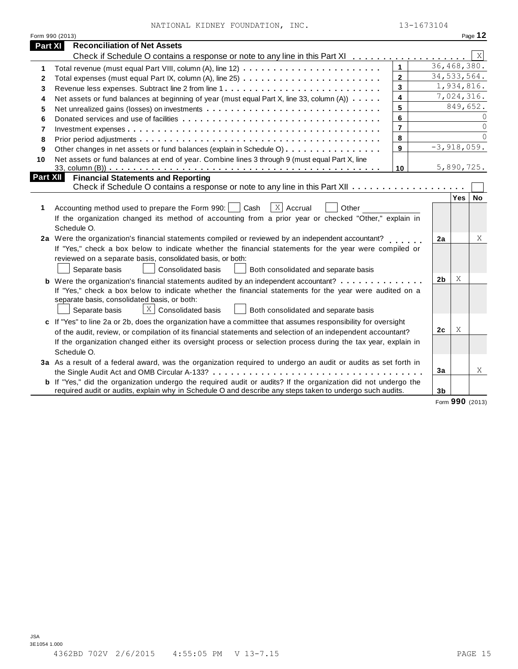| 8  | 8<br>Prior period adjustments enterprised research respectively. The contract respectively contract respectively |  |                |       |               |  |  |
|----|------------------------------------------------------------------------------------------------------------------|--|----------------|-------|---------------|--|--|
| 9  | 9<br>Other changes in net assets or fund balances (explain in Schedule O)                                        |  |                |       | $-3,918,059.$ |  |  |
| 10 | Net assets or fund balances at end of year. Combine lines 3 through 9 (must equal Part X, line<br>10             |  |                |       |               |  |  |
|    | art XII<br><b>Financial Statements and Reporting</b>                                                             |  |                |       |               |  |  |
|    |                                                                                                                  |  |                | Yes l | No.           |  |  |
|    | $ X $ Accrual<br>Accounting method used to prepare the Form 990:     Cash<br>Other                               |  |                |       |               |  |  |
|    | If the organization changed its method of accounting from a prior year or checked "Other," explain in            |  |                |       |               |  |  |
|    | Schedule O.                                                                                                      |  |                |       |               |  |  |
|    | 2a Were the organization's financial statements compiled or reviewed by an independent accountant?               |  | 2a             |       | X             |  |  |
|    | If "Yes," check a box below to indicate whether the financial statements for the year were compiled or           |  |                |       |               |  |  |
|    | reviewed on a separate basis, consolidated basis, or both:                                                       |  |                |       |               |  |  |
|    | Consolidated basis<br>Both consolidated and separate basis<br>Separate basis                                     |  |                |       |               |  |  |
|    |                                                                                                                  |  | 2 <sub>b</sub> | X     |               |  |  |
|    | If "Yes," check a box below to indicate whether the financial statements for the year were audited on a          |  |                |       |               |  |  |
|    | separate basis, consolidated basis, or both:                                                                     |  |                |       |               |  |  |
|    | X<br><b>Consolidated basis</b><br>Separate basis<br>Both consolidated and separate basis                         |  |                |       |               |  |  |
|    | c If "Yes" to line 2a or 2b, does the organization have a committee that assumes responsibility for oversight    |  |                |       |               |  |  |
|    | of the audit, review, or compilation of its financial statements and selection of an independent accountant?     |  | 2c             | Χ     |               |  |  |
|    |                                                                                                                  |  |                |       |               |  |  |

# **a** Were the organization's financial statements compiled or reviewed by an independent accountant? **2a** | **2a** If "Yes," check a box below to indicate whether the financial statements for the year were compiled or

| $\Box$ ocparate pasis $\Box$ $\Box$ ourisuluated pasis $\Box$ Dutti curisuluated and separate pasis                   |
|-----------------------------------------------------------------------------------------------------------------------|
| c If "Yes" to line 2a or 2b, does the organization have a committee that assumes responsibility for oversight         |
| of the audit, review, or compilation of its financial statements and selection of an independent accountant?          |
| If the organization changed either its oversight process or selection process during the tax year, explain in         |
| Schedule O.                                                                                                           |
| 3a As a result of a federal award, was the organization required to undergo an audit or audits as set forth in        |
|                                                                                                                       |
| <b>b</b> If "Yes," did the organization undergo the required audit or audits? If the organization did not undergo the |
| required audit or audits, explain why in Schedule O and describe any steps taken to undergo such audits.              |
|                                                                                                                       |

| ו וועווטומו טנענטווטונט עווע וגטאטונווע<br>Check if Schedule O contains a response or note to any line in this Part XII $\dots \dots \dots \dots$                                                                                                                           |
|-----------------------------------------------------------------------------------------------------------------------------------------------------------------------------------------------------------------------------------------------------------------------------|
| Accounting method used to prepare the Form 990: $\vert$ Cash $\vert$ X Accrual<br>Other<br>If the organization changed its method of accounting from a prior year or checked "Other," explain in<br>Schedule O.                                                             |
| Were the organization's financial statements compiled or reviewed by an independent accountant?                                                                                                                                                                             |
| If "Yes," check a box below to indicate whether the financial statements for the year were compiled or<br>reviewed on a separate basis, consolidated basis, or both:                                                                                                        |
| Consolidated basis<br>Both consolidated and separate basis<br>Separate basis                                                                                                                                                                                                |
| Were the organization's financial statements audited by an independent accountant? $\ldots \ldots \ldots \ldots$<br>If "Yes," check a box below to indicate whether the financial statements for the year were audited on a<br>separate basis, consolidated basis, or both: |
| $X$ Consolidated basis<br>Both consolidated and separate basis<br>Separate basis                                                                                                                                                                                            |
| If "Yes" to line 2a or 2b, does the organization have a committee that assumes responsibility for oversight<br>rent and the state of the state of the state of the state of the state of the state of the state of the state o                                              |

# Form 990 (2013) Page **12** Check if Schedule O contains a response or note to any line in this Part XI m m m m m m m m m m m m m m m m m m m **<sup>1</sup>** m m m m m m m m m m m m m m m m m m m m m m m m m m m m m m m m m m m m m m m m m m m m m m m m m m m m m m m m m m m m m m m m m m m m m m m m NATIONAL KIDNEY FOUNDATION, INC. 13-1673104

Net assets or fund balances at beginning of year (must equal Part X, line 33, column  $(A)$ )  $\ldots$ . Net unrealized gains (losses) on investments  $\dots \dots \dots \dots \dots \dots \dots \dots \dots \dots \dots \dots$ Donated services and use of facilities Investment expenses Prior period adjustments

metals are the community of year (must equal Part X, line 33, column (A))<br>
Net unrealized gains (losses) on investments<br>
Donated services and use of facilities<br>
Donated services and use of facilities<br>
Prior period adjustme

qual Part VIII, column (A), line  $12$ )<br>
equal Part IX, column (A), line  $25$ )<br>
es. Subtract line 2 from line 1<br>
lances at beginning of year (must equal Part X, line 33, column (A))<br>
losses) on investments<br>
use of faciliti m m m m m m m m m m m m m m m m m m m m m m m m m m m m m m m m m m m m m m m m

 **Part XI Reconciliation of Net Assets**

**1** Total revenue (must equal Part VIII, column (A), line 12)

Total expenses (must equal Part IX, column (A), line 25) Revenue less expenses. Subtract line 2 from line 1

m m m m m m m m m m m m m m m m m m m m m m m m m m m m m m m m m m m m m m m m m m m m m m m m m m m m m m m m m m m m m m

—<br>……<br>……<br>……

36,468,380. 34,533,564. 1,934,816. 7,024,316. 849,652.

 $\overline{X}$ 

0  $\overline{0}$  $\overline{0}$ 

Form **990** (2013)

X

**3a**

**3b**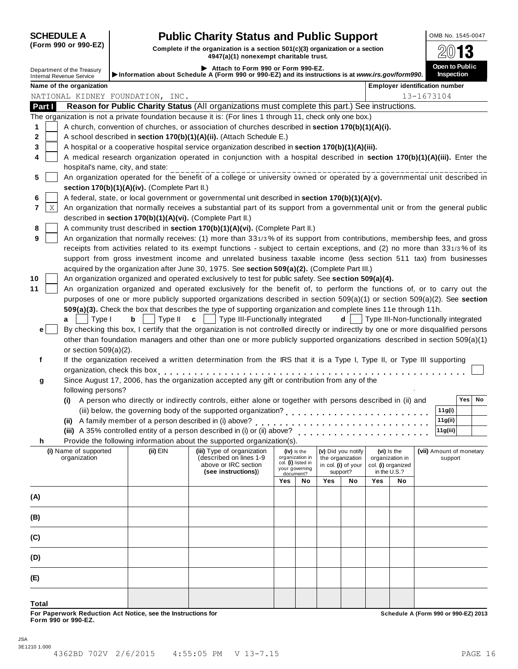| (Form 990 or 990-EZ) |  |  |  |  |
|----------------------|--|--|--|--|
|----------------------|--|--|--|--|

## **SCHEDULE A Public Charity Status and Public Support** OMB No. 1545-0047

(Form 990 or 990-EZ) **Complete if the organization is a section 501(c)(3)** organization or a section  $\frac{2013}{13}$ 

|                                                               |        |                                               |                                                                                                                                                                                                                                |     |                                       |                     |                                                           |     |              | Open to Public                             |
|---------------------------------------------------------------|--------|-----------------------------------------------|--------------------------------------------------------------------------------------------------------------------------------------------------------------------------------------------------------------------------------|-----|---------------------------------------|---------------------|-----------------------------------------------------------|-----|--------------|--------------------------------------------|
| Department of the Treasury<br><b>Internal Revenue Service</b> |        |                                               | Attach to Form 990 or Form 990-EZ.<br>Information about Schedule A (Form 990 or 990-EZ) and its instructions is at www.irs.gov/form990.                                                                                        |     |                                       |                     |                                                           |     |              | Inspection                                 |
| Name of the organization                                      |        |                                               |                                                                                                                                                                                                                                |     |                                       |                     |                                                           |     |              | <b>Employer identification number</b>      |
|                                                               |        | NATIONAL KIDNEY FOUNDATION, INC.              |                                                                                                                                                                                                                                |     |                                       |                     |                                                           |     |              | 13-1673104                                 |
| Part I                                                        |        |                                               | Reason for Public Charity Status (All organizations must complete this part.) See instructions.                                                                                                                                |     |                                       |                     |                                                           |     |              |                                            |
|                                                               |        |                                               | The organization is not a private foundation because it is: (For lines 1 through 11, check only one box.)                                                                                                                      |     |                                       |                     |                                                           |     |              |                                            |
| 1                                                             |        |                                               | A church, convention of churches, or association of churches described in section 170(b)(1)(A)(i).                                                                                                                             |     |                                       |                     |                                                           |     |              |                                            |
| 2                                                             |        |                                               | A school described in section 170(b)(1)(A)(ii). (Attach Schedule E.)                                                                                                                                                           |     |                                       |                     |                                                           |     |              |                                            |
| 3                                                             |        |                                               | A hospital or a cooperative hospital service organization described in section 170(b)(1)(A)(iii).                                                                                                                              |     |                                       |                     |                                                           |     |              |                                            |
| 4                                                             |        |                                               | A medical research organization operated in conjunction with a hospital described in section 170(b)(1)(A)(iii). Enter the                                                                                                      |     |                                       |                     |                                                           |     |              |                                            |
|                                                               |        | hospital's name, city, and state:             | An organization operated for the benefit of a college or university owned or operated by a governmental unit described in                                                                                                      |     |                                       |                     |                                                           |     |              |                                            |
| 5                                                             |        |                                               |                                                                                                                                                                                                                                |     |                                       |                     |                                                           |     |              |                                            |
|                                                               |        | section 170(b)(1)(A)(iv). (Complete Part II.) |                                                                                                                                                                                                                                |     |                                       |                     |                                                           |     |              |                                            |
| 6                                                             |        |                                               | A federal, state, or local government or governmental unit described in section 170(b)(1)(A)(v).                                                                                                                               |     |                                       |                     |                                                           |     |              |                                            |
| Χ<br>7                                                        |        |                                               | An organization that normally receives a substantial part of its support from a governmental unit or from the general public                                                                                                   |     |                                       |                     |                                                           |     |              |                                            |
|                                                               |        |                                               | described in section 170(b)(1)(A)(vi). (Complete Part II.)                                                                                                                                                                     |     |                                       |                     |                                                           |     |              |                                            |
| 8                                                             |        |                                               | A community trust described in section 170(b)(1)(A)(vi). (Complete Part II.)                                                                                                                                                   |     |                                       |                     |                                                           |     |              |                                            |
| 9                                                             |        |                                               | An organization that normally receives: (1) more than 331/3% of its support from contributions, membership fees, and gross                                                                                                     |     |                                       |                     |                                                           |     |              |                                            |
|                                                               |        |                                               | receipts from activities related to its exempt functions - subject to certain exceptions, and (2) no more than 331/3% of its                                                                                                   |     |                                       |                     |                                                           |     |              |                                            |
|                                                               |        |                                               | support from gross investment income and unrelated business taxable income (less section 511 tax) from businesses                                                                                                              |     |                                       |                     |                                                           |     |              |                                            |
|                                                               |        |                                               | acquired by the organization after June 30, 1975. See section 509(a)(2). (Complete Part III.)                                                                                                                                  |     |                                       |                     |                                                           |     |              |                                            |
| 10                                                            |        |                                               | An organization organized and operated exclusively to test for public safety. See section 509(a)(4).                                                                                                                           |     |                                       |                     |                                                           |     |              |                                            |
| 11                                                            |        |                                               | An organization organized and operated exclusively for the benefit of, to perform the functions of, or to carry out the                                                                                                        |     |                                       |                     |                                                           |     |              |                                            |
|                                                               |        |                                               | purposes of one or more publicly supported organizations described in section 509(a)(1) or section 509(a)(2). See section                                                                                                      |     |                                       |                     |                                                           |     |              |                                            |
|                                                               |        |                                               | 509(a)(3). Check the box that describes the type of supporting organization and complete lines 11e through 11h.                                                                                                                |     |                                       |                     |                                                           |     |              |                                            |
| a                                                             | Type I | Type II<br>b                                  | $\mathbf{c}$   Type III-Functionally integrated                                                                                                                                                                                |     |                                       |                     |                                                           |     |              | $d$   Type III-Non-functionally integrated |
| $\mathbf{e}$                                                  |        |                                               | By checking this box, I certify that the organization is not controlled directly or indirectly by one or more disqualified persons                                                                                             |     |                                       |                     |                                                           |     |              |                                            |
|                                                               |        |                                               | other than foundation managers and other than one or more publicly supported organizations described in section 509(a)(1)                                                                                                      |     |                                       |                     |                                                           |     |              |                                            |
| or section $509(a)(2)$ .                                      |        |                                               |                                                                                                                                                                                                                                |     |                                       |                     |                                                           |     |              |                                            |
| f                                                             |        |                                               | If the organization received a written determination from the IRS that it is a Type I, Type II, or Type III supporting                                                                                                         |     |                                       |                     |                                                           |     |              |                                            |
|                                                               |        |                                               | organization, check this box experience in the set of the set of the set of the set of the set of the set of the set of the set of the set of the set of the set of the set of the set of the set of the set of the set of the |     |                                       |                     |                                                           |     |              |                                            |
| g                                                             |        |                                               | Since August 17, 2006, has the organization accepted any gift or contribution from any of the                                                                                                                                  |     |                                       |                     |                                                           |     |              |                                            |
| following persons?                                            |        |                                               |                                                                                                                                                                                                                                |     |                                       |                     |                                                           |     |              |                                            |
| (i)                                                           |        |                                               | A person who directly or indirectly controls, either alone or together with persons described in (ii) and                                                                                                                      |     |                                       |                     |                                                           |     |              | Yes  <br>No                                |
|                                                               |        |                                               |                                                                                                                                                                                                                                |     |                                       |                     |                                                           |     |              | 11g(i)                                     |
|                                                               |        |                                               |                                                                                                                                                                                                                                |     |                                       |                     |                                                           |     |              | 11g(ii)                                    |
|                                                               |        |                                               | (iii) A 35% controlled entity of a person described in (i) or (ii) above?                                                                                                                                                      |     |                                       | .                   |                                                           |     |              | 11g(iii)                                   |
| h                                                             |        |                                               | Provide the following information about the supported organization(s).                                                                                                                                                         |     |                                       |                     |                                                           |     |              |                                            |
| (i) Name of supported                                         |        | (ii) EIN                                      | (iii) Type of organization                                                                                                                                                                                                     |     | $(iv)$ is the                         |                     | (v) Did you notify                                        |     | (vi) Is the  | (vii) Amount of monetary                   |
| organization                                                  |        |                                               | (described on lines 1-9<br>above or IRC section                                                                                                                                                                                |     | organization in<br>col. (i) listed in | in col. (i) of your | the organization<br>organization in<br>col. (i) organized |     |              | support                                    |
|                                                               |        |                                               | (see instructions))                                                                                                                                                                                                            |     | your governing<br>document?           |                     | support?                                                  |     | in the U.S.? |                                            |
|                                                               |        |                                               |                                                                                                                                                                                                                                | Yes | No                                    | Yes                 | No                                                        | Yes | No           |                                            |
|                                                               |        |                                               |                                                                                                                                                                                                                                |     |                                       |                     |                                                           |     |              |                                            |
| (A)                                                           |        |                                               |                                                                                                                                                                                                                                |     |                                       |                     |                                                           |     |              |                                            |
|                                                               |        |                                               |                                                                                                                                                                                                                                |     |                                       |                     |                                                           |     |              |                                            |
| (B)                                                           |        |                                               |                                                                                                                                                                                                                                |     |                                       |                     |                                                           |     |              |                                            |
|                                                               |        |                                               |                                                                                                                                                                                                                                |     |                                       |                     |                                                           |     |              |                                            |
| (C)                                                           |        |                                               |                                                                                                                                                                                                                                |     |                                       |                     |                                                           |     |              |                                            |
|                                                               |        |                                               |                                                                                                                                                                                                                                |     |                                       |                     |                                                           |     |              |                                            |
| (D)                                                           |        |                                               |                                                                                                                                                                                                                                |     |                                       |                     |                                                           |     |              |                                            |
|                                                               |        |                                               |                                                                                                                                                                                                                                |     |                                       |                     |                                                           |     |              |                                            |
| (E)                                                           |        |                                               |                                                                                                                                                                                                                                |     |                                       |                     |                                                           |     |              |                                            |
|                                                               |        |                                               |                                                                                                                                                                                                                                |     |                                       |                     |                                                           |     |              |                                            |
| <b>Total</b>                                                  |        |                                               |                                                                                                                                                                                                                                |     |                                       |                     |                                                           |     |              |                                            |

**For Paperwork Reduction Act Notice, see the Instructions for Form 990 or 990-EZ.**

**Schedule A (Form 990 or 990-EZ) 2013**

| ________<br>× |  |  |
|---------------|--|--|
|               |  |  |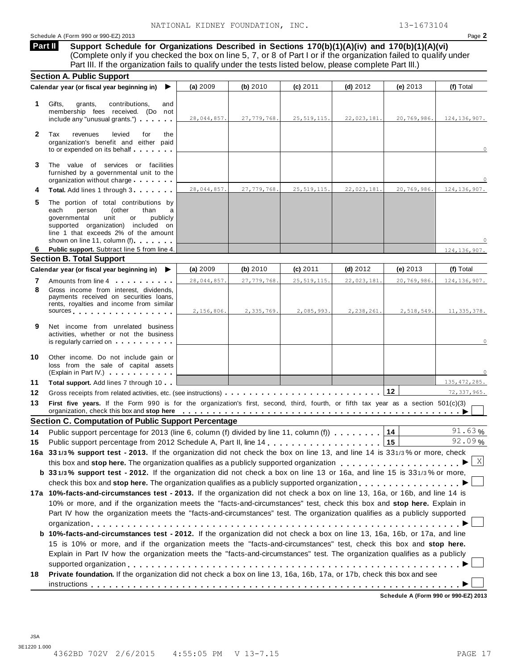#### Schedule A (Form 990 or 990-EZ) 2013 Page **2**

**Support Schedule for Organizations Described in Sections 170(b)(1)(A)(iv) and 170(b)(1)(A)(vi)** (Complete only if you checked the box on line 5, 7, or 8 of Part I or if the organization failed to qualify under **Part II** 

|              | Part III. If the organization fails to qualify under the tests listed below, please complete Part III.)                                                                                                                                                                                      |             |               |               |             |             |                |
|--------------|----------------------------------------------------------------------------------------------------------------------------------------------------------------------------------------------------------------------------------------------------------------------------------------------|-------------|---------------|---------------|-------------|-------------|----------------|
|              | <b>Section A. Public Support</b><br>Calendar year (or fiscal year beginning in)<br>▶                                                                                                                                                                                                         | (a) 2009    | (b) 2010      | (c) 2011      | $(d)$ 2012  | (e) 2013    | (f) Total      |
|              |                                                                                                                                                                                                                                                                                              |             |               |               |             |             |                |
| 1            | Gifts,<br>grants,<br>contributions.<br>and                                                                                                                                                                                                                                                   |             |               |               |             |             |                |
|              | membership fees received. (Do not<br>include any "unusual grants.")                                                                                                                                                                                                                          | 28,044,857. | 27, 779, 768. | 25, 519, 115. | 22,023,181. | 20,769,986. | 124, 136, 907. |
|              |                                                                                                                                                                                                                                                                                              |             |               |               |             |             |                |
| $\mathbf{2}$ | Tax<br>revenues<br>levied<br>for<br>the<br>organization's benefit and either paid                                                                                                                                                                                                            |             |               |               |             |             |                |
|              | to or expended on its behalf                                                                                                                                                                                                                                                                 |             |               |               |             |             | $\circ$        |
|              |                                                                                                                                                                                                                                                                                              |             |               |               |             |             |                |
| 3            | The value of services or facilities<br>furnished by a governmental unit to the                                                                                                                                                                                                               |             |               |               |             |             |                |
|              | organization without charge                                                                                                                                                                                                                                                                  |             |               |               |             |             |                |
| 4            | Total. Add lines 1 through 3                                                                                                                                                                                                                                                                 | 28,044,857. | 27,779,768.   | 25, 519, 115. | 22,023,181. | 20,769,986. | 124, 136, 907. |
| 5            | The portion of total contributions by                                                                                                                                                                                                                                                        |             |               |               |             |             |                |
|              | person<br>(other<br>each<br>than<br>a                                                                                                                                                                                                                                                        |             |               |               |             |             |                |
|              | governmental<br>publicly<br>unit<br>or<br>supported organization) included on                                                                                                                                                                                                                |             |               |               |             |             |                |
|              | line 1 that exceeds 2% of the amount                                                                                                                                                                                                                                                         |             |               |               |             |             |                |
| 6            | shown on line 11, column (f) <b>Shown</b> on line 11, column (f)                                                                                                                                                                                                                             |             |               |               |             |             | $\cap$         |
|              | Public support. Subtract line 5 from line 4.<br><b>Section B. Total Support</b>                                                                                                                                                                                                              |             |               |               |             |             | 124, 136, 907. |
|              | Calendar year (or fiscal year beginning in) $\blacktriangleright$                                                                                                                                                                                                                            | (a) 2009    | (b) 2010      | $(c)$ 2011    | $(d)$ 2012  | (e) $2013$  | (f) Total      |
| 7            | Amounts from line 4                                                                                                                                                                                                                                                                          | 28,044,857. | 27,779,768.   | 25, 519, 115. | 22,023,181. | 20,769,986. | 124, 136, 907. |
| 8            | Gross income from interest, dividends,                                                                                                                                                                                                                                                       |             |               |               |             |             |                |
|              | payments received on securities loans,<br>rents, royalties and income from similar                                                                                                                                                                                                           |             |               |               |             |             |                |
|              | sources sources                                                                                                                                                                                                                                                                              | 2,156,806.  | 2,335,769.    | 2,085,993.    | 2,238,261.  | 2,518,549.  | 11,335,378.    |
|              |                                                                                                                                                                                                                                                                                              |             |               |               |             |             |                |
| 9            | Net income from unrelated business<br>activities, whether or not the business                                                                                                                                                                                                                |             |               |               |             |             |                |
|              | is regularly carried on entitled by the set of the set of the set of the set of the set of the set of the set o                                                                                                                                                                              |             |               |               |             |             | 0              |
| 10           |                                                                                                                                                                                                                                                                                              |             |               |               |             |             |                |
|              | Other income. Do not include gain or<br>loss from the sale of capital assets                                                                                                                                                                                                                 |             |               |               |             |             |                |
|              | (Explain in Part IV.)                                                                                                                                                                                                                                                                        |             |               |               |             |             |                |
| 11           | Total support. Add lines 7 through 10                                                                                                                                                                                                                                                        |             |               |               |             |             | 135, 472, 285. |
| 12           |                                                                                                                                                                                                                                                                                              |             |               |               |             | 12          | 72, 337, 965.  |
| 13           | First five years. If the Form 990 is for the organization's first, second, third, fourth, or fifth tax year as a section 501(c)(3)                                                                                                                                                           |             |               |               |             |             |                |
|              | organization, check this box and stop here entirity of the state of the state of the state of the state of the state of the state of the state of the state of the state of the state of the state of the state of the state o<br><b>Section C. Computation of Public Support Percentage</b> |             |               |               |             |             |                |
| 14           | Public support percentage for 2013 (line 6, column (f) divided by line 11, column (f)                                                                                                                                                                                                        |             |               |               |             | 14          | 91.63%         |
|              |                                                                                                                                                                                                                                                                                              |             |               |               |             |             | 92.09%         |
|              | 16a 331/3% support test - 2013. If the organization did not check the box on line 13, and line 14 is 331/3% or more, check                                                                                                                                                                   |             |               |               |             |             |                |
|              |                                                                                                                                                                                                                                                                                              |             |               |               |             |             | $\mid$ X       |
|              |                                                                                                                                                                                                                                                                                              |             |               |               |             |             |                |
|              | this box and stop here. The organization qualifies as a publicly supported organization                                                                                                                                                                                                      |             |               |               |             |             |                |
|              | <b>b</b> 331/3% support test - 2012. If the organization did not check a box on line 13 or 16a, and line 15 is 331/3% or more,                                                                                                                                                               |             |               |               |             |             |                |
|              | check this box and stop here. The organization qualifies as a publicly supported organization                                                                                                                                                                                                |             |               |               |             |             |                |
|              | 17a 10%-facts-and-circumstances test - 2013. If the organization did not check a box on line 13, 16a, or 16b, and line 14 is<br>10% or more, and if the organization meets the "facts-and-circumstances" test, check this box and stop here. Explain in                                      |             |               |               |             |             |                |
|              | Part IV how the organization meets the "facts-and-circumstances" test. The organization qualifies as a publicly supported                                                                                                                                                                    |             |               |               |             |             |                |
|              |                                                                                                                                                                                                                                                                                              |             |               |               |             |             |                |
|              | <b>b 10%-facts-and-circumstances test - 2012.</b> If the organization did not check a box on line 13, 16a, 16b, or 17a, and line                                                                                                                                                             |             |               |               |             |             |                |
|              | 15 is 10% or more, and if the organization meets the "facts-and-circumstances" test, check this box and stop here.                                                                                                                                                                           |             |               |               |             |             |                |
| 15           | Explain in Part IV how the organization meets the "facts-and-circumstances" test. The organization qualifies as a publicly                                                                                                                                                                   |             |               |               |             |             |                |
|              |                                                                                                                                                                                                                                                                                              |             |               |               |             |             |                |
| 18           | Private foundation. If the organization did not check a box on line 13, 16a, 16b, 17a, or 17b, check this box and see                                                                                                                                                                        |             |               |               |             |             |                |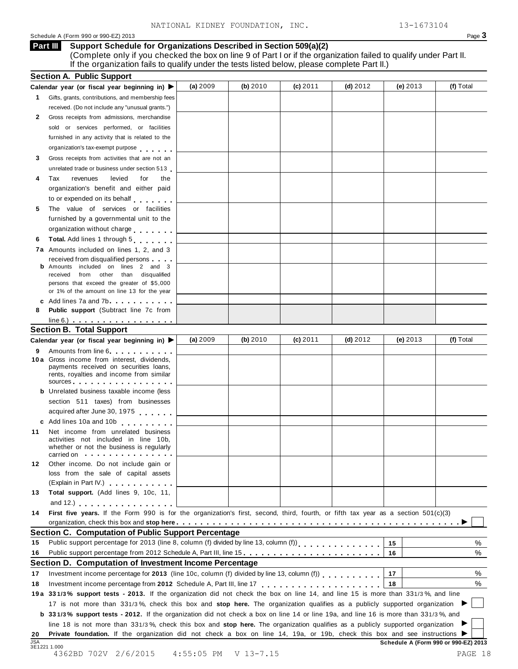#### Schedule A (Form 990 or 990-EZ) 2013 Page **3**

#### **Support Schedule for Organizations Described in Section 509(a)(2) Part III**

(Complete only if you checked the box on line 9 of Part I or if the organization failed to qualify under Part II. If the organization fails to qualify under the tests listed below, please complete Part II.)

|            | <b>Section A. Public Support</b>                                                                                                                                                                                                                                           |              |             |            |            |            |                                      |
|------------|----------------------------------------------------------------------------------------------------------------------------------------------------------------------------------------------------------------------------------------------------------------------------|--------------|-------------|------------|------------|------------|--------------------------------------|
|            | Calendar year (or fiscal year beginning in) ▶                                                                                                                                                                                                                              | (a) $2009$   | (b) $2010$  | $(c)$ 2011 | (d) $2012$ | (e) $2013$ | (f) Total                            |
| 1          | Gifts, grants, contributions, and membership fees                                                                                                                                                                                                                          |              |             |            |            |            |                                      |
|            | received. (Do not include any "unusual grants.")                                                                                                                                                                                                                           |              |             |            |            |            |                                      |
| 2          | Gross receipts from admissions, merchandise                                                                                                                                                                                                                                |              |             |            |            |            |                                      |
|            | sold or services performed, or facilities                                                                                                                                                                                                                                  |              |             |            |            |            |                                      |
|            | furnished in any activity that is related to the                                                                                                                                                                                                                           |              |             |            |            |            |                                      |
|            | organization's tax-exempt purpose                                                                                                                                                                                                                                          |              |             |            |            |            |                                      |
| 3          | Gross receipts from activities that are not an                                                                                                                                                                                                                             |              |             |            |            |            |                                      |
|            | unrelated trade or business under section 513                                                                                                                                                                                                                              |              |             |            |            |            |                                      |
| 4          | Tax<br>revenues<br>levied<br>for<br>the                                                                                                                                                                                                                                    |              |             |            |            |            |                                      |
|            | organization's benefit and either paid                                                                                                                                                                                                                                     |              |             |            |            |            |                                      |
|            | to or expended on its behalf                                                                                                                                                                                                                                               |              |             |            |            |            |                                      |
| 5          | The value of services or facilities                                                                                                                                                                                                                                        |              |             |            |            |            |                                      |
|            | furnished by a governmental unit to the                                                                                                                                                                                                                                    |              |             |            |            |            |                                      |
|            | organization without charge                                                                                                                                                                                                                                                |              |             |            |            |            |                                      |
| 6          | Total. Add lines 1 through 5                                                                                                                                                                                                                                               |              |             |            |            |            |                                      |
|            | <b>7a</b> Amounts included on lines 1, 2, and 3                                                                                                                                                                                                                            |              |             |            |            |            |                                      |
|            | received from disqualified persons                                                                                                                                                                                                                                         |              |             |            |            |            |                                      |
|            | <b>b</b> Amounts included on lines 2 and 3                                                                                                                                                                                                                                 |              |             |            |            |            |                                      |
|            | received from other than disqualified                                                                                                                                                                                                                                      |              |             |            |            |            |                                      |
|            | persons that exceed the greater of \$5,000<br>or 1% of the amount on line 13 for the year                                                                                                                                                                                  |              |             |            |            |            |                                      |
|            | c Add lines 7a and 7b                                                                                                                                                                                                                                                      |              |             |            |            |            |                                      |
| 8          | Public support (Subtract line 7c from                                                                                                                                                                                                                                      |              |             |            |            |            |                                      |
|            | $line 6.)$                                                                                                                                                                                                                                                                 |              |             |            |            |            |                                      |
|            | <b>Section B. Total Support</b>                                                                                                                                                                                                                                            |              |             |            |            |            |                                      |
|            | Calendar year (or fiscal year beginning in) ▶                                                                                                                                                                                                                              | (a) $2009$   | (b) $2010$  | $(c)$ 2011 | $(d)$ 2012 | (e) $2013$ | (f) Total                            |
| 9          | Amounts from line 6                                                                                                                                                                                                                                                        |              |             |            |            |            |                                      |
|            | 10a Gross income from interest, dividends,                                                                                                                                                                                                                                 |              |             |            |            |            |                                      |
|            | payments received on securities loans,                                                                                                                                                                                                                                     |              |             |            |            |            |                                      |
|            | rents, royalties and income from similar<br>sources entering the set of the set of the set of the set of the set of the set of the set of the set of the set of the set of the set of the set of the set of the set of the set of the set of the set of the set of the set |              |             |            |            |            |                                      |
|            | <b>b</b> Unrelated business taxable income (less                                                                                                                                                                                                                           |              |             |            |            |            |                                      |
|            | section 511 taxes) from businesses                                                                                                                                                                                                                                         |              |             |            |            |            |                                      |
|            | acquired after June 30, 1975                                                                                                                                                                                                                                               |              |             |            |            |            |                                      |
|            | c Add lines 10a and 10b                                                                                                                                                                                                                                                    |              |             |            |            |            |                                      |
| 11         | Net income from unrelated business                                                                                                                                                                                                                                         |              |             |            |            |            |                                      |
|            | activities not included in line 10b,                                                                                                                                                                                                                                       |              |             |            |            |            |                                      |
|            | whether or not the business is regularly                                                                                                                                                                                                                                   |              |             |            |            |            |                                      |
| 12         | carried on the carried on the contract of the care of the contract of the contract of the contract of the contract of<br>Other income. Do not include gain or                                                                                                              |              |             |            |            |            |                                      |
|            | loss from the sale of capital assets                                                                                                                                                                                                                                       |              |             |            |            |            |                                      |
|            | (Explain in Part IV.)                                                                                                                                                                                                                                                      |              |             |            |            |            |                                      |
| 13         | Total support. (Add lines 9, 10c, 11,                                                                                                                                                                                                                                      |              |             |            |            |            |                                      |
|            | and 12.) $\cdots$ $\cdots$ $\cdots$ $\cdots$ $\cdots$                                                                                                                                                                                                                      |              |             |            |            |            |                                      |
| 14         | First five years. If the Form 990 is for the organization's first, second, third, fourth, or fifth tax year as a section 501(c)(3)                                                                                                                                         |              |             |            |            |            |                                      |
|            |                                                                                                                                                                                                                                                                            |              |             |            |            |            |                                      |
|            | Section C. Computation of Public Support Percentage                                                                                                                                                                                                                        |              |             |            |            |            |                                      |
| 15         | Public support percentage for 2013 (line 8, column (f) divided by line 13, column (f))<br>[11]                                                                                                                                                                             |              |             |            |            | 15         | %                                    |
| 16         | Public support percentage from 2012 Schedule A, Part III, line 15.                                                                                                                                                                                                         |              |             |            |            | 16         | %                                    |
|            | Section D. Computation of Investment Income Percentage                                                                                                                                                                                                                     |              |             |            |            |            |                                      |
| 17         |                                                                                                                                                                                                                                                                            |              |             |            |            | 17         | %                                    |
| 18         |                                                                                                                                                                                                                                                                            |              |             |            |            | 18         | %                                    |
|            | 19a 331/3% support tests - 2013. If the organization did not check the box on line 14, and line 15 is more than 331/3%, and line                                                                                                                                           |              |             |            |            |            |                                      |
|            | 17 is not more than 331/3%, check this box and stop here. The organization qualifies as a publicly supported organization                                                                                                                                                  |              |             |            |            |            |                                      |
|            | <b>b</b> 331/3% support tests - 2012. If the organization did not check a box on line 14 or line 19a, and line 16 is more than 331/3%, and                                                                                                                                 |              |             |            |            |            |                                      |
|            | line 18 is not more than 331/3%, check this box and stop here. The organization qualifies as a publicly supported organization                                                                                                                                             |              |             |            |            |            |                                      |
| 20         | Private foundation. If the organization did not check a box on line 14, 19a, or 19b, check this box and see instructions ▶                                                                                                                                                 |              |             |            |            |            |                                      |
| <b>JSA</b> |                                                                                                                                                                                                                                                                            |              |             |            |            |            | Schedule A (Form 990 or 990-EZ) 2013 |
|            | 3E1221 1.000<br>4362BD 702V 2/6/2015                                                                                                                                                                                                                                       | $4:55:05$ PM | $V$ 13-7.15 |            |            |            | PAGE 18                              |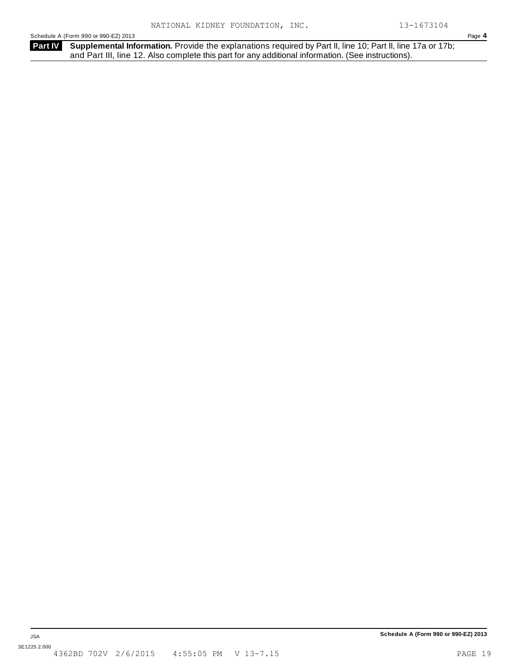Schedule A (Form 990 or 990-EZ) 2013 Page **4**

**Part IV** Supplemental Information. Provide the explanations required by Part II, line 10; Part II, line 17a or 17b; and Part III, line 12. Also complete this part for any additional information. (See instructions).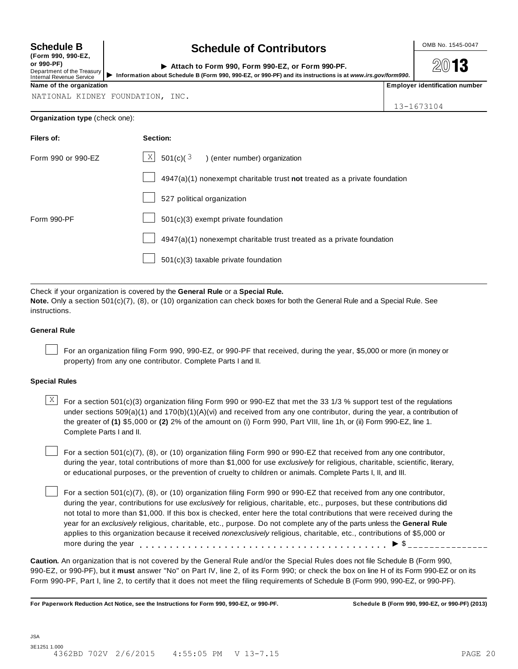| <b>Schedule B</b> |  |
|-------------------|--|
|-------------------|--|

**(Form 990, 990-EZ, or 990-PF)** Department of the Treasury<br>Internal Revenue Service Internal Revenue Service

## Schedule B Contributors **Contribution**

| ( FUI III  990, 990 EL,<br>or 990-PF).<br>Department of the Treasury<br>Internal Revenue Service |  | Attach to Form 990, Form 990-EZ, or Form 990-PF.<br>Information about Schedule B (Form 990, 990-EZ, or 990-PF) and its instructions is at www.irs.gov/form990. |  | 2013                             |
|--------------------------------------------------------------------------------------------------|--|----------------------------------------------------------------------------------------------------------------------------------------------------------------|--|----------------------------------|
| Name of the organization                                                                         |  |                                                                                                                                                                |  | l Emplover identification number |

**2013** 

NATIONAL KIDNEY FOUNDATION, INC.

13-1673104

#### **Organization type** (check one):

| Filers of:         | Section:                                                                          |
|--------------------|-----------------------------------------------------------------------------------|
| Form 990 or 990-EZ | $\lfloor \frac{X}{2} \rfloor$ 501(c)( $\frac{3}{2}$ ) (enter number) organization |
|                    | 4947(a)(1) nonexempt charitable trust not treated as a private foundation         |
|                    | 527 political organization                                                        |
| Form 990-PF        | $501(c)(3)$ exempt private foundation                                             |
|                    | 4947(a)(1) nonexempt charitable trust treated as a private foundation             |
|                    | 501(c)(3) taxable private foundation                                              |
|                    |                                                                                   |

Check if your organization is covered by the **General Rule** or a **Special Rule.**

**Note.** Only a section 501(c)(7), (8), or (10) organization can check boxes for both the General Rule and a Special Rule. See instructions.

#### **General Rule**

For an organization filing Form 990, 990-EZ, or 990-PF that received, during the year, \$5,000 or more (in money or property) from any one contributor. Complete Parts I and II.

#### **Special Rules**

 $\frac{X}{X}$  For a section 501(c)(3) organization filing Form 990 or 990-EZ that met the 33 1/3 % support test of the regulations under sections 509(a)(1) and 170(b)(1)(A)(vi) and received from any one contributor, during the year, a contribution of the greater of **(1)** \$5,000 or **(2)** 2% of the amount on (i) Form 990, Part VIII, line 1h, or (ii) Form 990-EZ, line 1. Complete Parts I and II.

For a section 501(c)(7), (8), or (10) organization filing Form 990 or 990-EZ that received from any one contributor, during the year, total contributions of more than \$1,000 for use *exclusively* for religious, charitable, scientific, literary, or educational purposes, or the prevention of cruelty to children or animals. Complete Parts I, II, and III.

For a section 501(c)(7), (8), or (10) organization filing Form 990 or 990-EZ that received from any one contributor, during the year, contributions for use *exclusively* for religious, charitable, etc., purposes, but these contributions did not total to more than \$1,000. If this box is checked, enter here the total contributions that were received during the year for an *exclusively* religious, charitable, etc., purpose. Do not complete any of the parts unless the **General Rule** applies to this organization because it received *nonexclusively* religious, charitable, etc., contributions of \$5,000 or more during the year (8), or (10) organization filing Form 990 or 990-EZ that received from any one con<br>utions for use exclusively for religious, charitable, etc., purposes, but these contributions<br>\$1,000. If this box is checked, enter here t

**Caution.** An organization that is not covered by the General Rule and/or the Special Rules does not file Schedule B (Form 990, 990-EZ, or 990-PF), but it **must** answer "No" on Part IV, line 2, of its Form 990; or check the box on line H of its Form 990-EZ or on its Form 990-PF, Part I, line 2, to certify that it does not meet the filing requirements of Schedule B (Form 990, 990-EZ, or 990-PF).

**For Paperwork Reduction Act Notice, see the Instructions for Form 990, 990-EZ, or 990-PF. Schedule B (Form 990, 990-EZ, or 990-PF) (2013)**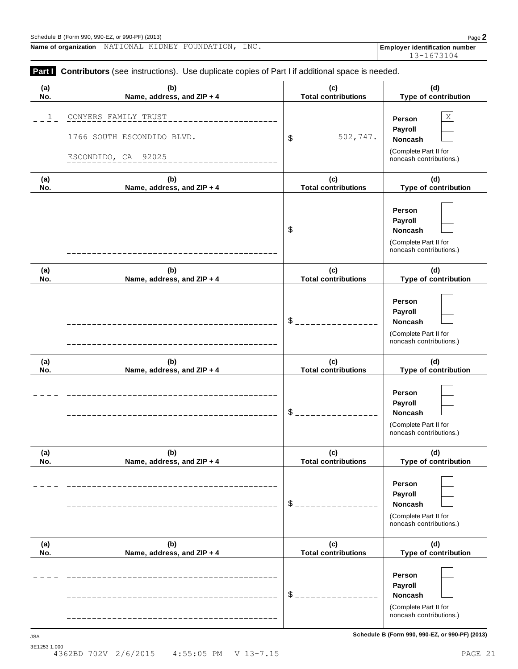**(a) No.**

**Name of organization** NATIONAL KIDNEY FOUNDATION**,** INC**. Employer identification number** 

**(b) Name, address, and ZIP + 4**

| ,,,,,        |  |                                           |  |  |
|--------------|--|-------------------------------------------|--|--|
| 3E1253 1.000 |  |                                           |  |  |
|              |  | 4362BD 702V 2/6/2015 4:55:05 PM V 13-7.15 |  |  |

**Schedule B (Form 990, 990-EZ, or 990-PF) (2013)** JSA

| $\overline{\mathbf{1}}$ | CONYERS FAMILY TRUST<br>1766 SOUTH ESCONDIDO BLVD.<br>ESCONDIDO, CA 92025 | 502,747.<br>\$                    | Χ<br>Person<br>Payroll<br>Noncash<br>(Complete Part II for<br>noncash contributions.)          |
|-------------------------|---------------------------------------------------------------------------|-----------------------------------|------------------------------------------------------------------------------------------------|
| (a)<br>No.              | (b)<br>Name, address, and ZIP + 4                                         | (c)<br><b>Total contributions</b> | (d)<br>Type of contribution                                                                    |
|                         |                                                                           | \$                                | Person<br>Payroll<br>Noncash<br>(Complete Part II for<br>noncash contributions.)               |
| (a)<br>No.              | (b)<br>Name, address, and ZIP + 4                                         | (c)<br><b>Total contributions</b> | (d)<br>Type of contribution                                                                    |
|                         |                                                                           | \$                                | Person<br>Payroll<br>Noncash<br>(Complete Part II for<br>noncash contributions.)               |
| (a)<br>No.              | (b)<br>Name, address, and ZIP + 4                                         | (c)<br><b>Total contributions</b> | (d)<br>Type of contribution                                                                    |
|                         |                                                                           | \$                                | Person<br>Payroll<br><b>Noncash</b><br>(Complete Part II for<br>noncash contributions.)        |
| (a)<br>No.              | (b)<br>Name, address, and ZIP + 4                                         | (c)<br><b>Total contributions</b> | (d)<br>Type of contribution                                                                    |
|                         |                                                                           | \$                                | Person<br><b>Payroll</b><br><b>Noncash</b><br>(Complete Part II for<br>noncash contributions.) |
| (a)<br>No.              | (b)<br>Name, address, and ZIP + 4                                         | (c)<br><b>Total contributions</b> | (d)<br>Type of contribution                                                                    |
|                         |                                                                           | \$                                | Person<br>Payroll<br><b>Noncash</b><br>(Complete Part II for<br>noncash contributions.)        |

**Part I** Contributors (see instructions). Use duplicate copies of Part I if additional space is needed.

Schedule B (Form 990, 990-EZ, or 990-PF) (2013) Page **2**

13-1673104

**(d) Type of contribution**

**(c) Total contributions**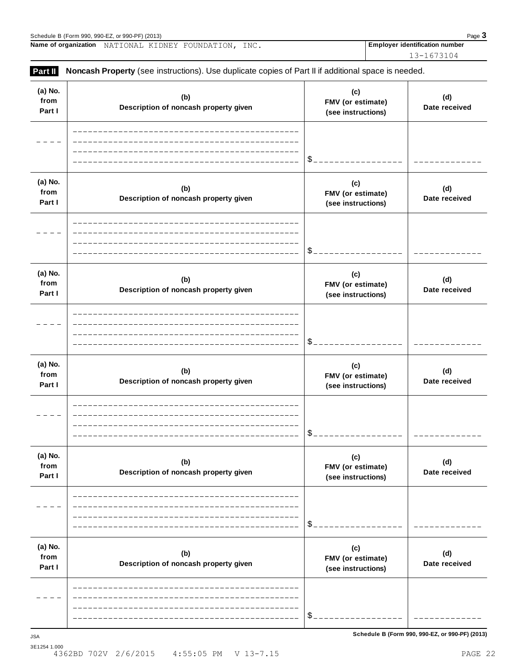|                           | Name of organization<br>NATIONAL KIDNEY FOUNDATION, INC.                                            |                                                | <b>Employer identification number</b> |
|---------------------------|-----------------------------------------------------------------------------------------------------|------------------------------------------------|---------------------------------------|
| Part II                   | Noncash Property (see instructions). Use duplicate copies of Part II if additional space is needed. |                                                | 13-1673104                            |
| (a) No.<br>from<br>Part I | (b)<br>Description of noncash property given                                                        | (c)<br>FMV (or estimate)<br>(see instructions) | (d)<br>Date received                  |
|                           |                                                                                                     | \$.                                            |                                       |
| (a) No.<br>from<br>Part I | (b)<br>Description of noncash property given                                                        | (c)<br>FMV (or estimate)<br>(see instructions) | (d)<br>Date received                  |
|                           |                                                                                                     | \$.                                            |                                       |
| (a) No.<br>from<br>Part I | (b)<br>Description of noncash property given                                                        | (c)<br>FMV (or estimate)<br>(see instructions) | (d)<br>Date received                  |
|                           |                                                                                                     |                                                |                                       |
| (a) No.<br>from<br>Part I | (b)<br>Description of noncash property given                                                        | (c)<br>FMV (or estimate)<br>(see instructions) | (d)<br>Date received                  |
|                           |                                                                                                     |                                                |                                       |
| (a) No.<br>from<br>Part I | (b)<br>Description of noncash property given                                                        | (c)<br>FMV (or estimate)<br>(see instructions) | (d)<br>Date received                  |
|                           |                                                                                                     |                                                |                                       |
| (a) No.<br>from<br>Part I | (b)<br>Description of noncash property given                                                        | (c)<br>FMV (or estimate)<br>(see instructions) | (d)<br>Date received                  |

\$

 $-1$  $\sim$  $\overline{a}$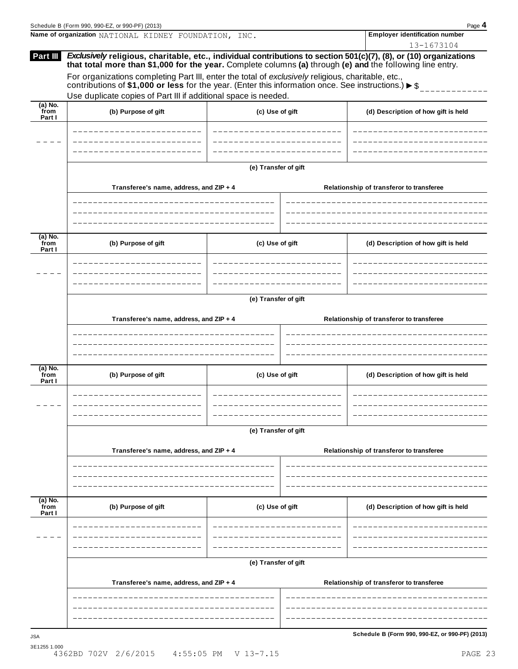|                             | Schedule B (Form 990, 990-EZ, or 990-PF) (2013)                                                                                                                                                                                                                                                                                       |                      |  | Page 4                                          |
|-----------------------------|---------------------------------------------------------------------------------------------------------------------------------------------------------------------------------------------------------------------------------------------------------------------------------------------------------------------------------------|----------------------|--|-------------------------------------------------|
|                             | Name of organization NATIONAL KIDNEY FOUNDATION, INC.                                                                                                                                                                                                                                                                                 |                      |  | <b>Employer identification number</b>           |
| Part III                    | Exclusively religious, charitable, etc., individual contributions to section 501(c)(7), (8), or (10) organizations<br>that total more than \$1,000 for the year. Complete columns (a) through (e) and the following line entry.<br>For organizations completing Part III, enter the total of exclusively religious, charitable, etc., | 13-1673104           |  |                                                 |
|                             | contributions of \$1,000 or less for the year. (Enter this information once. See instructions.) $\triangleright$ \$                                                                                                                                                                                                                   |                      |  |                                                 |
|                             | Use duplicate copies of Part III if additional space is needed.                                                                                                                                                                                                                                                                       |                      |  |                                                 |
| $(a)$ No.<br>from<br>Part I | (b) Purpose of gift                                                                                                                                                                                                                                                                                                                   | (c) Use of gift      |  | (d) Description of how gift is held             |
|                             |                                                                                                                                                                                                                                                                                                                                       |                      |  |                                                 |
|                             |                                                                                                                                                                                                                                                                                                                                       | (e) Transfer of gift |  |                                                 |
|                             | Transferee's name, address, and ZIP + 4                                                                                                                                                                                                                                                                                               |                      |  | Relationship of transferor to transferee        |
|                             |                                                                                                                                                                                                                                                                                                                                       |                      |  |                                                 |
| $(a)$ No.<br>from<br>Part I | (b) Purpose of gift                                                                                                                                                                                                                                                                                                                   | (c) Use of gift      |  | (d) Description of how gift is held             |
|                             |                                                                                                                                                                                                                                                                                                                                       |                      |  |                                                 |
|                             |                                                                                                                                                                                                                                                                                                                                       |                      |  |                                                 |
|                             | Transferee's name, address, and ZIP + 4                                                                                                                                                                                                                                                                                               | (e) Transfer of gift |  | Relationship of transferor to transferee        |
|                             |                                                                                                                                                                                                                                                                                                                                       |                      |  |                                                 |
|                             |                                                                                                                                                                                                                                                                                                                                       |                      |  |                                                 |
|                             |                                                                                                                                                                                                                                                                                                                                       |                      |  |                                                 |
| (a) No.<br>from<br>Part I   | (b) Purpose of gift                                                                                                                                                                                                                                                                                                                   | (c) Use of gift      |  | (d) Description of how gift is held             |
|                             |                                                                                                                                                                                                                                                                                                                                       |                      |  |                                                 |
|                             |                                                                                                                                                                                                                                                                                                                                       | (e) Transfer of gift |  |                                                 |
|                             | Transferee's name, address, and ZIP + 4                                                                                                                                                                                                                                                                                               |                      |  | Relationship of transferor to transferee        |
|                             |                                                                                                                                                                                                                                                                                                                                       |                      |  |                                                 |
| $(a)$ No.<br>from           | (b) Purpose of gift                                                                                                                                                                                                                                                                                                                   | (c) Use of gift      |  | (d) Description of how gift is held             |
| Part I                      |                                                                                                                                                                                                                                                                                                                                       |                      |  |                                                 |
|                             |                                                                                                                                                                                                                                                                                                                                       |                      |  |                                                 |
|                             |                                                                                                                                                                                                                                                                                                                                       | (e) Transfer of gift |  |                                                 |
|                             | Transferee's name, address, and ZIP + 4                                                                                                                                                                                                                                                                                               |                      |  | Relationship of transferor to transferee        |
|                             |                                                                                                                                                                                                                                                                                                                                       |                      |  |                                                 |
| <b>JSA</b>                  |                                                                                                                                                                                                                                                                                                                                       |                      |  | Schedule B (Form 990, 990-EZ, or 990-PF) (2013) |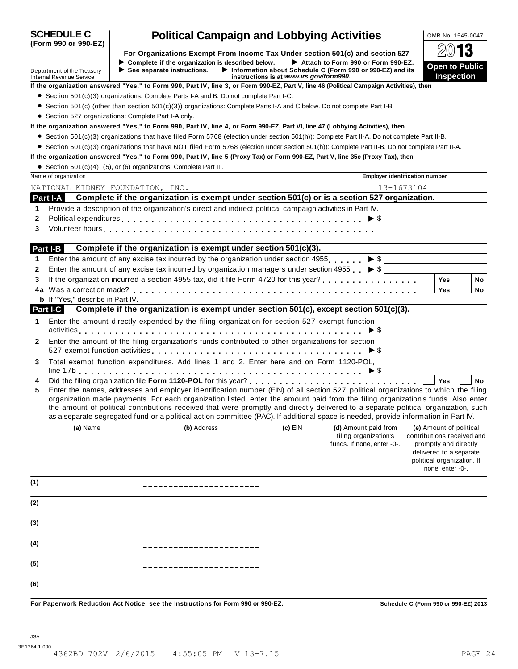| <b>SCHEDULE C</b><br>(Form 990 or 990-EZ)                     | <b>Political Campaign and Lobbying Activities</b>                                                                                                                                                                                                                                                                                                                                                                                                                                                                                                    |                                                                                                                                            | OMB No. 1545-0047                                                                                                                                           |
|---------------------------------------------------------------|------------------------------------------------------------------------------------------------------------------------------------------------------------------------------------------------------------------------------------------------------------------------------------------------------------------------------------------------------------------------------------------------------------------------------------------------------------------------------------------------------------------------------------------------------|--------------------------------------------------------------------------------------------------------------------------------------------|-------------------------------------------------------------------------------------------------------------------------------------------------------------|
|                                                               | For Organizations Exempt From Income Tax Under section 501(c) and section 527                                                                                                                                                                                                                                                                                                                                                                                                                                                                        |                                                                                                                                            | $20$ 13                                                                                                                                                     |
| Department of the Treasury<br><b>Internal Revenue Service</b> | Complete if the organization is described below.<br>$\blacktriangleright$ See separate instructions.                                                                                                                                                                                                                                                                                                                                                                                                                                                 | Attach to Form 990 or Form 990-EZ.<br>Information about Schedule C (Form 990 or 990-EZ) and its<br>instructions is at www.irs.gov/form990. | <b>Open to Public</b><br><b>Inspection</b>                                                                                                                  |
|                                                               | If the organization answered "Yes," to Form 990, Part IV, line 3, or Form 990-EZ, Part V, line 46 (Political Campaign Activities), then                                                                                                                                                                                                                                                                                                                                                                                                              |                                                                                                                                            |                                                                                                                                                             |
|                                                               | $\bullet$ Section 501(c)(3) organizations: Complete Parts I-A and B. Do not complete Part I-C.                                                                                                                                                                                                                                                                                                                                                                                                                                                       |                                                                                                                                            |                                                                                                                                                             |
|                                                               | • Section 501(c) (other than section 501(c)(3)) organizations: Complete Parts I-A and C below. Do not complete Part I-B.                                                                                                                                                                                                                                                                                                                                                                                                                             |                                                                                                                                            |                                                                                                                                                             |
|                                                               | • Section 527 organizations: Complete Part I-A only.                                                                                                                                                                                                                                                                                                                                                                                                                                                                                                 |                                                                                                                                            |                                                                                                                                                             |
|                                                               | If the organization answered "Yes," to Form 990, Part IV, line 4, or Form 990-EZ, Part VI, line 47 (Lobbying Activities), then                                                                                                                                                                                                                                                                                                                                                                                                                       |                                                                                                                                            |                                                                                                                                                             |
|                                                               | ● Section 501(c)(3) organizations that have filed Form 5768 (election under section 501(h)): Complete Part II-A. Do not complete Part II-B.                                                                                                                                                                                                                                                                                                                                                                                                          |                                                                                                                                            |                                                                                                                                                             |
|                                                               | • Section 501(c)(3) organizations that have NOT filed Form 5768 (election under section 501(h)): Complete Part II-B. Do not complete Part II-A.                                                                                                                                                                                                                                                                                                                                                                                                      |                                                                                                                                            |                                                                                                                                                             |
|                                                               | If the organization answered "Yes," to Form 990, Part IV, line 5 (Proxy Tax) or Form 990-EZ, Part V, line 35c (Proxy Tax), then                                                                                                                                                                                                                                                                                                                                                                                                                      |                                                                                                                                            |                                                                                                                                                             |
|                                                               | • Section 501(c)(4), (5), or (6) organizations: Complete Part III.                                                                                                                                                                                                                                                                                                                                                                                                                                                                                   |                                                                                                                                            |                                                                                                                                                             |
| Name of organization                                          |                                                                                                                                                                                                                                                                                                                                                                                                                                                                                                                                                      | <b>Employer identification number</b>                                                                                                      |                                                                                                                                                             |
| NATIONAL KIDNEY FOUNDATION, INC.                              |                                                                                                                                                                                                                                                                                                                                                                                                                                                                                                                                                      | 13-1673104                                                                                                                                 |                                                                                                                                                             |
|                                                               | Part I-A Complete if the organization is exempt under section 501(c) or is a section 527 organization.                                                                                                                                                                                                                                                                                                                                                                                                                                               |                                                                                                                                            |                                                                                                                                                             |
| 1                                                             | Provide a description of the organization's direct and indirect political campaign activities in Part IV.                                                                                                                                                                                                                                                                                                                                                                                                                                            |                                                                                                                                            |                                                                                                                                                             |
| 2                                                             | Political expenditures $\ldots \ldots \ldots \ldots \ldots \ldots \ldots \ldots \ldots \ldots \ldots \ldots \ldots \vdots \bullet \$                                                                                                                                                                                                                                                                                                                                                                                                                 |                                                                                                                                            |                                                                                                                                                             |
| 3                                                             |                                                                                                                                                                                                                                                                                                                                                                                                                                                                                                                                                      |                                                                                                                                            |                                                                                                                                                             |
|                                                               |                                                                                                                                                                                                                                                                                                                                                                                                                                                                                                                                                      |                                                                                                                                            |                                                                                                                                                             |
| Part I-B                                                      | Complete if the organization is exempt under section 501(c)(3).                                                                                                                                                                                                                                                                                                                                                                                                                                                                                      |                                                                                                                                            |                                                                                                                                                             |
| 1                                                             | Enter the amount of any excise tax incurred by the organization under section 4955. $\triangleright$ \$                                                                                                                                                                                                                                                                                                                                                                                                                                              |                                                                                                                                            |                                                                                                                                                             |
| 2                                                             | Enter the amount of any excise tax incurred by organization managers under section 4955 $\triangleright$ \$                                                                                                                                                                                                                                                                                                                                                                                                                                          |                                                                                                                                            |                                                                                                                                                             |
| 3                                                             | If the organization incurred a section 4955 tax, did it file Form 4720 for this year?                                                                                                                                                                                                                                                                                                                                                                                                                                                                |                                                                                                                                            | <b>No</b><br><b>Yes</b>                                                                                                                                     |
|                                                               |                                                                                                                                                                                                                                                                                                                                                                                                                                                                                                                                                      |                                                                                                                                            | Yes<br>No                                                                                                                                                   |
| <b>b</b> If "Yes," describe in Part IV.                       |                                                                                                                                                                                                                                                                                                                                                                                                                                                                                                                                                      |                                                                                                                                            |                                                                                                                                                             |
| <b>Part I-C</b>                                               | Complete if the organization is exempt under section 501(c), except section 501(c)(3).                                                                                                                                                                                                                                                                                                                                                                                                                                                               |                                                                                                                                            |                                                                                                                                                             |
| 1                                                             | Enter the amount directly expended by the filing organization for section 527 exempt function                                                                                                                                                                                                                                                                                                                                                                                                                                                        |                                                                                                                                            |                                                                                                                                                             |
| 2                                                             | Enter the amount of the filing organization's funds contributed to other organizations for section                                                                                                                                                                                                                                                                                                                                                                                                                                                   |                                                                                                                                            |                                                                                                                                                             |
|                                                               | 527 exempt function activities $\ldots \ldots \ldots \ldots \ldots \ldots \ldots \ldots \ldots \ldots \ldots \blacktriangleright \$                                                                                                                                                                                                                                                                                                                                                                                                                  |                                                                                                                                            |                                                                                                                                                             |
| 3                                                             | Total exempt function expenditures. Add lines 1 and 2. Enter here and on Form 1120-POL,                                                                                                                                                                                                                                                                                                                                                                                                                                                              |                                                                                                                                            |                                                                                                                                                             |
| 4                                                             |                                                                                                                                                                                                                                                                                                                                                                                                                                                                                                                                                      |                                                                                                                                            | Yes<br><b>No</b>                                                                                                                                            |
| 5                                                             | Enter the names, addresses and employer identification number (EIN) of all section 527 political organizations to which the filing<br>organization made payments. For each organization listed, enter the amount paid from the filing organization's funds. Also enter<br>the amount of political contributions received that were promptly and directly delivered to a separate political organization, such<br>as a separate segregated fund or a political action committee (PAC). If additional space is needed, provide information in Part IV. |                                                                                                                                            |                                                                                                                                                             |
| (a) Name                                                      | (b) Address                                                                                                                                                                                                                                                                                                                                                                                                                                                                                                                                          | (c) EIN<br>(d) Amount paid from<br>filing organization's<br>funds. If none, enter -0-.                                                     | (e) Amount of political<br>contributions received and<br>promptly and directly<br>delivered to a separate<br>political organization. If<br>none, enter -0-. |
| (1)                                                           |                                                                                                                                                                                                                                                                                                                                                                                                                                                                                                                                                      |                                                                                                                                            |                                                                                                                                                             |
| (2)                                                           |                                                                                                                                                                                                                                                                                                                                                                                                                                                                                                                                                      |                                                                                                                                            |                                                                                                                                                             |
| (3)                                                           |                                                                                                                                                                                                                                                                                                                                                                                                                                                                                                                                                      |                                                                                                                                            |                                                                                                                                                             |
| (4)                                                           |                                                                                                                                                                                                                                                                                                                                                                                                                                                                                                                                                      |                                                                                                                                            |                                                                                                                                                             |
| (5)                                                           |                                                                                                                                                                                                                                                                                                                                                                                                                                                                                                                                                      |                                                                                                                                            |                                                                                                                                                             |
| (6)                                                           |                                                                                                                                                                                                                                                                                                                                                                                                                                                                                                                                                      |                                                                                                                                            |                                                                                                                                                             |
|                                                               | For Paperwork Reduction Act Notice, see the Instructions for Form 990 or 990-EZ.                                                                                                                                                                                                                                                                                                                                                                                                                                                                     |                                                                                                                                            | Schedule C (Form 990 or 990-EZ) 2013                                                                                                                        |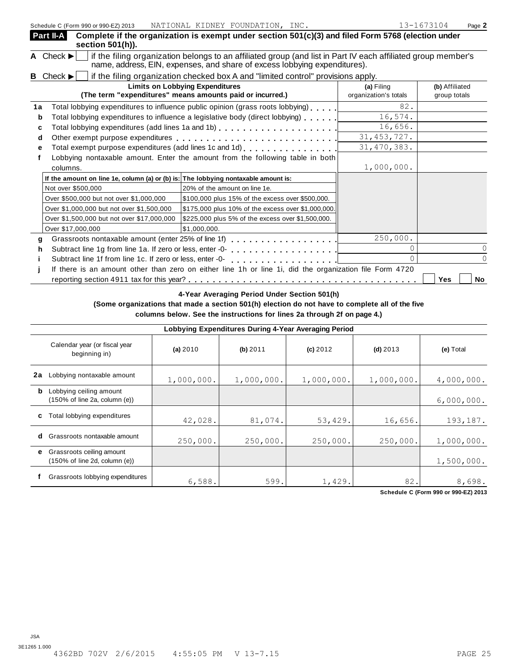|    | Part II-A<br>section 501(h)).                                                      | Complete if the organization is exempt under section 501(c)(3) and filed Form 5768 (election under                                                                                         |                                     |                                |
|----|------------------------------------------------------------------------------------|--------------------------------------------------------------------------------------------------------------------------------------------------------------------------------------------|-------------------------------------|--------------------------------|
|    | A Check $\blacktriangleright$                                                      | if the filing organization belongs to an affiliated group (and list in Part IV each affiliated group member's<br>name, address, EIN, expenses, and share of excess lobbying expenditures). |                                     |                                |
|    | <b>B</b> Check $\blacktriangleright$                                               | if the filing organization checked box A and "limited control" provisions apply.                                                                                                           |                                     |                                |
|    |                                                                                    | <b>Limits on Lobbying Expenditures</b><br>(The term "expenditures" means amounts paid or incurred.)                                                                                        | (a) Filing<br>organization's totals | (b) Affiliated<br>group totals |
| 1a |                                                                                    | Total lobbying expenditures to influence public opinion (grass roots lobbying)                                                                                                             | 82.                                 |                                |
| b  |                                                                                    | Total lobbying expenditures to influence a legislative body (direct lobbying)                                                                                                              | 16,574.                             |                                |
| c  |                                                                                    |                                                                                                                                                                                            | 16,656.                             |                                |
| d  |                                                                                    |                                                                                                                                                                                            | 31, 453, 727.                       |                                |
| е  |                                                                                    | Total exempt purpose expenditures (add lines 1c and 1d)                                                                                                                                    | 31, 470, 383.                       |                                |
|    |                                                                                    | Lobbying nontaxable amount. Enter the amount from the following table in both                                                                                                              |                                     |                                |
|    | columns.                                                                           |                                                                                                                                                                                            | 1,000,000.                          |                                |
|    | If the amount on line 1e, column (a) or (b) is: The lobbying nontaxable amount is: |                                                                                                                                                                                            |                                     |                                |
|    | Not over \$500,000                                                                 | 20% of the amount on line 1e.                                                                                                                                                              |                                     |                                |
|    | Over \$500,000 but not over \$1,000,000                                            | \$100,000 plus 15% of the excess over \$500,000.                                                                                                                                           |                                     |                                |
|    | Over \$1,000,000 but not over \$1,500,000                                          | \$175,000 plus 10% of the excess over \$1,000,000.                                                                                                                                         |                                     |                                |
|    | Over \$1,500,000 but not over \$17,000,000                                         | \$225,000 plus 5% of the excess over \$1,500,000.                                                                                                                                          |                                     |                                |
|    | Over \$17,000,000                                                                  | \$1,000,000.                                                                                                                                                                               |                                     |                                |
| g  |                                                                                    | Grassroots nontaxable amount (enter 25% of line 1f) [1] [2] Crassroots nontaxable amount (enter 25% of line 1f)                                                                            | 250,000.                            |                                |
| h  | Subtract line 1g from line 1a. If zero or less, enter -0-                          | .                                                                                                                                                                                          |                                     |                                |
|    | Subtract line 1f from line 1c. If zero or less, enter -0-                          | .                                                                                                                                                                                          |                                     |                                |
|    |                                                                                    | If there is an amount other than zero on either line 1h or line 1i, did the organization file Form 4720                                                                                    |                                     |                                |
|    |                                                                                    |                                                                                                                                                                                            |                                     | Yes<br><b>No</b>               |
|    |                                                                                    | 4-Year Averaging Period Under Section 501(h)                                                                                                                                               |                                     |                                |

## **4-Year Averaging Period Under Section 501(h)**

**(Some organizations that made a section 501(h) election do not have to complete all of the five columns below. See the instructions for lines 2a through 2f on page 4.)**

|    | Lobbying Expenditures During 4-Year Averaging Period                            |            |            |            |            |            |  |  |  |  |  |
|----|---------------------------------------------------------------------------------|------------|------------|------------|------------|------------|--|--|--|--|--|
|    | Calendar year (or fiscal year<br>beginning in)                                  | (a) $2010$ | $(b)$ 2011 | $(c)$ 2012 | $(d)$ 2013 | (e) Total  |  |  |  |  |  |
| 2a | Lobbying nontaxable amount                                                      | 1,000,000. | 1,000,000. | 1,000,000. | 1,000,000. | 4,000,000. |  |  |  |  |  |
| b  | Lobbying ceiling amount<br>$(150\% \text{ of line } 2a, \text{ column } (e))$   |            |            |            |            | 6,000,000. |  |  |  |  |  |
| C  | Total lobbying expenditures                                                     | 42,028.    | 81,074.    | 53,429.    | 16,656.    | 193,187.   |  |  |  |  |  |
| d  | Grassroots nontaxable amount                                                    | 250,000.   | 250,000.   | 250,000.   | 250,000.   | 1,000,000. |  |  |  |  |  |
| e. | Grassroots ceiling amount<br>$(150\% \text{ of line } 2d, \text{ column } (e))$ |            |            |            |            | 1,500,000. |  |  |  |  |  |
|    | Grassroots lobbying expenditures                                                | 6,588.     | 599.       | 1,429.     | 82.        | 8,698.     |  |  |  |  |  |

**Schedule C (Form 990 or 990-EZ) 2013**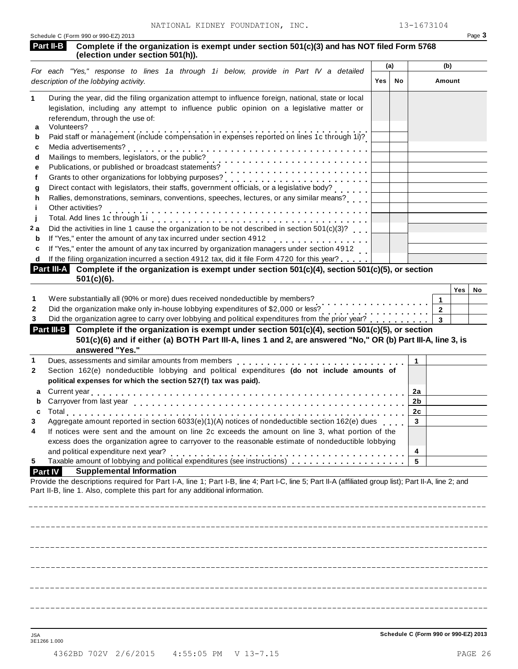|                   | NATIONAL KIDNEY FOUNDATION, INC.<br>Schedule C (Form 990 or 990-EZ) 2013                                                                                                                                                         |     |     | 13-1673104     |              | Page 3 |
|-------------------|----------------------------------------------------------------------------------------------------------------------------------------------------------------------------------------------------------------------------------|-----|-----|----------------|--------------|--------|
| Part II-B         | Complete if the organization is exempt under section 501(c)(3) and has NOT filed Form 5768<br>(election under section 501(h)).                                                                                                   |     |     |                |              |        |
|                   | For each "Yes," response to lines 1a through 1i below, provide in Part IV a detailed                                                                                                                                             |     | (a) |                | (b)          |        |
|                   | description of the lobbying activity.                                                                                                                                                                                            | Yes | No  |                | Amount       |        |
|                   |                                                                                                                                                                                                                                  |     |     |                |              |        |
|                   | During the year, did the filing organization attempt to influence foreign, national, state or local                                                                                                                              |     |     |                |              |        |
|                   | legislation, including any attempt to influence public opinion on a legislative matter or                                                                                                                                        |     |     |                |              |        |
| Volunteers?       | referendum, through the use of:                                                                                                                                                                                                  |     |     |                |              |        |
|                   | Paid staff or management (include compensation in expenses reported on lines 1c through 1i)?                                                                                                                                     |     |     |                |              |        |
|                   | Media advertisements?                                                                                                                                                                                                            |     |     |                |              |        |
|                   |                                                                                                                                                                                                                                  |     |     |                |              |        |
|                   | Mailings to members, legislators, or the public?<br>Publications, or published or broadcast statements?                                                                                                                          |     |     |                |              |        |
|                   |                                                                                                                                                                                                                                  |     |     |                |              |        |
|                   | Direct contact with legislators, their staffs, government officials, or a legislative body?                                                                                                                                      |     |     |                |              |        |
|                   | Rallies, demonstrations, seminars, conventions, speeches, lectures, or any similar means?                                                                                                                                        |     |     |                |              |        |
| Other activities? |                                                                                                                                                                                                                                  |     |     |                |              |        |
|                   |                                                                                                                                                                                                                                  |     |     |                |              |        |
|                   | Did the activities in line 1 cause the organization to be not described in section 501(c)(3)?                                                                                                                                    |     |     |                |              |        |
|                   | If "Yes," enter the amount of any tax incurred under section 4912<br>.                                                                                                                                                           |     |     |                |              |        |
|                   | If "Yes," enter the amount of any tax incurred by organization managers under section 4912                                                                                                                                       |     |     |                |              |        |
|                   | If the filing organization incurred a section 4912 tax, did it file Form 4720 for this year?                                                                                                                                     |     |     |                |              |        |
|                   | Part III-A Complete if the organization is exempt under section 501(c)(4), section 501(c)(5), or section                                                                                                                         |     |     |                |              |        |
|                   | $501(c)(6)$ .                                                                                                                                                                                                                    |     |     |                |              |        |
|                   |                                                                                                                                                                                                                                  |     |     |                | Yes          | No     |
|                   | Were substantially all (90% or more) dues received nondeductible by members?                                                                                                                                                     |     |     |                | $\mathbf{1}$ |        |
|                   | Did the organization make only in-house lobbying expenditures of \$2,000 or less?                                                                                                                                                |     |     |                | $\mathbf{2}$ |        |
|                   | Did the organization agree to carry over lobbying and political expenditures from the prior year?                                                                                                                                |     |     |                | 3            |        |
| Part III-B        | Complete if the organization is exempt under section 501(c)(4), section 501(c)(5), or section<br>501(c)(6) and if either (a) BOTH Part III-A, lines 1 and 2, are answered "No," OR (b) Part III-A, line 3, is<br>answered "Yes." |     |     |                |              |        |
|                   |                                                                                                                                                                                                                                  |     |     | $\mathbf{1}$   |              |        |
|                   | Section 162(e) nondeductible lobbying and political expenditures (do not include amounts of                                                                                                                                      |     |     |                |              |        |
|                   | political expenses for which the section 527(f) tax was paid).                                                                                                                                                                   |     |     |                |              |        |
|                   |                                                                                                                                                                                                                                  |     |     | 2a             |              |        |
|                   | Carryover from last year                                                                                                                                                                                                         |     |     | 2 <sub>b</sub> |              |        |
|                   |                                                                                                                                                                                                                                  |     |     | 2c             |              |        |
|                   | Aggregate amount reported in section 6033(e)(1)(A) notices of nondeductible section 162(e) dues                                                                                                                                  |     |     | 3              |              |        |
|                   | If notices were sent and the amount on line 2c exceeds the amount on line 3, what portion of the                                                                                                                                 |     |     |                |              |        |
|                   | excess does the organization agree to carryover to the reasonable estimate of nondeductible lobbying                                                                                                                             |     |     |                |              |        |
|                   | and political expenditure next year?                                                                                                                                                                                             |     |     | 4              |              |        |
|                   |                                                                                                                                                                                                                                  |     |     | 5              |              |        |
| <b>Part IV</b>    | <b>Supplemental Information</b>                                                                                                                                                                                                  |     |     |                |              |        |
|                   | Provide the descriptions required for Part I-A, line 1; Part I-B, line 4; Part I-C, line 5; Part II-A (affiliated group list); Part II-A, line 2; and                                                                            |     |     |                |              |        |
|                   | Part II-B, line 1. Also, complete this part for any additional information.                                                                                                                                                      |     |     |                |              |        |
|                   |                                                                                                                                                                                                                                  |     |     |                |              |        |
|                   |                                                                                                                                                                                                                                  |     |     |                |              |        |
|                   |                                                                                                                                                                                                                                  |     |     |                |              |        |
|                   |                                                                                                                                                                                                                                  |     |     |                |              |        |
|                   |                                                                                                                                                                                                                                  |     |     |                |              |        |
|                   |                                                                                                                                                                                                                                  |     |     |                |              |        |
|                   |                                                                                                                                                                                                                                  |     |     |                |              |        |
|                   |                                                                                                                                                                                                                                  |     |     |                |              |        |
|                   |                                                                                                                                                                                                                                  |     |     |                |              |        |
|                   |                                                                                                                                                                                                                                  |     |     |                |              |        |

Schedule C (Form 990 or 990-EZ) 2013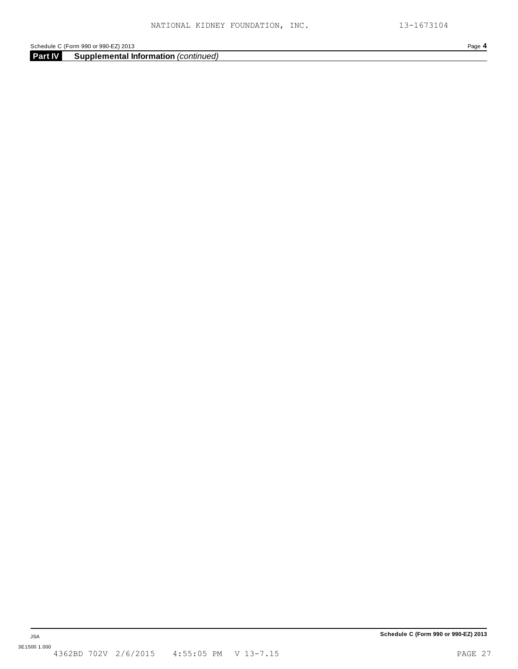**Part IV Supplemental Information** *(continued)*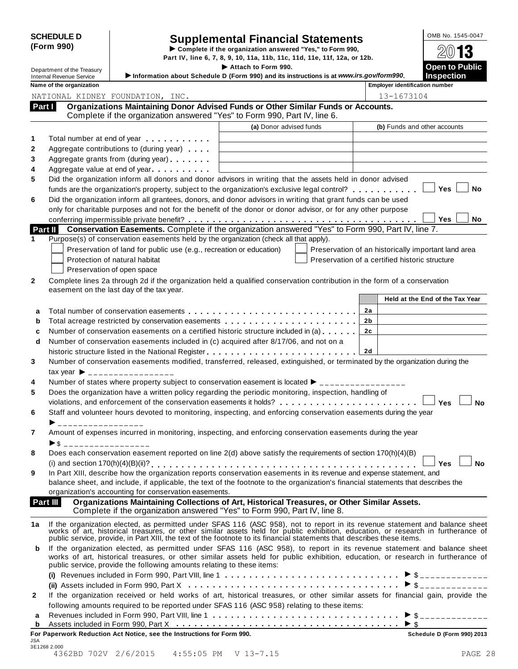| <b>SCHEDULE D</b> |  |
|-------------------|--|
| (Form 990)        |  |

# SCHEDULE D<br>
Supplemental Financial Statements<br>
Form 990) Part IV, line 6, 7, 8, 9, 10, 11a, 11b, 11c, 11d, 11e, 11f, 12a, or 12b.<br>
Part IV, line 6, 7, 8, 9, 10, 11a, 11b, 11c, 11d, 11e, 11f, 12a, or 12b.

**I Complete if the organization answered "Yes," to Form 990,<br>Department of the Treasury<br>Department of the Treasury<br>\begin{array}{r} \bigcirc \text{Dep} \ \text{Dep} \ \text{Dep} \ \text{Dep} \ \text{Dep} \ \text{Dep} \ \text{Dep} \ \text{Dep} \ \text{Dep} \ \text{Dep} \ \text{Dep} \ \text{Dep} \ \text{Dep} \ \text{D** 

| Department of the Treasury                                  |                                                                                                                                                                                                                                                                            | Attach to Form 990.                                                                                                                                                                                                            | <b>Open to Public</b>                                      |
|-------------------------------------------------------------|----------------------------------------------------------------------------------------------------------------------------------------------------------------------------------------------------------------------------------------------------------------------------|--------------------------------------------------------------------------------------------------------------------------------------------------------------------------------------------------------------------------------|------------------------------------------------------------|
| <b>Internal Revenue Service</b><br>Name of the organization |                                                                                                                                                                                                                                                                            | Information about Schedule D (Form 990) and its instructions is at www.irs.gov/form990.                                                                                                                                        | <b>Inspection</b><br><b>Employer identification number</b> |
|                                                             |                                                                                                                                                                                                                                                                            |                                                                                                                                                                                                                                |                                                            |
|                                                             | NATIONAL KIDNEY FOUNDATION, INC.                                                                                                                                                                                                                                           |                                                                                                                                                                                                                                | 13-1673104                                                 |
| Part I                                                      |                                                                                                                                                                                                                                                                            | Organizations Maintaining Donor Advised Funds or Other Similar Funds or Accounts.<br>Complete if the organization answered "Yes" to Form 990, Part IV, line 6.                                                                 |                                                            |
|                                                             |                                                                                                                                                                                                                                                                            | (a) Donor advised funds                                                                                                                                                                                                        | (b) Funds and other accounts                               |
|                                                             |                                                                                                                                                                                                                                                                            |                                                                                                                                                                                                                                |                                                            |
|                                                             | Total number at end of year manufacturers and the Total and Total and Total and Total and Total and Total and Total and Total and Total and Total and Total and Total and Total and Total and Total and Total and Total and To<br>Aggregate contributions to (during year) |                                                                                                                                                                                                                                |                                                            |
|                                                             | Aggregate grants from (during year) <b>Aggregate</b> grants from (during year)                                                                                                                                                                                             |                                                                                                                                                                                                                                |                                                            |
|                                                             | Aggregate value at end of year expression and Aggregate value at end of year                                                                                                                                                                                               |                                                                                                                                                                                                                                |                                                            |
|                                                             |                                                                                                                                                                                                                                                                            | Did the organization inform all donors and donor advisors in writing that the assets held in donor advised                                                                                                                     |                                                            |
|                                                             |                                                                                                                                                                                                                                                                            | funds are the organization's property, subject to the organization's exclusive legal control?                                                                                                                                  | Yes<br>No                                                  |
|                                                             |                                                                                                                                                                                                                                                                            | Did the organization inform all grantees, donors, and donor advisors in writing that grant funds can be used                                                                                                                   |                                                            |
|                                                             |                                                                                                                                                                                                                                                                            | only for charitable purposes and not for the benefit of the donor or donor advisor, or for any other purpose                                                                                                                   |                                                            |
|                                                             |                                                                                                                                                                                                                                                                            |                                                                                                                                                                                                                                | <b>Yes</b><br>No                                           |
| Part II                                                     |                                                                                                                                                                                                                                                                            | Conservation Easements. Complete if the organization answered "Yes" to Form 990, Part IV, line 7.                                                                                                                              |                                                            |
|                                                             |                                                                                                                                                                                                                                                                            | Purpose(s) of conservation easements held by the organization (check all that apply).                                                                                                                                          |                                                            |
|                                                             | Preservation of land for public use (e.g., recreation or education)                                                                                                                                                                                                        |                                                                                                                                                                                                                                | Preservation of an historically important land area        |
|                                                             | Protection of natural habitat                                                                                                                                                                                                                                              |                                                                                                                                                                                                                                | Preservation of a certified historic structure             |
|                                                             | Preservation of open space                                                                                                                                                                                                                                                 |                                                                                                                                                                                                                                |                                                            |
|                                                             |                                                                                                                                                                                                                                                                            | Complete lines 2a through 2d if the organization held a qualified conservation contribution in the form of a conservation                                                                                                      |                                                            |
|                                                             | easement on the last day of the tax year.                                                                                                                                                                                                                                  |                                                                                                                                                                                                                                |                                                            |
|                                                             |                                                                                                                                                                                                                                                                            |                                                                                                                                                                                                                                | Held at the End of the Tax Year                            |
| a                                                           |                                                                                                                                                                                                                                                                            |                                                                                                                                                                                                                                | 2a                                                         |
|                                                             |                                                                                                                                                                                                                                                                            | Total acreage restricted by conservation easements                                                                                                                                                                             | 2b                                                         |
| b                                                           |                                                                                                                                                                                                                                                                            | Number of conservation easements on a certified historic structure included in (a)                                                                                                                                             | 2c                                                         |
|                                                             |                                                                                                                                                                                                                                                                            | Number of conservation easements included in (c) acquired after 8/17/06, and not on a                                                                                                                                          |                                                            |
| d                                                           |                                                                                                                                                                                                                                                                            |                                                                                                                                                                                                                                | 2d                                                         |
|                                                             |                                                                                                                                                                                                                                                                            | Number of conservation easements modified, transferred, released, extinguished, or terminated by the organization during the                                                                                                   |                                                            |
|                                                             | $\text{tax year}$ $\rightarrow$ _________________                                                                                                                                                                                                                          |                                                                                                                                                                                                                                |                                                            |
|                                                             |                                                                                                                                                                                                                                                                            | Number of states where property subject to conservation easement is located $\blacktriangleright$ ________________                                                                                                             |                                                            |
|                                                             |                                                                                                                                                                                                                                                                            | Does the organization have a written policy regarding the periodic monitoring, inspection, handling of                                                                                                                         |                                                            |
|                                                             |                                                                                                                                                                                                                                                                            | violations, and enforcement of the conservation easements it holds?                                                                                                                                                            | Yes<br><b>No</b>                                           |
|                                                             |                                                                                                                                                                                                                                                                            | Staff and volunteer hours devoted to monitoring, inspecting, and enforcing conservation easements during the year                                                                                                              |                                                            |
|                                                             |                                                                                                                                                                                                                                                                            |                                                                                                                                                                                                                                |                                                            |
|                                                             |                                                                                                                                                                                                                                                                            | Amount of expenses incurred in monitoring, inspecting, and enforcing conservation easements during the year                                                                                                                    |                                                            |
| $\blacktriangleright$ \$                                    |                                                                                                                                                                                                                                                                            |                                                                                                                                                                                                                                |                                                            |
|                                                             |                                                                                                                                                                                                                                                                            | Does each conservation easement reported on line 2(d) above satisfy the requirements of section 170(h)(4)(B)                                                                                                                   |                                                            |
|                                                             |                                                                                                                                                                                                                                                                            |                                                                                                                                                                                                                                | <b>No</b><br>Yes l                                         |
|                                                             |                                                                                                                                                                                                                                                                            | In Part XIII, describe how the organization reports conservation easements in its revenue and expense statement, and                                                                                                           |                                                            |
|                                                             |                                                                                                                                                                                                                                                                            | balance sheet, and include, if applicable, the text of the footnote to the organization's financial statements that describes the                                                                                              |                                                            |
|                                                             | organization's accounting for conservation easements.                                                                                                                                                                                                                      |                                                                                                                                                                                                                                |                                                            |
| Part III                                                    |                                                                                                                                                                                                                                                                            | Organizations Maintaining Collections of Art, Historical Treasures, or Other Similar Assets.                                                                                                                                   |                                                            |
|                                                             |                                                                                                                                                                                                                                                                            | Complete if the organization answered "Yes" to Form 990, Part IV, line 8.                                                                                                                                                      |                                                            |
|                                                             |                                                                                                                                                                                                                                                                            |                                                                                                                                                                                                                                |                                                            |
|                                                             |                                                                                                                                                                                                                                                                            |                                                                                                                                                                                                                                |                                                            |
|                                                             |                                                                                                                                                                                                                                                                            | If the organization elected, as permitted under SFAS 116 (ASC 958), not to report in its revenue statement and balance sheet works of art, historical treasures, or other similar assets held for public exhibition, education |                                                            |
|                                                             |                                                                                                                                                                                                                                                                            | public service, provide, in Part XIII, the text of the footnote to its financial statements that describes these items.                                                                                                        |                                                            |
|                                                             |                                                                                                                                                                                                                                                                            | If the organization elected, as permitted under SFAS 116 (ASC 958), to report in its revenue statement and balance sheet                                                                                                       |                                                            |
|                                                             |                                                                                                                                                                                                                                                                            | works of art, historical treasures, or other similar assets held for public exhibition, education, or research in furtherance of                                                                                               |                                                            |
|                                                             | public service, provide the following amounts relating to these items:                                                                                                                                                                                                     |                                                                                                                                                                                                                                |                                                            |
|                                                             |                                                                                                                                                                                                                                                                            |                                                                                                                                                                                                                                |                                                            |
|                                                             |                                                                                                                                                                                                                                                                            |                                                                                                                                                                                                                                |                                                            |
| 1a<br>b                                                     |                                                                                                                                                                                                                                                                            | If the organization received or held works of art, historical treasures, or other similar assets for financial gain, provide the                                                                                               |                                                            |
|                                                             |                                                                                                                                                                                                                                                                            | following amounts required to be reported under SFAS 116 (ASC 958) relating to these items:                                                                                                                                    |                                                            |
| a<br>b                                                      |                                                                                                                                                                                                                                                                            |                                                                                                                                                                                                                                | $\blacktriangleright$ \$                                   |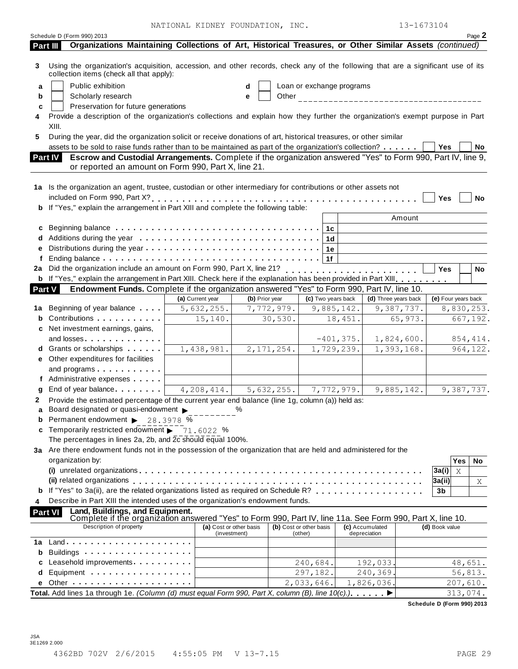NATIONAL KIDNEY FOUNDATION, INC. 13-1673104

|                                             | Page 2               |                      |                 |                    |                |                           |                |                         |                                                                                                                                                                                                                                     | Schedule D (Form 990) 2013          |                |                                             |
|---------------------------------------------|----------------------|----------------------|-----------------|--------------------|----------------|---------------------------|----------------|-------------------------|-------------------------------------------------------------------------------------------------------------------------------------------------------------------------------------------------------------------------------------|-------------------------------------|----------------|---------------------------------------------|
|                                             |                      |                      |                 |                    |                |                           |                |                         | Organizations Maintaining Collections of Art, Historical Treasures, or Other Similar Assets (continued)                                                                                                                             |                                     | Part III       |                                             |
|                                             |                      |                      |                 |                    |                |                           |                |                         | Using the organization's acquisition, accession, and other records, check any of the following that are a significant use of its<br>collection items (check all that apply):                                                        |                                     |                | 3                                           |
|                                             |                      |                      |                 |                    |                | Loan or exchange programs | d              |                         |                                                                                                                                                                                                                                     | Public exhibition                   |                | a                                           |
|                                             |                      |                      |                 |                    |                |                           | е              |                         |                                                                                                                                                                                                                                     | Scholarly research                  |                | b                                           |
|                                             |                      |                      |                 |                    |                |                           |                |                         | Preservation for future generations                                                                                                                                                                                                 |                                     |                | c                                           |
|                                             |                      |                      |                 |                    |                |                           |                |                         | Provide a description of the organization's collections and explain how they further the organization's exempt purpose in Part                                                                                                      |                                     |                |                                             |
|                                             |                      |                      |                 |                    |                |                           |                |                         |                                                                                                                                                                                                                                     |                                     | XIII.          |                                             |
|                                             |                      |                      |                 |                    |                |                           |                |                         | During the year, did the organization solicit or receive donations of art, historical treasures, or other similar                                                                                                                   |                                     |                | 5.                                          |
| No                                          | Yes                  |                      |                 |                    |                |                           |                |                         | assets to be sold to raise funds rather than to be maintained as part of the organization's collection?                                                                                                                             |                                     |                |                                             |
|                                             |                      |                      |                 |                    |                |                           |                |                         | Escrow and Custodial Arrangements. Complete if the organization answered "Yes" to Form 990, Part IV, line 9,                                                                                                                        |                                     | Part IV        |                                             |
|                                             |                      |                      |                 |                    |                |                           |                |                         | or reported an amount on Form 990, Part X, line 21.                                                                                                                                                                                 |                                     |                |                                             |
|                                             |                      |                      |                 |                    |                |                           |                |                         | 1a Is the organization an agent, trustee, custodian or other intermediary for contributions or other assets not                                                                                                                     |                                     |                |                                             |
| No                                          | Yes                  |                      |                 |                    |                |                           |                |                         |                                                                                                                                                                                                                                     |                                     |                |                                             |
|                                             |                      |                      |                 |                    |                |                           |                |                         | <b>b</b> If "Yes," explain the arrangement in Part XIII and complete the following table:                                                                                                                                           |                                     |                |                                             |
|                                             |                      | Amount               |                 |                    |                |                           |                |                         |                                                                                                                                                                                                                                     |                                     |                |                                             |
|                                             |                      |                      |                 |                    |                |                           |                |                         | Beginning balance contact of the contract of the contract of the contract of the contract of the Beginning balance                                                                                                                  |                                     |                | c                                           |
|                                             |                      |                      |                 |                    | 1 <sub>d</sub> |                           |                |                         |                                                                                                                                                                                                                                     |                                     |                | d                                           |
|                                             |                      |                      |                 |                    | 1e             |                           |                |                         |                                                                                                                                                                                                                                     |                                     |                | е                                           |
|                                             |                      |                      |                 |                    | 1f             |                           |                |                         |                                                                                                                                                                                                                                     |                                     |                | f                                           |
| No                                          | <b>Yes</b>           |                      |                 |                    |                |                           |                |                         |                                                                                                                                                                                                                                     |                                     |                |                                             |
|                                             |                      |                      |                 |                    |                |                           |                |                         | b If "Yes," explain the arrangement in Part XIII. Check here if the explanation has been provided in Part XIII.                                                                                                                     |                                     |                |                                             |
|                                             |                      |                      |                 |                    |                |                           |                |                         | Endowment Funds. Complete if the organization answered "Yes" to Form 990, Part IV, line 10.                                                                                                                                         |                                     | Part V         |                                             |
|                                             | (e) Four years back  | (d) Three years back |                 | (c) Two years back |                |                           | (b) Prior year | (a) Current year        |                                                                                                                                                                                                                                     |                                     |                |                                             |
|                                             | 8,830,253.           | 9,387,737.           |                 | 9,885,142.         |                |                           |                | 5,632,255.              |                                                                                                                                                                                                                                     |                                     |                |                                             |
|                                             |                      |                      |                 |                    |                |                           |                |                         |                                                                                                                                                                                                                                     |                                     |                |                                             |
|                                             |                      |                      |                 |                    |                |                           | 7,772,979.     |                         |                                                                                                                                                                                                                                     | <b>1a</b> Beginning of year balance |                |                                             |
|                                             | 667,192.             | 65,973.              |                 | 18,451.            |                | 30,530.                   |                | 15,140.                 |                                                                                                                                                                                                                                     | Contributions                       |                |                                             |
|                                             |                      |                      |                 |                    |                |                           |                |                         |                                                                                                                                                                                                                                     | c Net investment earnings, gains,   |                |                                             |
|                                             | 854,414.             | 1,824,600.           |                 | $-401, 375.$       |                |                           |                |                         |                                                                                                                                                                                                                                     | and losses                          |                |                                             |
|                                             |                      | 1,393,168.           |                 | 1,729,239.         |                | 2,171,254.                |                | 1,438,981.              |                                                                                                                                                                                                                                     | d Grants or scholarships            |                |                                             |
|                                             |                      |                      |                 |                    |                |                           |                |                         |                                                                                                                                                                                                                                     | e Other expenditures for facilities |                |                                             |
|                                             |                      |                      |                 |                    |                |                           |                |                         |                                                                                                                                                                                                                                     | and programs                        |                |                                             |
|                                             |                      |                      |                 |                    |                |                           |                |                         |                                                                                                                                                                                                                                     | f Administrative expenses           |                |                                             |
|                                             | 9,387,737.           | 9,885,142.           |                 | 7,772,979.         |                | 5,632,255.                |                | 4,208,414.              | End of year balance                                                                                                                                                                                                                 |                                     |                |                                             |
|                                             |                      |                      |                 |                    |                |                           |                |                         | Provide the estimated percentage of the current year end balance (line 1g, column (a)) held as:                                                                                                                                     |                                     |                |                                             |
|                                             |                      |                      |                 |                    |                |                           | $\%$           |                         | Board designated or quasi-endowment                                                                                                                                                                                                 |                                     |                |                                             |
|                                             |                      |                      |                 |                    |                |                           |                |                         | <b>b</b> Permanent endowment $\triangleright$ 28.3978 $\%$                                                                                                                                                                          |                                     |                |                                             |
|                                             |                      |                      |                 |                    |                |                           |                |                         | Temporarily restricted endowment $\rightarrow$ 71,6022 %                                                                                                                                                                            |                                     |                |                                             |
|                                             |                      |                      |                 |                    |                |                           |                |                         | The percentages in lines 2a, 2b, and $2c \overline{c}$ should equal 100%.                                                                                                                                                           |                                     |                |                                             |
|                                             |                      |                      |                 |                    |                |                           |                |                         | 3a Are there endowment funds not in the possession of the organization that are held and administered for the                                                                                                                       |                                     |                |                                             |
|                                             | Yes                  |                      |                 |                    |                |                           |                |                         |                                                                                                                                                                                                                                     | organization by:                    |                |                                             |
|                                             | 3a(i)<br>X           |                      |                 |                    |                |                           |                |                         |                                                                                                                                                                                                                                     |                                     |                |                                             |
|                                             | 3a(ii)               |                      |                 |                    |                |                           |                |                         | (ii) related organizations enterpresent resources in the case of the case of the case of the case of the case o                                                                                                                     |                                     |                |                                             |
|                                             | 3b                   |                      |                 |                    |                |                           |                |                         | If "Yes" to 3a(ii), are the related organizations listed as required on Schedule R?                                                                                                                                                 |                                     |                |                                             |
|                                             |                      |                      |                 |                    |                |                           |                |                         | Describe in Part XIII the intended uses of the organization's endowment funds.                                                                                                                                                      |                                     |                |                                             |
|                                             |                      |                      |                 |                    |                |                           |                |                         | Land, Buildings, and Equipment.                                                                                                                                                                                                     |                                     | <b>Part VI</b> |                                             |
|                                             | (d) Book value       |                      | (c) Accumulated |                    |                | (b) Cost or other basis   |                | (a) Cost or other basis | Complete if the organization answered "Yes" to Form 990, Part IV, line 11a. See Form 990, Part X, line 10.                                                                                                                          | Description of property             |                |                                             |
|                                             |                      |                      | depreciation    |                    |                | (other)                   |                | (investment)            |                                                                                                                                                                                                                                     |                                     |                |                                             |
|                                             |                      |                      |                 |                    |                |                           |                |                         |                                                                                                                                                                                                                                     |                                     |                |                                             |
|                                             |                      |                      |                 |                    |                |                           |                |                         | Buildings <b>Example 20</b> and the set of the set of the set of the set of the set of the set of the set of the set of the set of the set of the set of the set of the set of the set of the set of the set of the set of the set  |                                     |                |                                             |
|                                             |                      |                      | 192,033.        |                    | 240,684.       |                           |                |                         | Leasehold improvements <b>contained</b> and the set of the set of the set of the set of the set of the set of the set of the set of the set of the set of the set of the set of the set of the set of the set of the set of the set |                                     |                |                                             |
| 964, 122.<br>No.<br>Χ<br>48,651.<br>56,813. |                      |                      | 240,369.        |                    | 297,182.       |                           |                |                         | Equipment                                                                                                                                                                                                                           |                                     |                |                                             |
|                                             | 207,610.<br>313,074. |                      | 1,826,036.      |                    |                | 2,033,646.                |                |                         | Total. Add lines 1a through 1e. (Column (d) must equal Form 990, Part X, column (B), line 10(c).). ▶                                                                                                                                |                                     |                | b<br>a<br>2<br>C.<br>b<br>4<br>1a<br>b<br>d |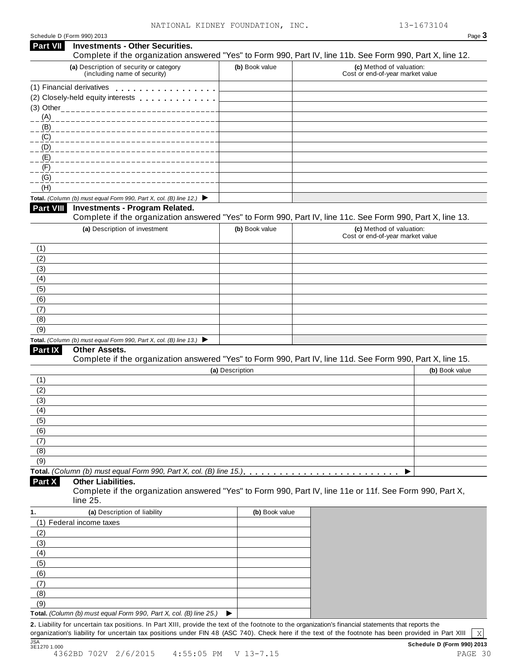| Part VII                               | Schedule D (Form 990) 2013<br><b>Investments - Other Securities.</b>                     |                 | Page 3                                                                                                                                                                     |
|----------------------------------------|------------------------------------------------------------------------------------------|-----------------|----------------------------------------------------------------------------------------------------------------------------------------------------------------------------|
|                                        | (a) Description of security or category<br>(including name of security)                  | (b) Book value  | Complete if the organization answered "Yes" to Form 990, Part IV, line 11b. See Form 990, Part X, line 12.<br>(c) Method of valuation:<br>Cost or end-of-year market value |
|                                        | (1) Financial derivatives                                                                |                 |                                                                                                                                                                            |
|                                        | (2) Closely-held equity interests entitled and closely-held equity interests             |                 |                                                                                                                                                                            |
|                                        | (3) Other_________________                                                               |                 |                                                                                                                                                                            |
| (A)                                    |                                                                                          |                 |                                                                                                                                                                            |
| (B)                                    |                                                                                          |                 |                                                                                                                                                                            |
| (C)                                    |                                                                                          |                 |                                                                                                                                                                            |
| (D)                                    |                                                                                          |                 |                                                                                                                                                                            |
| (E)                                    |                                                                                          |                 |                                                                                                                                                                            |
| (F)                                    |                                                                                          |                 |                                                                                                                                                                            |
| (G)                                    |                                                                                          |                 |                                                                                                                                                                            |
| (H)                                    |                                                                                          |                 |                                                                                                                                                                            |
|                                        | Total. (Column (b) must equal Form 990, Part X, col. (B) line 12.) $\blacktriangleright$ |                 |                                                                                                                                                                            |
| <b>Part VIII</b>                       | <b>Investments - Program Related.</b>                                                    |                 | Complete if the organization answered "Yes" to Form 990, Part IV, line 11c. See Form 990, Part X, line 13.                                                                 |
|                                        | (a) Description of investment                                                            | (b) Book value  | (c) Method of valuation:                                                                                                                                                   |
|                                        |                                                                                          |                 | Cost or end-of-year market value                                                                                                                                           |
| (1)                                    |                                                                                          |                 |                                                                                                                                                                            |
| (2)                                    |                                                                                          |                 |                                                                                                                                                                            |
| (3)                                    |                                                                                          |                 |                                                                                                                                                                            |
| (4)                                    |                                                                                          |                 |                                                                                                                                                                            |
| (5)                                    |                                                                                          |                 |                                                                                                                                                                            |
| (6)                                    |                                                                                          |                 |                                                                                                                                                                            |
| (7)                                    |                                                                                          |                 |                                                                                                                                                                            |
| (8)                                    |                                                                                          |                 |                                                                                                                                                                            |
| (9)                                    |                                                                                          |                 |                                                                                                                                                                            |
|                                        | Total. (Column (b) must equal Form 990, Part X, col. (B) line 13.) $\blacktriangleright$ |                 |                                                                                                                                                                            |
| <b>Part IX</b>                         | Other Assets.                                                                            |                 |                                                                                                                                                                            |
|                                        |                                                                                          |                 | Complete if the organization answered "Yes" to Form 990, Part IV, line 11d. See Form 990, Part X, line 15.                                                                 |
|                                        |                                                                                          | (a) Description | (b) Book value                                                                                                                                                             |
| (1)<br>(2)                             |                                                                                          |                 |                                                                                                                                                                            |
| (3)                                    |                                                                                          |                 |                                                                                                                                                                            |
| (4)                                    |                                                                                          |                 |                                                                                                                                                                            |
| (5)                                    |                                                                                          |                 |                                                                                                                                                                            |
| (6)                                    |                                                                                          |                 |                                                                                                                                                                            |
|                                        |                                                                                          |                 |                                                                                                                                                                            |
|                                        |                                                                                          |                 |                                                                                                                                                                            |
|                                        |                                                                                          |                 |                                                                                                                                                                            |
|                                        |                                                                                          |                 |                                                                                                                                                                            |
|                                        |                                                                                          |                 |                                                                                                                                                                            |
| (7)<br>(8)<br>(9)<br>Part X            | <b>Other Liabilities.</b><br>line 25.                                                    |                 | Complete if the organization answered "Yes" to Form 990, Part IV, line 11e or 11f. See Form 990, Part X,                                                                   |
|                                        |                                                                                          |                 |                                                                                                                                                                            |
|                                        | (a) Description of liability                                                             | (b) Book value  |                                                                                                                                                                            |
|                                        | (1) Federal income taxes                                                                 |                 |                                                                                                                                                                            |
|                                        |                                                                                          |                 |                                                                                                                                                                            |
|                                        |                                                                                          |                 |                                                                                                                                                                            |
|                                        |                                                                                          |                 |                                                                                                                                                                            |
|                                        |                                                                                          |                 |                                                                                                                                                                            |
| (2)<br>(3)<br>(4)<br>(5)<br>(6)<br>(7) |                                                                                          |                 |                                                                                                                                                                            |
|                                        |                                                                                          |                 |                                                                                                                                                                            |
| (8)<br>(9)                             | Total. (Column (b) must equal Form 990, Part X, col. (B) line 25.)                       |                 |                                                                                                                                                                            |

<u>JSA SCHED TO 2V</u> 2/6/2015 4:55:05 PM V 13-7.15<br>4362BD 702V 2/6/2015 4:55:05 PM V 13-7.15 4362BD 702V 2/6/2015 4:55:05 PM V 13-7.15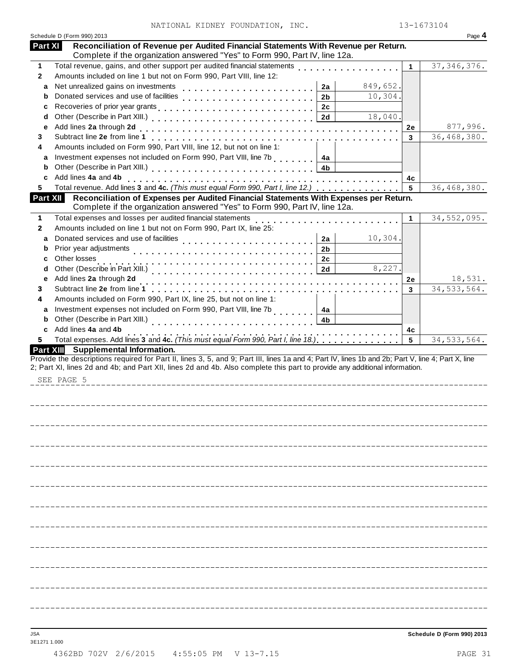| Schedule D (Form 990) 2013<br>Reconciliation of Revenue per Audited Financial Statements With Revenue per Return.<br><b>Part XI</b><br>Complete if the organization answered "Yes" to Form 990, Part IV, line 12a.<br>Total revenue, gains, and other support per audited financial statements<br>37, 346, 376.<br>1<br>Amounts included on line 1 but not on Form 990, Part VIII, line 12:<br>Net unrealized gains on investments<br>849,652.<br>2a<br>a<br>10,304.<br>2 <sub>b</sub><br>b<br>2c<br>c<br>18,040.<br>2d<br>d<br>Add lines 2a through 2d<br>е<br>2e<br>3<br>3<br>Amounts included on Form 990, Part VIII, line 12, but not on line 1:<br>4<br>Investment expenses not included on Form 990, Part VIII, line 7b<br>4a<br>a<br>4b<br>b<br>Add lines 4a and 4b<br>c<br>4с<br>Total revenue. Add lines 3 and 4c. (This must equal Form 990, Part I, line 12.)<br>$5\phantom{1}$<br>5.<br>Reconciliation of Expenses per Audited Financial Statements With Expenses per Return.<br><b>Part XII</b><br>Complete if the organization answered "Yes" to Form 990, Part IV, line 12a.<br>Total expenses and losses per audited financial statements<br>34,552,095.<br>1<br>1<br>Amounts included on line 1 but not on Form 990, Part IX, line 25:<br>$\mathbf{2}$<br>Donated services and use of facilities<br>10,304.<br>2a<br>a<br>. <b>.</b> .<br>Prior year adjustments<br>2 <sub>b</sub><br>b<br>Other losses<br>2c<br>с<br>Other (Describe in Part XIII.)<br>8,227.<br>2d<br>d<br>Add lines 2a through 2d<br>е<br>2e<br>Subtract line 2e from line 1<br>3<br>3<br>.<br>Amounts included on Form 990, Part IX, line 25, but not on line 1:<br>4<br>Investment expenses not included on Form 990, Part VIII, line 7b<br>a<br>4a<br>Other (Describe in Part XIII.)<br>4 <sub>b</sub><br>b<br>. <b>.</b> .<br>Add lines 4a and 4b<br>C<br>4с<br>Total expenses. Add lines 3 and 4c. (This must equal Form 990, Part I, line 18.)<br>$5\phantom{.0}$<br>34, 533, 564.<br>5.<br>Part XIII Supplemental Information.<br>Provide the descriptions required for Part II, lines 3, 5, and 9; Part III, lines 1a and 4; Part IV, lines 1b and 2b; Part V, line 4; Part X, line<br>2; Part XI, lines 2d and 4b; and Part XII, lines 2d and 4b. Also complete this part to provide any additional information.<br>SEE PAGE 5 |              | NATIONAL KIDNEY FOUNDATION, INC. | 13-1673104    |
|-----------------------------------------------------------------------------------------------------------------------------------------------------------------------------------------------------------------------------------------------------------------------------------------------------------------------------------------------------------------------------------------------------------------------------------------------------------------------------------------------------------------------------------------------------------------------------------------------------------------------------------------------------------------------------------------------------------------------------------------------------------------------------------------------------------------------------------------------------------------------------------------------------------------------------------------------------------------------------------------------------------------------------------------------------------------------------------------------------------------------------------------------------------------------------------------------------------------------------------------------------------------------------------------------------------------------------------------------------------------------------------------------------------------------------------------------------------------------------------------------------------------------------------------------------------------------------------------------------------------------------------------------------------------------------------------------------------------------------------------------------------------------------------------------------------------------------------------------------------------------------------------------------------------------------------------------------------------------------------------------------------------------------------------------------------------------------------------------------------------------------------------------------------------------------------------------------------------------------------------------------------------------------------------------------------------------------|--------------|----------------------------------|---------------|
|                                                                                                                                                                                                                                                                                                                                                                                                                                                                                                                                                                                                                                                                                                                                                                                                                                                                                                                                                                                                                                                                                                                                                                                                                                                                                                                                                                                                                                                                                                                                                                                                                                                                                                                                                                                                                                                                                                                                                                                                                                                                                                                                                                                                                                                                                                                             |              |                                  | Page 4        |
|                                                                                                                                                                                                                                                                                                                                                                                                                                                                                                                                                                                                                                                                                                                                                                                                                                                                                                                                                                                                                                                                                                                                                                                                                                                                                                                                                                                                                                                                                                                                                                                                                                                                                                                                                                                                                                                                                                                                                                                                                                                                                                                                                                                                                                                                                                                             |              |                                  |               |
|                                                                                                                                                                                                                                                                                                                                                                                                                                                                                                                                                                                                                                                                                                                                                                                                                                                                                                                                                                                                                                                                                                                                                                                                                                                                                                                                                                                                                                                                                                                                                                                                                                                                                                                                                                                                                                                                                                                                                                                                                                                                                                                                                                                                                                                                                                                             | 1            |                                  |               |
|                                                                                                                                                                                                                                                                                                                                                                                                                                                                                                                                                                                                                                                                                                                                                                                                                                                                                                                                                                                                                                                                                                                                                                                                                                                                                                                                                                                                                                                                                                                                                                                                                                                                                                                                                                                                                                                                                                                                                                                                                                                                                                                                                                                                                                                                                                                             | $\mathbf{2}$ |                                  |               |
|                                                                                                                                                                                                                                                                                                                                                                                                                                                                                                                                                                                                                                                                                                                                                                                                                                                                                                                                                                                                                                                                                                                                                                                                                                                                                                                                                                                                                                                                                                                                                                                                                                                                                                                                                                                                                                                                                                                                                                                                                                                                                                                                                                                                                                                                                                                             |              |                                  |               |
|                                                                                                                                                                                                                                                                                                                                                                                                                                                                                                                                                                                                                                                                                                                                                                                                                                                                                                                                                                                                                                                                                                                                                                                                                                                                                                                                                                                                                                                                                                                                                                                                                                                                                                                                                                                                                                                                                                                                                                                                                                                                                                                                                                                                                                                                                                                             |              |                                  |               |
|                                                                                                                                                                                                                                                                                                                                                                                                                                                                                                                                                                                                                                                                                                                                                                                                                                                                                                                                                                                                                                                                                                                                                                                                                                                                                                                                                                                                                                                                                                                                                                                                                                                                                                                                                                                                                                                                                                                                                                                                                                                                                                                                                                                                                                                                                                                             |              |                                  |               |
|                                                                                                                                                                                                                                                                                                                                                                                                                                                                                                                                                                                                                                                                                                                                                                                                                                                                                                                                                                                                                                                                                                                                                                                                                                                                                                                                                                                                                                                                                                                                                                                                                                                                                                                                                                                                                                                                                                                                                                                                                                                                                                                                                                                                                                                                                                                             |              |                                  |               |
|                                                                                                                                                                                                                                                                                                                                                                                                                                                                                                                                                                                                                                                                                                                                                                                                                                                                                                                                                                                                                                                                                                                                                                                                                                                                                                                                                                                                                                                                                                                                                                                                                                                                                                                                                                                                                                                                                                                                                                                                                                                                                                                                                                                                                                                                                                                             |              |                                  | 877,996.      |
|                                                                                                                                                                                                                                                                                                                                                                                                                                                                                                                                                                                                                                                                                                                                                                                                                                                                                                                                                                                                                                                                                                                                                                                                                                                                                                                                                                                                                                                                                                                                                                                                                                                                                                                                                                                                                                                                                                                                                                                                                                                                                                                                                                                                                                                                                                                             |              |                                  | 36,468,380.   |
|                                                                                                                                                                                                                                                                                                                                                                                                                                                                                                                                                                                                                                                                                                                                                                                                                                                                                                                                                                                                                                                                                                                                                                                                                                                                                                                                                                                                                                                                                                                                                                                                                                                                                                                                                                                                                                                                                                                                                                                                                                                                                                                                                                                                                                                                                                                             |              |                                  |               |
|                                                                                                                                                                                                                                                                                                                                                                                                                                                                                                                                                                                                                                                                                                                                                                                                                                                                                                                                                                                                                                                                                                                                                                                                                                                                                                                                                                                                                                                                                                                                                                                                                                                                                                                                                                                                                                                                                                                                                                                                                                                                                                                                                                                                                                                                                                                             |              |                                  |               |
|                                                                                                                                                                                                                                                                                                                                                                                                                                                                                                                                                                                                                                                                                                                                                                                                                                                                                                                                                                                                                                                                                                                                                                                                                                                                                                                                                                                                                                                                                                                                                                                                                                                                                                                                                                                                                                                                                                                                                                                                                                                                                                                                                                                                                                                                                                                             |              |                                  |               |
|                                                                                                                                                                                                                                                                                                                                                                                                                                                                                                                                                                                                                                                                                                                                                                                                                                                                                                                                                                                                                                                                                                                                                                                                                                                                                                                                                                                                                                                                                                                                                                                                                                                                                                                                                                                                                                                                                                                                                                                                                                                                                                                                                                                                                                                                                                                             |              |                                  |               |
|                                                                                                                                                                                                                                                                                                                                                                                                                                                                                                                                                                                                                                                                                                                                                                                                                                                                                                                                                                                                                                                                                                                                                                                                                                                                                                                                                                                                                                                                                                                                                                                                                                                                                                                                                                                                                                                                                                                                                                                                                                                                                                                                                                                                                                                                                                                             |              |                                  | 36, 468, 380. |
|                                                                                                                                                                                                                                                                                                                                                                                                                                                                                                                                                                                                                                                                                                                                                                                                                                                                                                                                                                                                                                                                                                                                                                                                                                                                                                                                                                                                                                                                                                                                                                                                                                                                                                                                                                                                                                                                                                                                                                                                                                                                                                                                                                                                                                                                                                                             |              |                                  |               |
|                                                                                                                                                                                                                                                                                                                                                                                                                                                                                                                                                                                                                                                                                                                                                                                                                                                                                                                                                                                                                                                                                                                                                                                                                                                                                                                                                                                                                                                                                                                                                                                                                                                                                                                                                                                                                                                                                                                                                                                                                                                                                                                                                                                                                                                                                                                             |              |                                  |               |
|                                                                                                                                                                                                                                                                                                                                                                                                                                                                                                                                                                                                                                                                                                                                                                                                                                                                                                                                                                                                                                                                                                                                                                                                                                                                                                                                                                                                                                                                                                                                                                                                                                                                                                                                                                                                                                                                                                                                                                                                                                                                                                                                                                                                                                                                                                                             |              |                                  |               |
|                                                                                                                                                                                                                                                                                                                                                                                                                                                                                                                                                                                                                                                                                                                                                                                                                                                                                                                                                                                                                                                                                                                                                                                                                                                                                                                                                                                                                                                                                                                                                                                                                                                                                                                                                                                                                                                                                                                                                                                                                                                                                                                                                                                                                                                                                                                             |              |                                  |               |
|                                                                                                                                                                                                                                                                                                                                                                                                                                                                                                                                                                                                                                                                                                                                                                                                                                                                                                                                                                                                                                                                                                                                                                                                                                                                                                                                                                                                                                                                                                                                                                                                                                                                                                                                                                                                                                                                                                                                                                                                                                                                                                                                                                                                                                                                                                                             |              |                                  |               |
|                                                                                                                                                                                                                                                                                                                                                                                                                                                                                                                                                                                                                                                                                                                                                                                                                                                                                                                                                                                                                                                                                                                                                                                                                                                                                                                                                                                                                                                                                                                                                                                                                                                                                                                                                                                                                                                                                                                                                                                                                                                                                                                                                                                                                                                                                                                             |              |                                  |               |
|                                                                                                                                                                                                                                                                                                                                                                                                                                                                                                                                                                                                                                                                                                                                                                                                                                                                                                                                                                                                                                                                                                                                                                                                                                                                                                                                                                                                                                                                                                                                                                                                                                                                                                                                                                                                                                                                                                                                                                                                                                                                                                                                                                                                                                                                                                                             |              |                                  |               |
|                                                                                                                                                                                                                                                                                                                                                                                                                                                                                                                                                                                                                                                                                                                                                                                                                                                                                                                                                                                                                                                                                                                                                                                                                                                                                                                                                                                                                                                                                                                                                                                                                                                                                                                                                                                                                                                                                                                                                                                                                                                                                                                                                                                                                                                                                                                             |              |                                  | 18,531.       |
|                                                                                                                                                                                                                                                                                                                                                                                                                                                                                                                                                                                                                                                                                                                                                                                                                                                                                                                                                                                                                                                                                                                                                                                                                                                                                                                                                                                                                                                                                                                                                                                                                                                                                                                                                                                                                                                                                                                                                                                                                                                                                                                                                                                                                                                                                                                             |              |                                  | 34, 533, 564. |
|                                                                                                                                                                                                                                                                                                                                                                                                                                                                                                                                                                                                                                                                                                                                                                                                                                                                                                                                                                                                                                                                                                                                                                                                                                                                                                                                                                                                                                                                                                                                                                                                                                                                                                                                                                                                                                                                                                                                                                                                                                                                                                                                                                                                                                                                                                                             |              |                                  |               |
|                                                                                                                                                                                                                                                                                                                                                                                                                                                                                                                                                                                                                                                                                                                                                                                                                                                                                                                                                                                                                                                                                                                                                                                                                                                                                                                                                                                                                                                                                                                                                                                                                                                                                                                                                                                                                                                                                                                                                                                                                                                                                                                                                                                                                                                                                                                             |              |                                  |               |
|                                                                                                                                                                                                                                                                                                                                                                                                                                                                                                                                                                                                                                                                                                                                                                                                                                                                                                                                                                                                                                                                                                                                                                                                                                                                                                                                                                                                                                                                                                                                                                                                                                                                                                                                                                                                                                                                                                                                                                                                                                                                                                                                                                                                                                                                                                                             |              |                                  |               |
|                                                                                                                                                                                                                                                                                                                                                                                                                                                                                                                                                                                                                                                                                                                                                                                                                                                                                                                                                                                                                                                                                                                                                                                                                                                                                                                                                                                                                                                                                                                                                                                                                                                                                                                                                                                                                                                                                                                                                                                                                                                                                                                                                                                                                                                                                                                             |              |                                  |               |
|                                                                                                                                                                                                                                                                                                                                                                                                                                                                                                                                                                                                                                                                                                                                                                                                                                                                                                                                                                                                                                                                                                                                                                                                                                                                                                                                                                                                                                                                                                                                                                                                                                                                                                                                                                                                                                                                                                                                                                                                                                                                                                                                                                                                                                                                                                                             |              |                                  |               |
|                                                                                                                                                                                                                                                                                                                                                                                                                                                                                                                                                                                                                                                                                                                                                                                                                                                                                                                                                                                                                                                                                                                                                                                                                                                                                                                                                                                                                                                                                                                                                                                                                                                                                                                                                                                                                                                                                                                                                                                                                                                                                                                                                                                                                                                                                                                             |              |                                  |               |
|                                                                                                                                                                                                                                                                                                                                                                                                                                                                                                                                                                                                                                                                                                                                                                                                                                                                                                                                                                                                                                                                                                                                                                                                                                                                                                                                                                                                                                                                                                                                                                                                                                                                                                                                                                                                                                                                                                                                                                                                                                                                                                                                                                                                                                                                                                                             |              |                                  |               |
|                                                                                                                                                                                                                                                                                                                                                                                                                                                                                                                                                                                                                                                                                                                                                                                                                                                                                                                                                                                                                                                                                                                                                                                                                                                                                                                                                                                                                                                                                                                                                                                                                                                                                                                                                                                                                                                                                                                                                                                                                                                                                                                                                                                                                                                                                                                             |              |                                  |               |
|                                                                                                                                                                                                                                                                                                                                                                                                                                                                                                                                                                                                                                                                                                                                                                                                                                                                                                                                                                                                                                                                                                                                                                                                                                                                                                                                                                                                                                                                                                                                                                                                                                                                                                                                                                                                                                                                                                                                                                                                                                                                                                                                                                                                                                                                                                                             |              |                                  |               |
|                                                                                                                                                                                                                                                                                                                                                                                                                                                                                                                                                                                                                                                                                                                                                                                                                                                                                                                                                                                                                                                                                                                                                                                                                                                                                                                                                                                                                                                                                                                                                                                                                                                                                                                                                                                                                                                                                                                                                                                                                                                                                                                                                                                                                                                                                                                             |              |                                  |               |
|                                                                                                                                                                                                                                                                                                                                                                                                                                                                                                                                                                                                                                                                                                                                                                                                                                                                                                                                                                                                                                                                                                                                                                                                                                                                                                                                                                                                                                                                                                                                                                                                                                                                                                                                                                                                                                                                                                                                                                                                                                                                                                                                                                                                                                                                                                                             |              |                                  |               |
|                                                                                                                                                                                                                                                                                                                                                                                                                                                                                                                                                                                                                                                                                                                                                                                                                                                                                                                                                                                                                                                                                                                                                                                                                                                                                                                                                                                                                                                                                                                                                                                                                                                                                                                                                                                                                                                                                                                                                                                                                                                                                                                                                                                                                                                                                                                             |              |                                  |               |
|                                                                                                                                                                                                                                                                                                                                                                                                                                                                                                                                                                                                                                                                                                                                                                                                                                                                                                                                                                                                                                                                                                                                                                                                                                                                                                                                                                                                                                                                                                                                                                                                                                                                                                                                                                                                                                                                                                                                                                                                                                                                                                                                                                                                                                                                                                                             |              |                                  |               |
|                                                                                                                                                                                                                                                                                                                                                                                                                                                                                                                                                                                                                                                                                                                                                                                                                                                                                                                                                                                                                                                                                                                                                                                                                                                                                                                                                                                                                                                                                                                                                                                                                                                                                                                                                                                                                                                                                                                                                                                                                                                                                                                                                                                                                                                                                                                             |              |                                  |               |
|                                                                                                                                                                                                                                                                                                                                                                                                                                                                                                                                                                                                                                                                                                                                                                                                                                                                                                                                                                                                                                                                                                                                                                                                                                                                                                                                                                                                                                                                                                                                                                                                                                                                                                                                                                                                                                                                                                                                                                                                                                                                                                                                                                                                                                                                                                                             |              |                                  |               |
|                                                                                                                                                                                                                                                                                                                                                                                                                                                                                                                                                                                                                                                                                                                                                                                                                                                                                                                                                                                                                                                                                                                                                                                                                                                                                                                                                                                                                                                                                                                                                                                                                                                                                                                                                                                                                                                                                                                                                                                                                                                                                                                                                                                                                                                                                                                             |              |                                  |               |
|                                                                                                                                                                                                                                                                                                                                                                                                                                                                                                                                                                                                                                                                                                                                                                                                                                                                                                                                                                                                                                                                                                                                                                                                                                                                                                                                                                                                                                                                                                                                                                                                                                                                                                                                                                                                                                                                                                                                                                                                                                                                                                                                                                                                                                                                                                                             |              |                                  |               |
|                                                                                                                                                                                                                                                                                                                                                                                                                                                                                                                                                                                                                                                                                                                                                                                                                                                                                                                                                                                                                                                                                                                                                                                                                                                                                                                                                                                                                                                                                                                                                                                                                                                                                                                                                                                                                                                                                                                                                                                                                                                                                                                                                                                                                                                                                                                             |              |                                  |               |
|                                                                                                                                                                                                                                                                                                                                                                                                                                                                                                                                                                                                                                                                                                                                                                                                                                                                                                                                                                                                                                                                                                                                                                                                                                                                                                                                                                                                                                                                                                                                                                                                                                                                                                                                                                                                                                                                                                                                                                                                                                                                                                                                                                                                                                                                                                                             |              |                                  |               |
|                                                                                                                                                                                                                                                                                                                                                                                                                                                                                                                                                                                                                                                                                                                                                                                                                                                                                                                                                                                                                                                                                                                                                                                                                                                                                                                                                                                                                                                                                                                                                                                                                                                                                                                                                                                                                                                                                                                                                                                                                                                                                                                                                                                                                                                                                                                             |              |                                  |               |
|                                                                                                                                                                                                                                                                                                                                                                                                                                                                                                                                                                                                                                                                                                                                                                                                                                                                                                                                                                                                                                                                                                                                                                                                                                                                                                                                                                                                                                                                                                                                                                                                                                                                                                                                                                                                                                                                                                                                                                                                                                                                                                                                                                                                                                                                                                                             |              |                                  |               |
|                                                                                                                                                                                                                                                                                                                                                                                                                                                                                                                                                                                                                                                                                                                                                                                                                                                                                                                                                                                                                                                                                                                                                                                                                                                                                                                                                                                                                                                                                                                                                                                                                                                                                                                                                                                                                                                                                                                                                                                                                                                                                                                                                                                                                                                                                                                             |              |                                  |               |
|                                                                                                                                                                                                                                                                                                                                                                                                                                                                                                                                                                                                                                                                                                                                                                                                                                                                                                                                                                                                                                                                                                                                                                                                                                                                                                                                                                                                                                                                                                                                                                                                                                                                                                                                                                                                                                                                                                                                                                                                                                                                                                                                                                                                                                                                                                                             |              |                                  |               |
|                                                                                                                                                                                                                                                                                                                                                                                                                                                                                                                                                                                                                                                                                                                                                                                                                                                                                                                                                                                                                                                                                                                                                                                                                                                                                                                                                                                                                                                                                                                                                                                                                                                                                                                                                                                                                                                                                                                                                                                                                                                                                                                                                                                                                                                                                                                             |              |                                  |               |
|                                                                                                                                                                                                                                                                                                                                                                                                                                                                                                                                                                                                                                                                                                                                                                                                                                                                                                                                                                                                                                                                                                                                                                                                                                                                                                                                                                                                                                                                                                                                                                                                                                                                                                                                                                                                                                                                                                                                                                                                                                                                                                                                                                                                                                                                                                                             |              |                                  |               |
|                                                                                                                                                                                                                                                                                                                                                                                                                                                                                                                                                                                                                                                                                                                                                                                                                                                                                                                                                                                                                                                                                                                                                                                                                                                                                                                                                                                                                                                                                                                                                                                                                                                                                                                                                                                                                                                                                                                                                                                                                                                                                                                                                                                                                                                                                                                             |              |                                  |               |
|                                                                                                                                                                                                                                                                                                                                                                                                                                                                                                                                                                                                                                                                                                                                                                                                                                                                                                                                                                                                                                                                                                                                                                                                                                                                                                                                                                                                                                                                                                                                                                                                                                                                                                                                                                                                                                                                                                                                                                                                                                                                                                                                                                                                                                                                                                                             |              |                                  |               |
|                                                                                                                                                                                                                                                                                                                                                                                                                                                                                                                                                                                                                                                                                                                                                                                                                                                                                                                                                                                                                                                                                                                                                                                                                                                                                                                                                                                                                                                                                                                                                                                                                                                                                                                                                                                                                                                                                                                                                                                                                                                                                                                                                                                                                                                                                                                             |              |                                  |               |
|                                                                                                                                                                                                                                                                                                                                                                                                                                                                                                                                                                                                                                                                                                                                                                                                                                                                                                                                                                                                                                                                                                                                                                                                                                                                                                                                                                                                                                                                                                                                                                                                                                                                                                                                                                                                                                                                                                                                                                                                                                                                                                                                                                                                                                                                                                                             |              |                                  |               |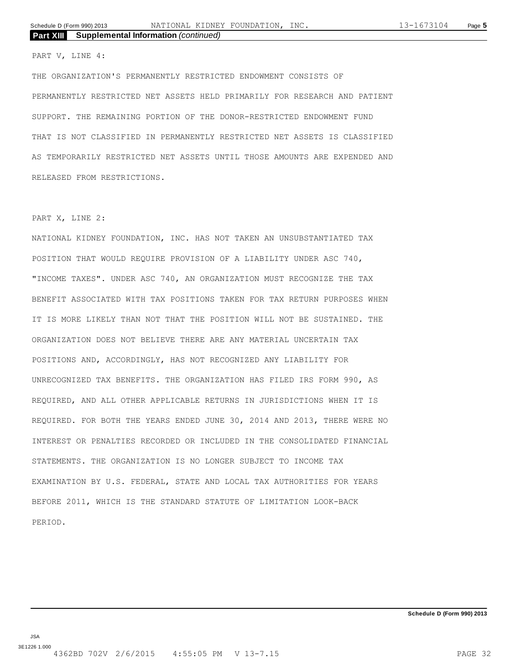PART V, LINE 4:

THE ORGANIZATION'S PERMANENTLY RESTRICTED ENDOWMENT CONSISTS OF PERMANENTLY RESTRICTED NET ASSETS HELD PRIMARILY FOR RESEARCH AND PATIENT SUPPORT. THE REMAINING PORTION OF THE DONOR-RESTRICTED ENDOWMENT FUND THAT IS NOT CLASSIFIED IN PERMANENTLY RESTRICTED NET ASSETS IS CLASSIFIED AS TEMPORARILY RESTRICTED NET ASSETS UNTIL THOSE AMOUNTS ARE EXPENDED AND RELEASED FROM RESTRICTIONS.

#### PART X, LINE 2:

NATIONAL KIDNEY FOUNDATION, INC. HAS NOT TAKEN AN UNSUBSTANTIATED TAX POSITION THAT WOULD REQUIRE PROVISION OF A LIABILITY UNDER ASC 740, "INCOME TAXES". UNDER ASC 740, AN ORGANIZATION MUST RECOGNIZE THE TAX BENEFIT ASSOCIATED WITH TAX POSITIONS TAKEN FOR TAX RETURN PURPOSES WHEN IT IS MORE LIKELY THAN NOT THAT THE POSITION WILL NOT BE SUSTAINED. THE ORGANIZATION DOES NOT BELIEVE THERE ARE ANY MATERIAL UNCERTAIN TAX POSITIONS AND, ACCORDINGLY, HAS NOT RECOGNIZED ANY LIABILITY FOR UNRECOGNIZED TAX BENEFITS. THE ORGANIZATION HAS FILED IRS FORM 990, AS REQUIRED, AND ALL OTHER APPLICABLE RETURNS IN JURISDICTIONS WHEN IT IS REQUIRED. FOR BOTH THE YEARS ENDED JUNE 30, 2014 AND 2013, THERE WERE NO INTEREST OR PENALTIES RECORDED OR INCLUDED IN THE CONSOLIDATED FINANCIAL STATEMENTS. THE ORGANIZATION IS NO LONGER SUBJECT TO INCOME TAX EXAMINATION BY U.S. FEDERAL, STATE AND LOCAL TAX AUTHORITIES FOR YEARS BEFORE 2011, WHICH IS THE STANDARD STATUTE OF LIMITATION LOOK-BACK PERIOD.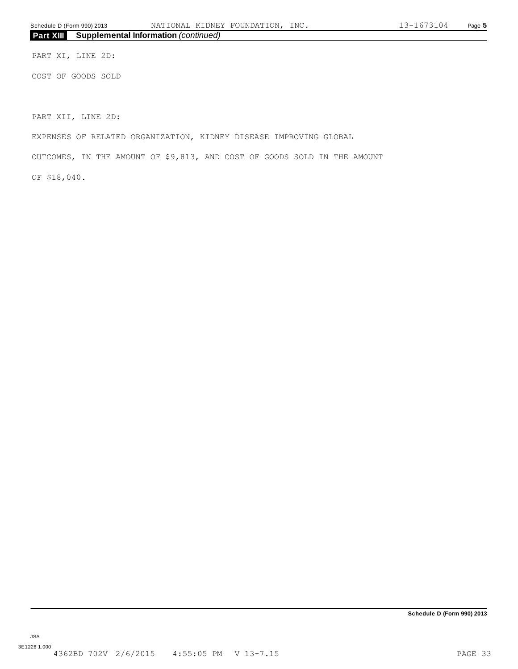PART XI, LINE 2D:

COST OF GOODS SOLD

PART XII, LINE 2D:

EXPENSES OF RELATED ORGANIZATION, KIDNEY DISEASE IMPROVING GLOBAL

OUTCOMES, IN THE AMOUNT OF \$9,813, AND COST OF GOODS SOLD IN THE AMOUNT

OF \$18,040.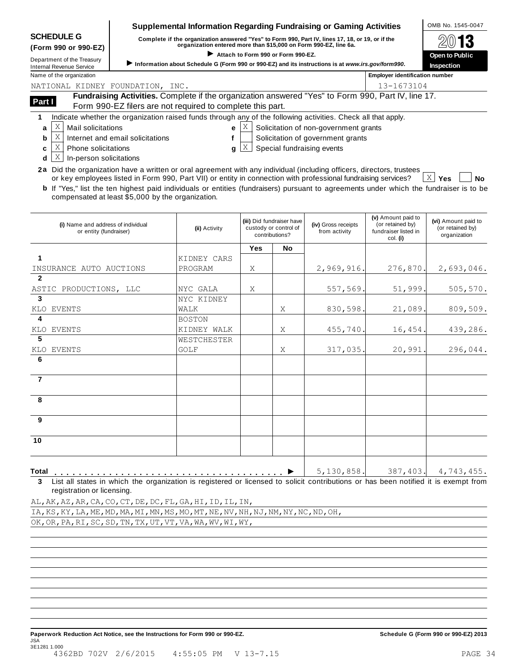| <b>SCHEDULE G</b> |  |
|-------------------|--|
|-------------------|--|

### **Supplemental Information Regarding Fundraising or Gaming Activities**  $\bigcirc$  OMB No. 1545-0047

SCHEDULE G complete if the organization answered "Yes" to Form 990, Part IV, lines 17, 18, or 19, or if the  $\otimes$  0 13 (Form 990 or 990-EZ)<br>Department of the Treasury → Information about Schedule G (Form 990 or 990-EZ) and its instructions is at www.irs.gov/form990.<br>Internal Revenue Service → Information about Schedule G (Form 990 or 990-

| $\mathfrak{D}(\mathbb{N}13)$ |
|------------------------------|
| <b>Open to Public</b>        |
| Insnection                   |

Name of the organization **Employer identification number Employer identification number** NATIONAL KIDNEY FOUNDATION, INC.

| lame of the organization |                                  |                                                                                                           | <b>Employer identification num</b> |
|--------------------------|----------------------------------|-----------------------------------------------------------------------------------------------------------|------------------------------------|
|                          | WATIONAL KIDNEY FOUNDATION, INC. |                                                                                                           | 13-1673104                         |
| Part I                   |                                  | <b>Fundraising Activities.</b> Complete if the organization answered "Yes" to Form 990, Part IV, line 17. |                                    |
|                          |                                  | Form 990-EZ filers are not required to complete this part.                                                |                                    |

**1** Indicate whether the organization raised funds through any of the following activities. Check all that apply.

 $a \mid X$  $\mathbb{X}$  Mail solicitations e  $\mathbb{X}$ 

**e**  $[X]$  Solicitation of non-government grants

- **b** X Internet and email solicitations
- Solicitation of government grants
- $c \mid X$ **d**  $\lfloor \mathsf{X} \rfloor$  In-person solicitations  $\mathbb{X}$  Phone solicitations and  $\mathbf{g}$  if  $\mathbb{X}$
- **f g** Special fundraising events

**2a** Did the organization have a written or oral agreement with any individual (including officers, directors, trustees or the pression solicitations<br>Did the organization have a written or oral agreement with any individual (including officers, directors, trustees<br>or key employees listed in Form 990, Part VII) or entity in connection with p

**b** If "Yes," list the ten highest paid individuals or entities (fundraisers) pursuant to agreements under which the fundraiser is to be compensated at least \$5,000 by the organization. X Yes

| (i) Name and address of individual<br>or entity (fundraiser)                                                                                                                     | (ii) Activity | (iii) Did fundraiser have<br>custody or control of<br>contributions? |           | (iv) Gross receipts<br>from activity | (v) Amount paid to<br>(or retained by)<br>fundraiser listed in<br>col. (i) | (vi) Amount paid to<br>(or retained by)<br>organization |  |
|----------------------------------------------------------------------------------------------------------------------------------------------------------------------------------|---------------|----------------------------------------------------------------------|-----------|--------------------------------------|----------------------------------------------------------------------------|---------------------------------------------------------|--|
|                                                                                                                                                                                  |               | <b>Yes</b>                                                           | <b>No</b> |                                      |                                                                            |                                                         |  |
| 1                                                                                                                                                                                | KIDNEY CARS   |                                                                      |           |                                      |                                                                            |                                                         |  |
| INSURANCE AUTO AUCTIONS                                                                                                                                                          | PROGRAM       | Χ                                                                    |           | 2,969,916.                           | 276,870.                                                                   | 2,693,046.                                              |  |
| $\overline{2}$                                                                                                                                                                   |               |                                                                      |           |                                      |                                                                            |                                                         |  |
| ASTIC PRODUCTIONS, LLC                                                                                                                                                           | NYC GALA      | X                                                                    |           | 557,569.                             | 51,999.                                                                    | 505, 570.                                               |  |
| $\overline{3}$                                                                                                                                                                   | NYC KIDNEY    |                                                                      |           |                                      |                                                                            |                                                         |  |
| KLO EVENTS                                                                                                                                                                       | WALK          |                                                                      | Χ         | 830,598.                             | 21,089.                                                                    | 809,509.                                                |  |
| $\overline{4}$                                                                                                                                                                   | <b>BOSTON</b> |                                                                      |           |                                      |                                                                            |                                                         |  |
| KLO EVENTS                                                                                                                                                                       | KIDNEY WALK   |                                                                      | X         | 455,740.                             | 16,454.                                                                    | 439,286.                                                |  |
| 5                                                                                                                                                                                | WESTCHESTER   |                                                                      |           |                                      |                                                                            |                                                         |  |
| <b>EVENTS</b><br>KLO                                                                                                                                                             | GOLF          |                                                                      | X         | 317,035.                             | 20,991.                                                                    | 296,044.                                                |  |
| 6                                                                                                                                                                                |               |                                                                      |           |                                      |                                                                            |                                                         |  |
| $\overline{7}$                                                                                                                                                                   |               |                                                                      |           |                                      |                                                                            |                                                         |  |
| 8                                                                                                                                                                                |               |                                                                      |           |                                      |                                                                            |                                                         |  |
| 9                                                                                                                                                                                |               |                                                                      |           |                                      |                                                                            |                                                         |  |
| $\overline{10}$                                                                                                                                                                  |               |                                                                      |           |                                      |                                                                            |                                                         |  |
| <b>Total</b>                                                                                                                                                                     |               |                                                                      |           | 5,130,858.                           | 387,403.                                                                   | 4,743,455.                                              |  |
| List all states in which the organization is registered or licensed to solicit contributions or has been notified it is exempt from<br>$\mathbf{3}$<br>rogietration or liconsing |               |                                                                      |           |                                      |                                                                            |                                                         |  |

**3** List all states in which the organization is registered or licensed to solicit contributions or has been notified it is exempt from registration or licensing.

AL,AK,AZ,AR,CA,CO,CT,DE,DC,FL,GA,HI,ID,IL,IN, IA,KS,KY,LA,ME,MD,MA,MI,MN,MS,MO,MT,NE,NV,NH,NJ,NM,NY,NC,ND,OH, OK,OR,PA,RI,SC,SD,TN,TX,UT,VT,VA,WA,WV,WI,WY,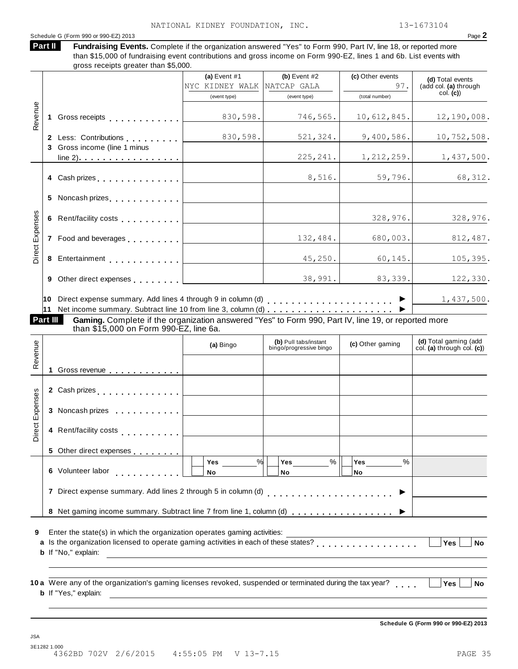**Fundraising Events.** Complete if the organization answered "Yes" to Form 990, Part IV, line 18, or reported more

#### Schedule G (Form 990 or 990-EZ) 2013 Page **2**

**Part II** 

than \$15,000 of fundraising event contributions and gross income on Form 990-EZ, lines 1 and 6b. List events with gross receipts greater than \$5,000. **(a)** Event #1 **(b)** Event #2 **(c)** Other events **(d)** Total events **(d)** Total events **(d)** Total events **(d)** Total events (add col. **(a)** through col. **(c)**) (event type) (event type) (total number) **1** Gross receipts **2** Less: Contributions **3** Gross income (line 1 minus line 2). . <u>. . . . . . . . . . . . . . . .</u> m m m m m m m m m m m m m m m m m m m m m m m m m m m m m m m m m m m m m m Revenue **4** Cash prizes **5** Noncash prizes **6** Rent/facility costs **7** Food and beverages **8** Entertainment **9** Other direct expenses **10** Direct expense summary. Add lines 4 through 9 in column (d) **11** Net income summary. Subtract line 10 from line 3, column (d) m m m m m m m m m m m m m m m m m m m m m m m m m m m m m m m m m m m m m m m m m m m m m m m m m m m m m m m m m m m m m m m m m m m m m m m m m m m m m m m m m m m m m m <sup>I</sup> m m m m m m m m m m m m m m m m m m m m m <sup>I</sup> Direct Expenses **Gaming.** Complete if the organization answered "Yes" to Form 990, Part IV, line 19, or reported more than \$15,000 on Form 990-EZ, line 6a. **Part III (d)** Total gaming (add col. **(a)** through col. **(c)**) **(b)** Pull tabs/instant bingo/progressive bingo **(a)** Bingo **(c)** Other gaming **1** Gross revenue **2** Cash prizes **3** Noncash prizes m m m m m m m m m m m m Revenue m m m m m m m m m m m m m m m m m m m m m m m m m **4** Rent/facility costs **5** Other direct expenses **6** Volunteer labor **7** Direct expense summary. Add lines 2 through 5 in column (d) **8** Net gaming income summary. Subtract line 7 from line 1, column (d) m m m m m m m m m m m m m m m m m m Direct Expenses **Yes No Yes No Yes No**  $\%$  | Yes \_\_\_\_\_\_\_\_\_  $\%$  | Yes \_\_\_\_\_\_\_\_  $\%$  | m m m m m m m m m m m  $\begin{array}{c|c|c|c} \mathsf{Yes} & \mathsf{%} & \mathsf{Yes} & \mathsf{%} \ \hline \mathsf{No} & \mathsf{No} & \mathsf{No} & \mathsf{\'} \ \hline \mathsf{No} & \mathsf{No} & \mathsf{No} & \mathsf{No} & \mathsf{No} \end{array}$  $\frac{100}{100}$   $\frac{100}{100}$   $\frac{100}{100}$   $\frac{100}{100}$   $\frac{100}{100}$   $\frac{100}{100}$   $\frac{100}{100}$   $\frac{100}{100}$   $\frac{100}{100}$   $\frac{100}{100}$   $\frac{100}{100}$   $\frac{100}{100}$   $\frac{100}{100}$   $\frac{100}{100}$   $\frac{100}{100}$   $\frac{100}{100$ **9** Enter the state(s) in which the organization operates gaming activities: **10** Were any of the organization's gaming licenses revoked, suspended or terminated during the tax year? **a a** Is the organization licensed to operate gaming activities in each of these states? **b** If "No," explain: **b** If "Yes," explain: m m m m m m m m m m m m m m m m m **Yes No m** M M M Ves No<br> **M** Yes No<br>
No Yes No **Schedule G (Form 990 or 990-EZ) 2013** NYC KIDNEY WALK 830,598. 746,565. 10,612,845. 12,190,008. 830,598. 521,324. 9,400,586. 10,752,508. 225,241. 1,212,259. 1,437,500. 8,516. 59,796. 68,312. 328,976. 328,976. 132,484. 680,003. 812,487. 45,250. 60,145. 105,395. 38,991. 83,339. 122,330. 1,437,500.

JSA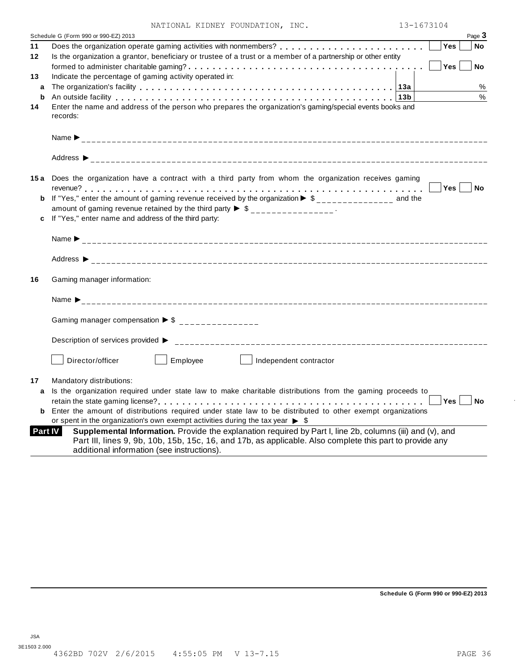|  |  | NATIONAL KIDNEY FOUNDATION, INC. |  |
|--|--|----------------------------------|--|
|--|--|----------------------------------|--|

|          | 13-1673104<br>NATIONAL KIDNEY FOUNDATION, INC.                                                                                                                                                                                          |
|----------|-----------------------------------------------------------------------------------------------------------------------------------------------------------------------------------------------------------------------------------------|
|          | Schedule G (Form 990 or 990-EZ) 2013<br>Page 3                                                                                                                                                                                          |
| 11<br>12 | Yes<br>No<br>Is the organization a grantor, beneficiary or trustee of a trust or a member of a partnership or other entity<br>Yes<br><b>No</b>                                                                                          |
| 13<br>a  | Indicate the percentage of gaming activity operated in:<br>$\%$                                                                                                                                                                         |
| b        | $\frac{0}{0}$<br>An outside facility enterpretation of the control of the control of the control of the control of the control o                                                                                                        |
| 14       | Enter the name and address of the person who prepares the organization's gaming/special events books and<br>records:                                                                                                                    |
|          |                                                                                                                                                                                                                                         |
|          |                                                                                                                                                                                                                                         |
|          | 15a Does the organization have a contract with a third party from whom the organization receives gaming<br>∣No                                                                                                                          |
|          | <b>b</b> If "Yes," enter the amount of gaming revenue received by the organization $\triangleright$ \$______________ and the<br>amount of gaming revenue retained by the third party $\triangleright$ \$ _______________.               |
|          | c If "Yes," enter name and address of the third party:                                                                                                                                                                                  |
|          |                                                                                                                                                                                                                                         |
|          |                                                                                                                                                                                                                                         |
|          |                                                                                                                                                                                                                                         |
|          | Gaming manager information:                                                                                                                                                                                                             |
|          |                                                                                                                                                                                                                                         |
|          | Gaming manager compensation $\triangleright$ \$ _______________                                                                                                                                                                         |
|          |                                                                                                                                                                                                                                         |
|          | Employee<br>Director/officer<br>Independent contractor                                                                                                                                                                                  |
|          | Mandatory distributions:                                                                                                                                                                                                                |
|          | a Is the organization required under state law to make charitable distributions from the gaming proceeds to                                                                                                                             |
| 16<br>17 | <b>Yes</b><br>No<br><b>b</b> Enter the amount of distributions required under state law to be distributed to other exempt organizations<br>or spent in the organization's own exempt activities during the tax year $\triangleright$ \$ |

**Schedule G (Form 990 or 990-EZ) 2013**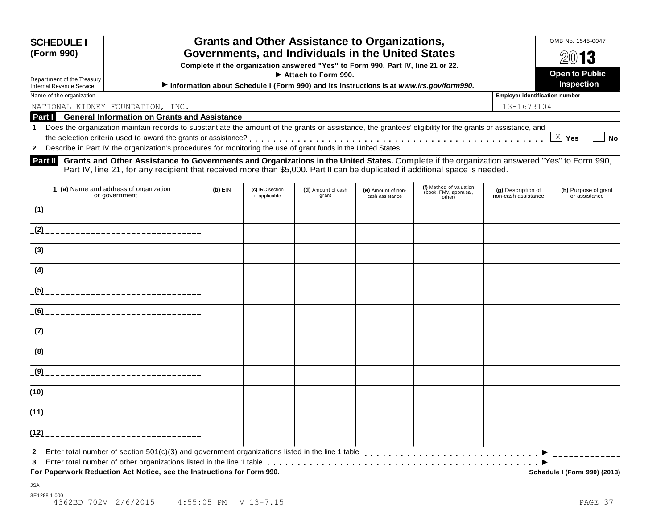| <b>SCHEDULE I</b><br>(Form 990)<br>Department of the Treasury<br><b>Internal Revenue Service</b> | <b>Grants and Other Assistance to Organizations,</b><br>Governments, and Individuals in the United States<br>Complete if the organization answered "Yes" to Form 990, Part IV, line 21 or 22.<br>$\blacktriangleright$ Attach to Form 990.<br>Information about Schedule I (Form 990) and its instructions is at www.irs.gov/form990. | OMB No. 1545-0047<br>2013<br><b>Open to Public</b><br><b>Inspection</b> |  |  |  |  |
|--------------------------------------------------------------------------------------------------|---------------------------------------------------------------------------------------------------------------------------------------------------------------------------------------------------------------------------------------------------------------------------------------------------------------------------------------|-------------------------------------------------------------------------|--|--|--|--|
| Name of the organization                                                                         |                                                                                                                                                                                                                                                                                                                                       | <b>Employer identification number</b>                                   |  |  |  |  |
| NATIONAL KIDNEY FOUNDATION, INC.                                                                 |                                                                                                                                                                                                                                                                                                                                       | 13-1673104                                                              |  |  |  |  |
|                                                                                                  | <b>Part I</b> General Information on Grants and Assistance                                                                                                                                                                                                                                                                            |                                                                         |  |  |  |  |
|                                                                                                  | 1 Does the organization maintain records to substantiate the amount of the grants or assistance, the grantees' eligibility for the grants or assistance, and                                                                                                                                                                          |                                                                         |  |  |  |  |
| X Yes<br><b>No</b>                                                                               |                                                                                                                                                                                                                                                                                                                                       |                                                                         |  |  |  |  |
|                                                                                                  | 2 Describe in Part IV the organization's procedures for monitoring the use of grant funds in the United States.                                                                                                                                                                                                                       |                                                                         |  |  |  |  |
|                                                                                                  |                                                                                                                                                                                                                                                                                                                                       |                                                                         |  |  |  |  |

**Grants and Other Assistance to Governments and Organizations in the United States.** Complete if the organization answered "Yes" to Form 990, Part IV, line 21, for any recipient that received more than \$5,000. Part II can be duplicated if additional space is needed. **Part II** 

| 1 (a) Name and address of organization<br>or government                                     | $(b)$ EIN | (c) IRC section<br>if applicable | (d) Amount of cash<br>grant | (e) Amount of non-<br>cash assistance | (f) Method of valuation<br>(book, FMV, appraisal,<br>other) | (g) Description of<br>non-cash assistance | (h) Purpose of grant<br>or assistance |
|---------------------------------------------------------------------------------------------|-----------|----------------------------------|-----------------------------|---------------------------------------|-------------------------------------------------------------|-------------------------------------------|---------------------------------------|
|                                                                                             |           |                                  |                             |                                       |                                                             |                                           |                                       |
|                                                                                             |           |                                  |                             |                                       |                                                             |                                           |                                       |
|                                                                                             |           |                                  |                             |                                       |                                                             |                                           |                                       |
|                                                                                             |           |                                  |                             |                                       |                                                             |                                           |                                       |
|                                                                                             |           |                                  |                             |                                       |                                                             |                                           |                                       |
|                                                                                             |           |                                  |                             |                                       |                                                             |                                           |                                       |
|                                                                                             |           |                                  |                             |                                       |                                                             |                                           |                                       |
|                                                                                             |           |                                  |                             |                                       |                                                             |                                           |                                       |
|                                                                                             |           |                                  |                             |                                       |                                                             |                                           |                                       |
|                                                                                             |           |                                  |                             |                                       |                                                             |                                           |                                       |
|                                                                                             |           |                                  |                             |                                       |                                                             |                                           |                                       |
| (12)                                                                                        |           |                                  |                             |                                       |                                                             |                                           |                                       |
| $\mathbf{2}$<br>3<br>For Paperwork Reduction Act Notice, see the Instructions for Form 990. |           |                                  |                             |                                       |                                                             |                                           | Schedule I (Form 990) (2013)          |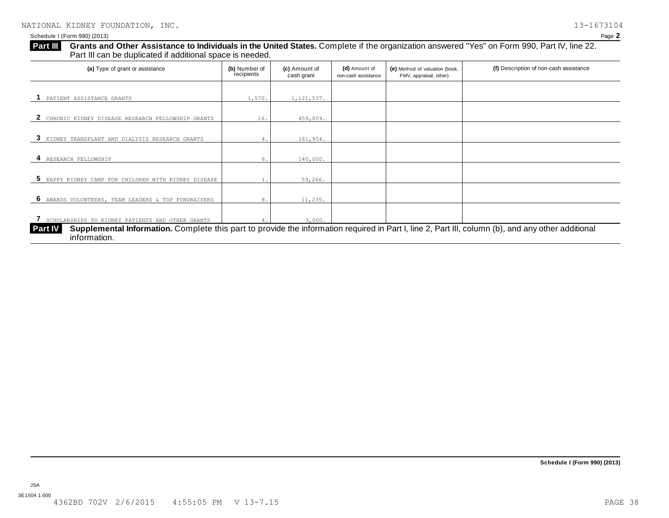| (a) Type of grant or assistance                      | (b) Number of<br>recipients | (c) Amount of<br>cash grant | (d) Amount of<br>non-cash assistance | (e) Method of valuation (book,<br>FMV, appraisal, other) | (f) Description of non-cash assistance |
|------------------------------------------------------|-----------------------------|-----------------------------|--------------------------------------|----------------------------------------------------------|----------------------------------------|
| PATIENT ASSISTANCE GRANTS                            | 1,570.                      | 1,121,537.                  |                                      |                                                          |                                        |
| CHRONIC KIDNEY DISEASE RESEARCH FELLOWSHIP GRANTS    | 16.                         | 459,009.                    |                                      |                                                          |                                        |
| KIDNEY TRANSPLANT AND DIALYSIS RESEARCH GRANTS<br>3  | 4.                          | 161,954.                    |                                      |                                                          |                                        |
| RESEARCH FELLOWSHIP                                  | 6.                          | 140,000.                    |                                      |                                                          |                                        |
| 5 KAPPY KIDNEY CAMP FOR CHILDREN WITH KIDNEY DISEASE |                             | 59,266.                     |                                      |                                                          |                                        |
| 6 AWARDS VOLUNTEERS, TEAM LEADERS & TOP FUNDRAISERS  | 8.                          | 11,235.                     |                                      |                                                          |                                        |
|                                                      |                             |                             |                                      |                                                          |                                        |
| SCHOLARSHIPS TO KIDNEY PATIENTS AND OTHER GRANTS     |                             | 3,000.                      |                                      |                                                          |                                        |

**Schedule I (Form 990) (2013)**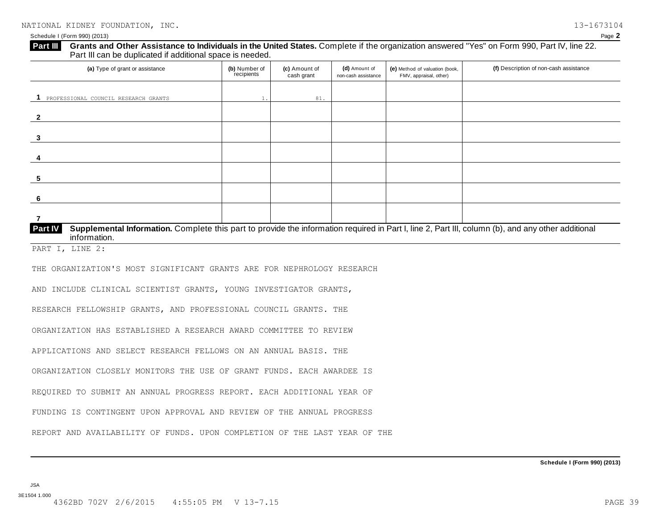#### Schedule I (Form 990) (2013) Page **2**

**Grants and Other Assistance to Individuals in the United States.** Complete if the organization answered "Yes" on Form 990, Part IV, line 22. Part III can be duplicated if additional space is needed. **Part III** 

| (a) Type of grant or assistance                                                                                                                                      | (b) Number of<br>recipients | (c) Amount of<br>cash grant | (d) Amount of<br>non-cash assistance | (e) Method of valuation (book,<br>FMV, appraisal, other) | (f) Description of non-cash assistance |  |  |  |
|----------------------------------------------------------------------------------------------------------------------------------------------------------------------|-----------------------------|-----------------------------|--------------------------------------|----------------------------------------------------------|----------------------------------------|--|--|--|
| PROFESSIONAL COUNCIL RESEARCH GRANTS                                                                                                                                 |                             | 81.                         |                                      |                                                          |                                        |  |  |  |
|                                                                                                                                                                      |                             |                             |                                      |                                                          |                                        |  |  |  |
|                                                                                                                                                                      |                             |                             |                                      |                                                          |                                        |  |  |  |
|                                                                                                                                                                      |                             |                             |                                      |                                                          |                                        |  |  |  |
| 5                                                                                                                                                                    |                             |                             |                                      |                                                          |                                        |  |  |  |
| 6                                                                                                                                                                    |                             |                             |                                      |                                                          |                                        |  |  |  |
|                                                                                                                                                                      |                             |                             |                                      |                                                          |                                        |  |  |  |
| <b>Part IV</b><br>Supplemental Information. Complete this part to provide the information required in Part I, line 2, Part III, column (b), and any other additional |                             |                             |                                      |                                                          |                                        |  |  |  |

PART I, LINE 2:

information.

THE ORGANIZATION'S MOST SIGNIFICANT GRANTS ARE FOR NEPHROLOGY RESEARCH

AND INCLUDE CLINICAL SCIENTIST GRANTS, YOUNG INVESTIGATOR GRANTS,

RESEARCH FELLOWSHIP GRANTS, AND PROFESSIONAL COUNCIL GRANTS. THE

ORGANIZATION HAS ESTABLISHED A RESEARCH AWARD COMMITTEE TO REVIEW

APPLICATIONS AND SELECT RESEARCH FELLOWS ON AN ANNUAL BASIS. THE

ORGANIZATION CLOSELY MONITORS THE USE OF GRANT FUNDS. EACH AWARDEE IS

REQUIRED TO SUBMIT AN ANNUAL PROGRESS REPORT. EACH ADDITIONAL YEAR OF

FUNDING IS CONTINGENT UPON APPROVAL AND REVIEW OF THE ANNUAL PROGRESS

REPORT AND AVAILABILITY OF FUNDS. UPON COMPLETION OF THE LAST YEAR OF THE

JSA 3E1504 1.000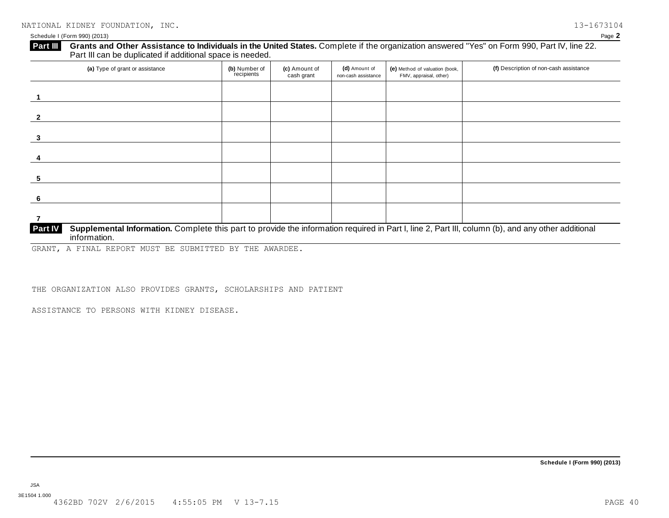### **Part III** Grants and Other Assistance to Individuals in the United States. Complete if the organization answered "Yes" on Form 990, Part IV, line 22. Part III can be duplicated if additional space is needed.

| (a) Type of grant or assistance                                                                                                                                                      | (b) Number of<br>recipients | (c) Amount of<br>cash grant | (d) Amount of<br>non-cash assistance | (e) Method of valuation (book,<br>FMV, appraisal, other) | (f) Description of non-cash assistance |
|--------------------------------------------------------------------------------------------------------------------------------------------------------------------------------------|-----------------------------|-----------------------------|--------------------------------------|----------------------------------------------------------|----------------------------------------|
|                                                                                                                                                                                      |                             |                             |                                      |                                                          |                                        |
|                                                                                                                                                                                      |                             |                             |                                      |                                                          |                                        |
|                                                                                                                                                                                      |                             |                             |                                      |                                                          |                                        |
|                                                                                                                                                                                      |                             |                             |                                      |                                                          |                                        |
| 5                                                                                                                                                                                    |                             |                             |                                      |                                                          |                                        |
| -6                                                                                                                                                                                   |                             |                             |                                      |                                                          |                                        |
|                                                                                                                                                                                      |                             |                             |                                      |                                                          |                                        |
| Supplemental Information. Complete this part to provide the information required in Part I, line 2, Part III, column (b), and any other additional<br><b>Part IV</b><br>information. |                             |                             |                                      |                                                          |                                        |

GRANT, A FINAL REPORT MUST BE SUBMITTED BY THE AWARDEE.

THE ORGANIZATION ALSO PROVIDES GRANTS, SCHOLARSHIPS AND PATIENT

ASSISTANCE TO PERSONS WITH KIDNEY DISEASE.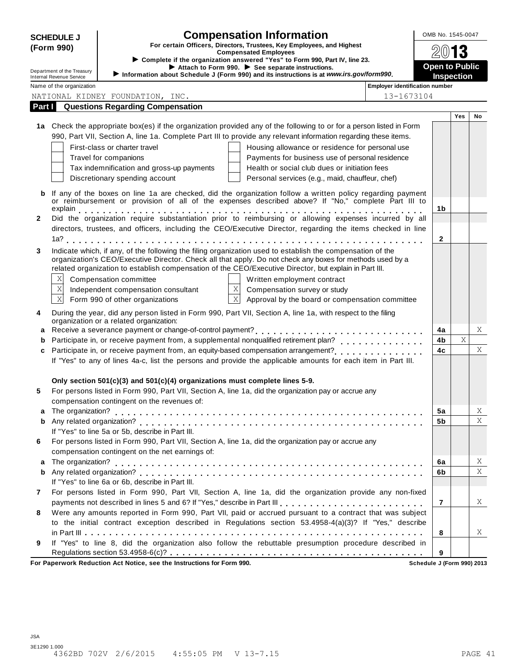| <b>SCHEDULE J</b>                                                                                                                                                                                   | <b>Compensation Information</b>                                                                                                                                                 | OMB No. 1545-0047              |            |    |  |  |
|-----------------------------------------------------------------------------------------------------------------------------------------------------------------------------------------------------|---------------------------------------------------------------------------------------------------------------------------------------------------------------------------------|--------------------------------|------------|----|--|--|
| (Form 990)                                                                                                                                                                                          | For certain Officers, Directors, Trustees, Key Employees, and Highest<br><b>Compensated Employees</b>                                                                           |                                |            |    |  |  |
| ► Complete if the organization answered "Yes" to Form 990, Part IV, line 23.                                                                                                                        |                                                                                                                                                                                 | <b>Open to Public</b>          |            |    |  |  |
| Attach to Form 990. See separate instructions.<br>Department of the Treasury<br>Information about Schedule J (Form 990) and its instructions is at www.irs.gov/form990.<br>Internal Revenue Service |                                                                                                                                                                                 |                                |            |    |  |  |
| Name of the organization                                                                                                                                                                            |                                                                                                                                                                                 | Employer identification number | Inspection |    |  |  |
|                                                                                                                                                                                                     | NATIONAL KIDNEY FOUNDATION, INC.                                                                                                                                                | 13-1673104                     |            |    |  |  |
|                                                                                                                                                                                                     | <b>Part I</b> Questions Regarding Compensation                                                                                                                                  |                                |            |    |  |  |
|                                                                                                                                                                                                     |                                                                                                                                                                                 |                                | <b>Yes</b> | No |  |  |
|                                                                                                                                                                                                     | 1a Check the appropriate box(es) if the organization provided any of the following to or for a person listed in Form                                                            |                                |            |    |  |  |
|                                                                                                                                                                                                     | 990, Part VII, Section A, line 1a. Complete Part III to provide any relevant information regarding these items.                                                                 |                                |            |    |  |  |
|                                                                                                                                                                                                     | Housing allowance or residence for personal use<br>First-class or charter travel                                                                                                |                                |            |    |  |  |
|                                                                                                                                                                                                     | Payments for business use of personal residence<br>Travel for companions                                                                                                        |                                |            |    |  |  |
|                                                                                                                                                                                                     | Health or social club dues or initiation fees<br>Tax indemnification and gross-up payments<br>Discretionary spending account<br>Personal services (e.g., maid, chauffeur, chef) |                                |            |    |  |  |
|                                                                                                                                                                                                     |                                                                                                                                                                                 |                                |            |    |  |  |
| b                                                                                                                                                                                                   | If any of the boxes on line 1a are checked, did the organization follow a written policy regarding payment                                                                      |                                |            |    |  |  |
|                                                                                                                                                                                                     | or reimbursement or provision of all of the expenses described above? If "No," complete Part III to                                                                             | 1 <sub>b</sub>                 |            |    |  |  |
| $\mathbf{2}$                                                                                                                                                                                        | explain<br>Did the organization require substantiation prior to reimbursing or allowing expenses incurred by all                                                                |                                |            |    |  |  |
|                                                                                                                                                                                                     | directors, trustees, and officers, including the CEO/Executive Director, regarding the items checked in line                                                                    |                                |            |    |  |  |
|                                                                                                                                                                                                     |                                                                                                                                                                                 | $\overline{2}$                 |            |    |  |  |
| 3                                                                                                                                                                                                   | Indicate which, if any, of the following the filing organization used to establish the compensation of the                                                                      |                                |            |    |  |  |
|                                                                                                                                                                                                     | organization's CEO/Executive Director. Check all that apply. Do not check any boxes for methods used by a                                                                       |                                |            |    |  |  |
|                                                                                                                                                                                                     | related organization to establish compensation of the CEO/Executive Director, but explain in Part III.                                                                          |                                |            |    |  |  |
| X<br>X                                                                                                                                                                                              | Compensation committee<br>Written employment contract<br>$\mathbf X$<br>Independent compensation consultant<br>Compensation survey or study                                     |                                |            |    |  |  |
| $\mathbf X$                                                                                                                                                                                         | $\overline{\mathbf{x}}$<br>Form 990 of other organizations<br>Approval by the board or compensation committee                                                                   |                                |            |    |  |  |
|                                                                                                                                                                                                     |                                                                                                                                                                                 |                                |            |    |  |  |
| 4                                                                                                                                                                                                   | During the year, did any person listed in Form 990, Part VII, Section A, line 1a, with respect to the filing<br>organization or a related organization:                         |                                |            |    |  |  |
| a                                                                                                                                                                                                   |                                                                                                                                                                                 | 4a                             |            | X  |  |  |
| b                                                                                                                                                                                                   |                                                                                                                                                                                 | 4b                             | X          |    |  |  |
| c                                                                                                                                                                                                   |                                                                                                                                                                                 | 4c                             |            | X  |  |  |
|                                                                                                                                                                                                     | If "Yes" to any of lines 4a-c, list the persons and provide the applicable amounts for each item in Part III.                                                                   |                                |            |    |  |  |
|                                                                                                                                                                                                     |                                                                                                                                                                                 |                                |            |    |  |  |
|                                                                                                                                                                                                     | Only section 501(c)(3) and 501(c)(4) organizations must complete lines 5-9.                                                                                                     |                                |            |    |  |  |
| 5                                                                                                                                                                                                   | For persons listed in Form 990, Part VII, Section A, line 1a, did the organization pay or accrue any<br>compensation contingent on the revenues of:                             |                                |            |    |  |  |
| a                                                                                                                                                                                                   |                                                                                                                                                                                 | 5a                             |            | Χ  |  |  |
| b                                                                                                                                                                                                   |                                                                                                                                                                                 | 5b                             |            | X  |  |  |
|                                                                                                                                                                                                     | If "Yes" to line 5a or 5b, describe in Part III.                                                                                                                                |                                |            |    |  |  |
| 6                                                                                                                                                                                                   | For persons listed in Form 990, Part VII, Section A, line 1a, did the organization pay or accrue any                                                                            |                                |            |    |  |  |
|                                                                                                                                                                                                     | compensation contingent on the net earnings of:                                                                                                                                 |                                |            |    |  |  |
| а                                                                                                                                                                                                   |                                                                                                                                                                                 | 6a                             |            | X  |  |  |
|                                                                                                                                                                                                     |                                                                                                                                                                                 | 6b                             |            | X  |  |  |
| b                                                                                                                                                                                                   | If "Yes" to line 6a or 6b, describe in Part III.                                                                                                                                |                                |            |    |  |  |
|                                                                                                                                                                                                     | For persons listed in Form 990, Part VII, Section A, line 1a, did the organization provide any non-fixed                                                                        |                                |            |    |  |  |
| 7                                                                                                                                                                                                   |                                                                                                                                                                                 |                                |            | X  |  |  |
|                                                                                                                                                                                                     | payments not described in lines 5 and 6? If "Yes," describe in Part III                                                                                                         | $\overline{7}$                 |            |    |  |  |
| 8                                                                                                                                                                                                   | Were any amounts reported in Form 990, Part VII, paid or accrued pursuant to a contract that was subject                                                                        |                                |            |    |  |  |
|                                                                                                                                                                                                     | to the initial contract exception described in Regulations section 53.4958-4(a)(3)? If "Yes," describe                                                                          |                                |            | X  |  |  |
| 9                                                                                                                                                                                                   | If "Yes" to line 8, did the organization also follow the rebuttable presumption procedure described in                                                                          | 8                              |            |    |  |  |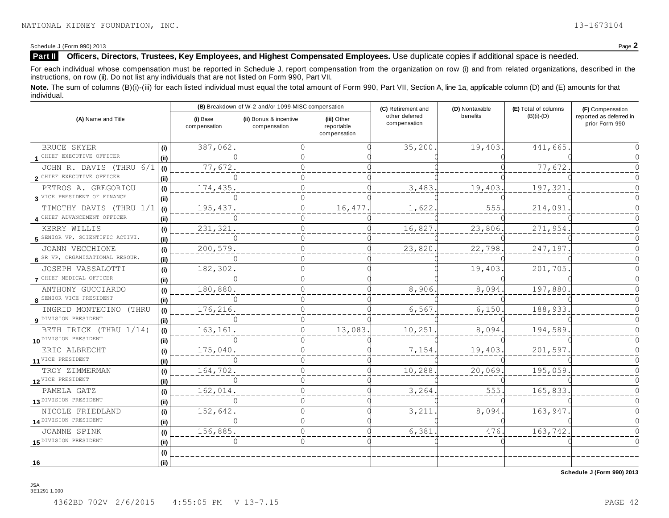Schedule J (Form 990) 2013 Page **2**

#### **Part II** Officers, Directors, Trustees, Key Employees, and Highest Compensated Employees. Use duplicate copies if additional space is needed.

For each individual whose compensation must be reported in Schedule J, report compensation from the organization on row (i) and from related organizations, described in the instructions, on row (ii). Do not list any individuals that are not listed on Form 990, Part VII.

Note. The sum of columns (B)(i)-(iii) for each listed individual must equal the total amount of Form 990, Part VII, Section A, line 1a, applicable column (D) and (E) amounts for that individual.

| (A) Name and Title                                     |                              |                          | (B) Breakdown of W-2 and/or 1099-MISC compensation |                                           | (C) Retirement and                         | (D) Nontaxable | (E) Total of columns | (F) Compensation                          |  |
|--------------------------------------------------------|------------------------------|--------------------------|----------------------------------------------------|-------------------------------------------|--------------------------------------------|----------------|----------------------|-------------------------------------------|--|
|                                                        |                              | (i) Base<br>compensation | (ii) Bonus & incentive<br>compensation             | (iii) Other<br>reportable<br>compensation | benefits<br>other deferred<br>compensation |                | $(B)(i)-(D)$         | reported as deferred in<br>prior Form 990 |  |
| BRUCE SKYER                                            | (i)                          | 387,062                  |                                                    |                                           | 35,200.                                    | 19,403.        | 441,665              |                                           |  |
| 1 CHIEF EXECUTIVE OFFICER                              | (ii)                         |                          |                                                    |                                           |                                            |                |                      |                                           |  |
| JOHN R. DAVIS (THRU 6/1<br>2 CHIEF EXECUTIVE OFFICER   | (i)<br>(ii)                  | 77,672                   |                                                    |                                           |                                            |                | 77,672               |                                           |  |
| PETROS A. GREGORIOU                                    | $\qquad \qquad \textbf{(i)}$ | 174, 435.                |                                                    |                                           | 3,483                                      | 19,403.        | 197,321              |                                           |  |
| 3 VICE PRESIDENT OF FINANCE                            | (i)                          |                          |                                                    |                                           |                                            |                |                      |                                           |  |
| TIMOTHY DAVIS (THRU 1/1<br>4 CHIEF ADVANCEMENT OFFICER | (i)<br>(ii)                  | 195,437                  |                                                    | 16,477                                    | 1,622                                      | 555.           | 214,091              |                                           |  |
| KERRY WILLIS<br>5 SENIOR VP, SCIENTIFIC ACTIVI.        | (i)<br>(i)                   | 231,321                  |                                                    |                                           | 16,827                                     | 23,806.        | 271,954              |                                           |  |
| JOANN VECCHIONE                                        | (i)                          | 200,579                  |                                                    |                                           | 23,820                                     | 22,798.        | 247,197              |                                           |  |
| 6 SR VP, ORGANIZATIONAL RESOUR.                        | (ii)                         |                          |                                                    |                                           |                                            |                |                      |                                           |  |
| JOSEPH VASSALOTTI<br>7 CHIEF MEDICAL OFFICER           | (i)<br>(ii)                  | 182,302                  |                                                    |                                           |                                            | 19,403.        | 201,705              |                                           |  |
| ANTHONY GUCCIARDO<br>8 SENIOR VICE PRESIDENT           | (i)<br>(ii)                  | 180,880                  |                                                    |                                           | 8,906                                      | 8,094.         | 197,880              |                                           |  |
| INGRID MONTECINO (THRU<br>9 DIVISION PRESIDENT         | (i)<br>(i)                   | 176,216.                 |                                                    |                                           | 6,567                                      | 6,150.         | 188,933              |                                           |  |
| BETH IRICK (THRU 1/14)<br>10 DIVISION PRESIDENT        | (i)<br>(i)                   | 163,161                  |                                                    | 13,083.                                   | 10,251                                     | 8,094.         | 194,589              |                                           |  |
| ERIC ALBRECHT<br>11 VICE PRESIDENT                     | (i)<br>(ii)                  | 175,040                  |                                                    |                                           | 7,154                                      | 19,403.        | 201,597              |                                           |  |
| TROY ZIMMERMAN                                         | (i)                          | 164,702                  |                                                    |                                           | 10,288                                     | 20,069.        | 195,059              |                                           |  |
| 12 VICE PRESIDENT                                      | (ii)                         |                          |                                                    |                                           |                                            |                |                      |                                           |  |
| PAMELA GATZ                                            | (i)                          | 162,014                  |                                                    |                                           | 3,264                                      | 555.           | 165,833              |                                           |  |
| 13 DIVISION PRESIDENT                                  | (ii)                         |                          |                                                    |                                           |                                            |                |                      |                                           |  |
| NICOLE FRIEDLAND                                       | (i)                          | 152,642                  |                                                    |                                           | 3,211                                      | 8,094.         | 163,947              |                                           |  |
| 14 DIVISION PRESIDENT                                  | (ii)                         |                          |                                                    |                                           |                                            |                |                      |                                           |  |
| <b>JOANNE SPINK</b>                                    | (i)                          | 156,885.                 |                                                    |                                           | 6,381                                      | 476.           | 163,742              |                                           |  |
| 15 DIVISION PRESIDENT                                  | (ii)                         |                          |                                                    |                                           |                                            |                |                      |                                           |  |
| 16                                                     | (i)<br>(ii)                  |                          |                                                    |                                           |                                            |                |                      |                                           |  |

**Schedule J (Form 990) 2013**

JSA 3E1291 1.000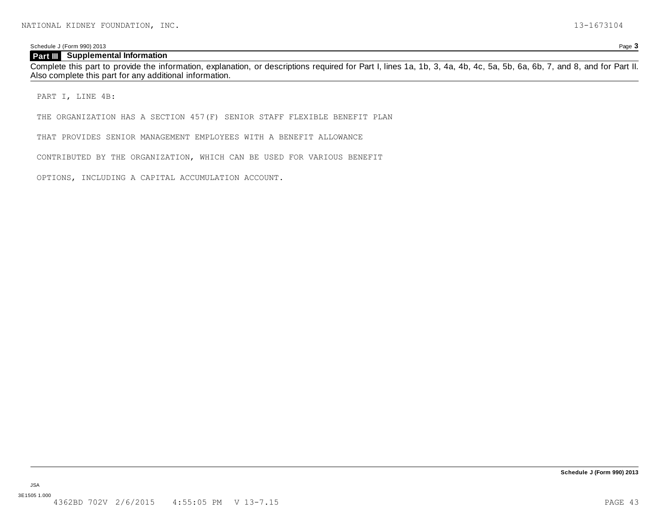Schedule J (Form 990) 2013 Page **3**

#### **Part III** Supplemental Information

Complete this part to provide the information, explanation, or descriptions required for Part I, lines 1a, 1b, 3, 4a, 4b, 4c, 5a, 5b, 6a, 6b, 7, and 8, and for Part II. Also complete this part for any additional information.

PART I, LINE 4B:

THE ORGANIZATION HAS A SECTION 457(F) SENIOR STAFF FLEXIBLE BENEFIT PLAN

THAT PROVIDES SENIOR MANAGEMENT EMPLOYEES WITH A BENEFIT ALLOWANCE

CONTRIBUTED BY THE ORGANIZATION, WHICH CAN BE USED FOR VARIOUS BENEFIT

OPTIONS, INCLUDING A CAPITAL ACCUMULATION ACCOUNT.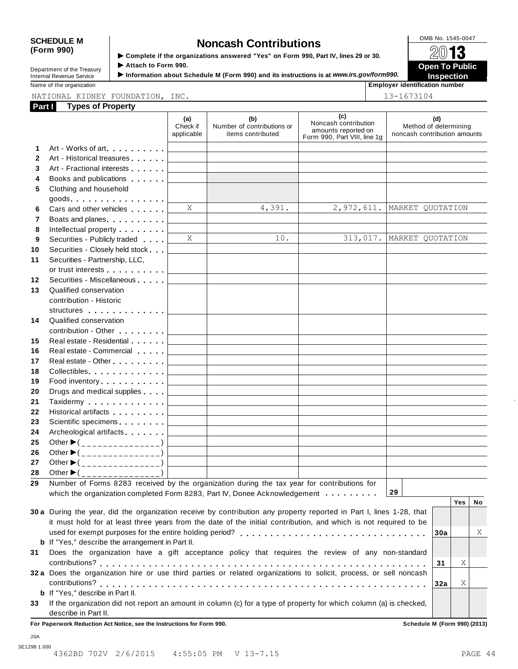| Department of the Treasury      |  |
|---------------------------------|--|
| <b>Internal Revenue Service</b> |  |

OMB No. 1545-0047 **SCHEDULE M Noncash Contributions (Form 990)** <sup>I</sup> **Complete if the organizations answered "Yes" on Form 990, Part IV, lines 29 or 30.** À¾µ· Department of the Treasury **Complete it the organizations answered "Yes" on Form 990, Part IV, lines 29 or 30.<br>Department of the Treasury Attach to Form 990.** 

■ Attach to Form 990.<br>■ Information about Schedule M (Form 990) and its instructions is at *www.irs.gov/form990.*<br>■ Inspection like about Schedule M (Form 990) and its instructions is at *www.irs.gov/form990.*<br>■ Employer

**Name of the organization** 

| loyer identification numb |
|---------------------------|
|---------------------------|

#### **Part I** Types of Property NATIONAL KIDNEY FOUNDATION, INC. 13-1673104

|              | NATIONAL KIDNEY FOUNDATION, INC.<br>Part Types of Property                                                                                                                                                                    |                               |                                                        |                                                                                    | 13-1673104                                                   |
|--------------|-------------------------------------------------------------------------------------------------------------------------------------------------------------------------------------------------------------------------------|-------------------------------|--------------------------------------------------------|------------------------------------------------------------------------------------|--------------------------------------------------------------|
|              |                                                                                                                                                                                                                               | (a)<br>Check if<br>applicable | (b)<br>Number of contributions or<br>items contributed | (c)<br>Noncash contribution<br>amounts reported on<br>Form 990, Part VIII, line 1g | (d)<br>Method of determining<br>noncash contribution amounts |
| 1            | Art - Works of art.                                                                                                                                                                                                           |                               |                                                        |                                                                                    |                                                              |
| $\mathbf{2}$ | Art - Historical treasures                                                                                                                                                                                                    |                               |                                                        |                                                                                    |                                                              |
| 3            | Art - Fractional interests                                                                                                                                                                                                    |                               |                                                        |                                                                                    |                                                              |
| 4            | Books and publications <b>contains</b>                                                                                                                                                                                        |                               |                                                        |                                                                                    |                                                              |
| 5            | Clothing and household<br>$goods.$                                                                                                                                                                                            |                               |                                                        |                                                                                    |                                                              |
| 6            | Cars and other vehicles <b>Cars</b>                                                                                                                                                                                           | X                             | 4,391.                                                 |                                                                                    | 2,972,611. MARKET QUOTATION                                  |
| 7            | Boats and planes                                                                                                                                                                                                              |                               |                                                        |                                                                                    |                                                              |
| 8            | Intellectual property <b>Algebra</b>                                                                                                                                                                                          |                               |                                                        |                                                                                    |                                                              |
| 9            | Securities - Publicly traded                                                                                                                                                                                                  | X                             | 10.                                                    |                                                                                    | 313,017. MARKET QUOTATION                                    |
| 10           | Securities - Closely held stock                                                                                                                                                                                               |                               |                                                        |                                                                                    |                                                              |
| 11           | Securities - Partnership, LLC,                                                                                                                                                                                                |                               |                                                        |                                                                                    |                                                              |
|              | or trust interests experience that the set of the set of the set of the set of the set of the set of the set of the set of the set of the set of the set of the set of the set of the set of the set of the set of the set of |                               |                                                        |                                                                                    |                                                              |
| $12 \,$      | Securities - Miscellaneous                                                                                                                                                                                                    |                               |                                                        |                                                                                    |                                                              |
| 13           | Qualified conservation                                                                                                                                                                                                        |                               |                                                        |                                                                                    |                                                              |
|              | contribution - Historic                                                                                                                                                                                                       |                               |                                                        |                                                                                    |                                                              |
|              | structures                                                                                                                                                                                                                    |                               |                                                        |                                                                                    |                                                              |
| 14           | Qualified conservation                                                                                                                                                                                                        |                               |                                                        |                                                                                    |                                                              |
|              | contribution - Other <b>Contribution</b>                                                                                                                                                                                      |                               |                                                        |                                                                                    |                                                              |
| 15           | Real estate - Residential                                                                                                                                                                                                     |                               |                                                        |                                                                                    |                                                              |
| 16           | Real estate - Commercial                                                                                                                                                                                                      |                               |                                                        |                                                                                    |                                                              |
| 17           | Real estate - Other <b>Call 2018</b>                                                                                                                                                                                          |                               |                                                        |                                                                                    |                                                              |
| 18           | Collectibles                                                                                                                                                                                                                  |                               |                                                        |                                                                                    |                                                              |
| 19           | Food inventory                                                                                                                                                                                                                |                               |                                                        |                                                                                    |                                                              |
| 20           | Drugs and medical supplies                                                                                                                                                                                                    |                               |                                                        |                                                                                    |                                                              |
| 21           | Taxidermy                                                                                                                                                                                                                     |                               |                                                        |                                                                                    |                                                              |
| 22           | Historical artifacts <b>All Accords</b>                                                                                                                                                                                       |                               |                                                        |                                                                                    |                                                              |
| 23           | Scientific specimens                                                                                                                                                                                                          |                               |                                                        |                                                                                    |                                                              |
| 24           | Archeological artifacts                                                                                                                                                                                                       |                               |                                                        |                                                                                    |                                                              |
| 25           | Other $\blacktriangleright$ (_______________)                                                                                                                                                                                 |                               |                                                        |                                                                                    |                                                              |
| 26           | Other $\blacktriangleright$ (________________)                                                                                                                                                                                |                               |                                                        |                                                                                    |                                                              |
| 27           | Other $\blacktriangleright$ (<br>_____________                                                                                                                                                                                |                               |                                                        |                                                                                    |                                                              |
| 28           | Other $\blacktriangleright$ (                                                                                                                                                                                                 |                               |                                                        |                                                                                    |                                                              |
| 29           | Number of Forms 8283 received by the organization during the tax year for contributions for                                                                                                                                   |                               |                                                        |                                                                                    |                                                              |
|              | which the organization completed Form 8283, Part IV, Donee Acknowledgement                                                                                                                                                    |                               |                                                        |                                                                                    | 29                                                           |
|              |                                                                                                                                                                                                                               |                               |                                                        |                                                                                    | <b>Yes</b><br>No                                             |
|              | 30 a During the year, did the organization receive by contribution any property reported in Part I, lines 1-28, that                                                                                                          |                               |                                                        |                                                                                    |                                                              |
|              | it must hold for at least three years from the date of the initial contribution, and which is not required to be                                                                                                              |                               |                                                        |                                                                                    |                                                              |
|              |                                                                                                                                                                                                                               |                               |                                                        |                                                                                    | Χ<br>30a                                                     |
|              | <b>b</b> If "Yes," describe the arrangement in Part II.                                                                                                                                                                       |                               |                                                        |                                                                                    |                                                              |
| 31           | Does the organization have a gift acceptance policy that requires the review of any non-standard                                                                                                                              |                               |                                                        |                                                                                    | Χ                                                            |
|              | contributions?<br>32 a Does the organization hire or use third parties or related organizations to solicit, process, or sell noncash                                                                                          |                               |                                                        |                                                                                    | 31                                                           |
|              |                                                                                                                                                                                                                               |                               |                                                        |                                                                                    | Χ                                                            |
|              | <b>b</b> If "Yes," describe in Part II.                                                                                                                                                                                       |                               |                                                        |                                                                                    | 32a                                                          |
| 33           | If the organization did not report an amount in column (c) for a type of property for which column (a) is checked,                                                                                                            |                               |                                                        |                                                                                    |                                                              |
|              | describe in Part II.                                                                                                                                                                                                          |                               |                                                        |                                                                                    |                                                              |
|              | For Paperwork Reduction Act Notice, see the Instructions for Form 990.                                                                                                                                                        |                               |                                                        |                                                                                    | Schedule M (Form 990) (2013)                                 |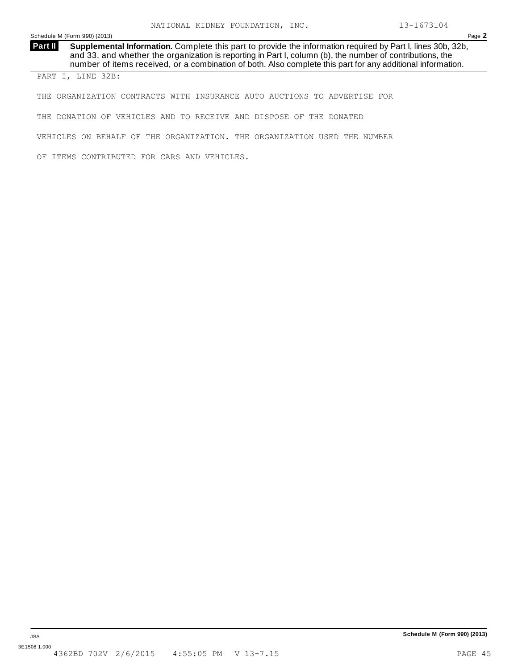Schedule M (Form 990) (2013) Page **2**

**Supplemental Information.** Complete this part to provide the information required by Part I, lines 30b, 32b, and 33, and whether the organization is reporting in Part I, column (b), the number of contributions, the number of items received, or a combination of both. Also complete this part for any additional information. **Part II** 

PART I, LINE 32B:

THE ORGANIZATION CONTRACTS WITH INSURANCE AUTO AUCTIONS TO ADVERTISE FOR

THE DONATION OF VEHICLES AND TO RECEIVE AND DISPOSE OF THE DONATED

VEHICLES ON BEHALF OF THE ORGANIZATION. THE ORGANIZATION USED THE NUMBER

OF ITEMS CONTRIBUTED FOR CARS AND VEHICLES.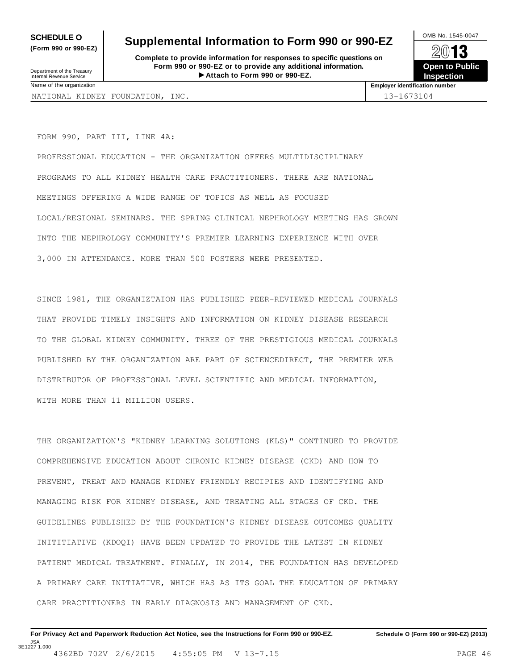**(Form 990 or 990-EZ)**

# **SCHEDULE O** Supplemental Information to Form 990 or 990-EZ <br> **SUPPLEMENT CONDUCT** CONSIDERING THE CONDUCT OF SALE OF SALE OF SALE OF SALE OF SALE OF SALE OF SALE OF SALE OF SALE OF SALE OF SALE OF SALE OF SALE OF SALE OF

**Complete to provide information for responses to specific questions on Form 990 or 990-EZ or to provide any additional information.** Department of the Treasury<br> **Attach to Form 990 or 990-EZ. Inspection Inspection** 



Department of the Treasury<br>Internal Revenue Service<br>Name of the organization

**Employer identification number** 

NATIONAL KIDNEY FOUNDATION, INC. 13-1673104

FORM 990, PART III, LINE 4A:

PROFESSIONAL EDUCATION - THE ORGANIZATION OFFERS MULTIDISCIPLINARY PROGRAMS TO ALL KIDNEY HEALTH CARE PRACTITIONERS. THERE ARE NATIONAL MEETINGS OFFERING A WIDE RANGE OF TOPICS AS WELL AS FOCUSED LOCAL/REGIONAL SEMINARS. THE SPRING CLINICAL NEPHROLOGY MEETING HAS GROWN INTO THE NEPHROLOGY COMMUNITY'S PREMIER LEARNING EXPERIENCE WITH OVER 3,000 IN ATTENDANCE. MORE THAN 500 POSTERS WERE PRESENTED.

SINCE 1981, THE ORGANIZTAION HAS PUBLISHED PEER-REVIEWED MEDICAL JOURNALS THAT PROVIDE TIMELY INSIGHTS AND INFORMATION ON KIDNEY DISEASE RESEARCH TO THE GLOBAL KIDNEY COMMUNITY. THREE OF THE PRESTIGIOUS MEDICAL JOURNALS PUBLISHED BY THE ORGANIZATION ARE PART OF SCIENCEDIRECT, THE PREMIER WEB DISTRIBUTOR OF PROFESSIONAL LEVEL SCIENTIFIC AND MEDICAL INFORMATION, WITH MORE THAN 11 MILLION USERS.

THE ORGANIZATION'S "KIDNEY LEARNING SOLUTIONS (KLS)" CONTINUED TO PROVIDE COMPREHENSIVE EDUCATION ABOUT CHRONIC KIDNEY DISEASE (CKD) AND HOW TO PREVENT, TREAT AND MANAGE KIDNEY FRIENDLY RECIPIES AND IDENTIFYING AND MANAGING RISK FOR KIDNEY DISEASE, AND TREATING ALL STAGES OF CKD. THE GUIDELINES PUBLISHED BY THE FOUNDATION'S KIDNEY DISEASE OUTCOMES QUALITY INITITIATIVE (KDOQI) HAVE BEEN UPDATED TO PROVIDE THE LATEST IN KIDNEY PATIENT MEDICAL TREATMENT. FINALLY, IN 2014, THE FOUNDATION HAS DEVELOPED A PRIMARY CARE INITIATIVE, WHICH HAS AS ITS GOAL THE EDUCATION OF PRIMARY CARE PRACTITIONERS IN EARLY DIAGNOSIS AND MANAGEMENT OF CKD.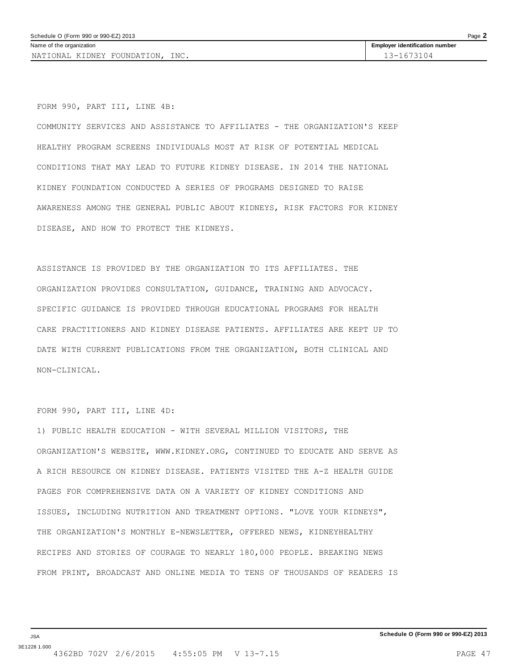NATIONAL KIDNEY FOUNDATION, INC. 13-1673104

FORM 990, PART III, LINE 4B:

COMMUNITY SERVICES AND ASSISTANCE TO AFFILIATES - THE ORGANIZATION'S KEEP HEALTHY PROGRAM SCREENS INDIVIDUALS MOST AT RISK OF POTENTIAL MEDICAL CONDITIONS THAT MAY LEAD TO FUTURE KIDNEY DISEASE. IN 2014 THE NATIONAL KIDNEY FOUNDATION CONDUCTED A SERIES OF PROGRAMS DESIGNED TO RAISE AWARENESS AMONG THE GENERAL PUBLIC ABOUT KIDNEYS, RISK FACTORS FOR KIDNEY DISEASE, AND HOW TO PROTECT THE KIDNEYS.

ASSISTANCE IS PROVIDED BY THE ORGANIZATION TO ITS AFFILIATES. THE ORGANIZATION PROVIDES CONSULTATION, GUIDANCE, TRAINING AND ADVOCACY. SPECIFIC GUIDANCE IS PROVIDED THROUGH EDUCATIONAL PROGRAMS FOR HEALTH CARE PRACTITIONERS AND KIDNEY DISEASE PATIENTS. AFFILIATES ARE KEPT UP TO DATE WITH CURRENT PUBLICATIONS FROM THE ORGANIZATION, BOTH CLINICAL AND NON-CLINICAL.

#### FORM 990, PART III, LINE 4D:

1) PUBLIC HEALTH EDUCATION - WITH SEVERAL MILLION VISITORS, THE ORGANIZATION'S WEBSITE, WWW.KIDNEY.ORG, CONTINUED TO EDUCATE AND SERVE AS A RICH RESOURCE ON KIDNEY DISEASE. PATIENTS VISITED THE A-Z HEALTH GUIDE PAGES FOR COMPREHENSIVE DATA ON A VARIETY OF KIDNEY CONDITIONS AND ISSUES, INCLUDING NUTRITION AND TREATMENT OPTIONS. "LOVE YOUR KIDNEYS", THE ORGANIZATION'S MONTHLY E-NEWSLETTER, OFFERED NEWS, KIDNEYHEALTHY RECIPES AND STORIES OF COURAGE TO NEARLY 180,000 PEOPLE. BREAKING NEWS FROM PRINT, BROADCAST AND ONLINE MEDIA TO TENS OF THOUSANDS OF READERS IS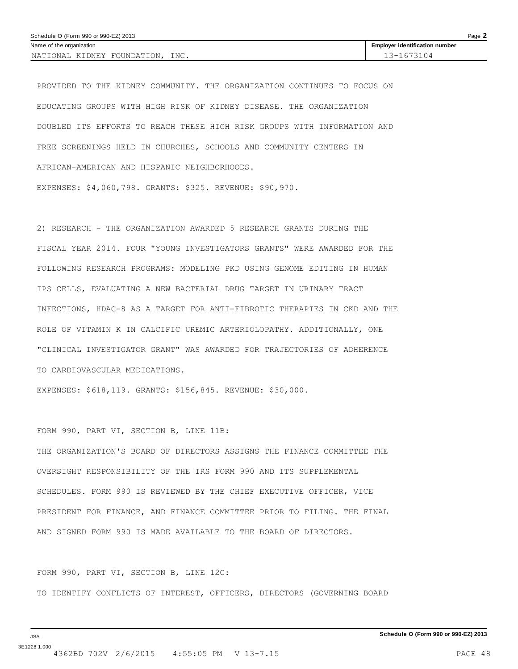| Page 2<br>Schedule O (Form 990 or 990-EZ) 2013 |                                       |  |  |  |
|------------------------------------------------|---------------------------------------|--|--|--|
| Name of the organization                       | <b>Employer identification number</b> |  |  |  |
| INC.<br>NATIONAL KIDNEY FOUNDATION.            | 13-1673104                            |  |  |  |

PROVIDED TO THE KIDNEY COMMUNITY. THE ORGANIZATION CONTINUES TO FOCUS ON EDUCATING GROUPS WITH HIGH RISK OF KIDNEY DISEASE. THE ORGANIZATION DOUBLED ITS EFFORTS TO REACH THESE HIGH RISK GROUPS WITH INFORMATION AND FREE SCREENINGS HELD IN CHURCHES, SCHOOLS AND COMMUNITY CENTERS IN AFRICAN-AMERICAN AND HISPANIC NEIGHBORHOODS.

EXPENSES: \$4,060,798. GRANTS: \$325. REVENUE: \$90,970.

2) RESEARCH - THE ORGANIZATION AWARDED 5 RESEARCH GRANTS DURING THE FISCAL YEAR 2014. FOUR "YOUNG INVESTIGATORS GRANTS" WERE AWARDED FOR THE FOLLOWING RESEARCH PROGRAMS: MODELING PKD USING GENOME EDITING IN HUMAN IPS CELLS, EVALUATING A NEW BACTERIAL DRUG TARGET IN URINARY TRACT INFECTIONS, HDAC-8 AS A TARGET FOR ANTI-FIBROTIC THERAPIES IN CKD AND THE ROLE OF VITAMIN K IN CALCIFIC UREMIC ARTERIOLOPATHY. ADDITIONALLY, ONE "CLINICAL INVESTIGATOR GRANT" WAS AWARDED FOR TRAJECTORIES OF ADHERENCE TO CARDIOVASCULAR MEDICATIONS.

EXPENSES: \$618,119. GRANTS: \$156,845. REVENUE: \$30,000.

FORM 990, PART VI, SECTION B, LINE 11B:

THE ORGANIZATION'S BOARD OF DIRECTORS ASSIGNS THE FINANCE COMMITTEE THE OVERSIGHT RESPONSIBILITY OF THE IRS FORM 990 AND ITS SUPPLEMENTAL SCHEDULES. FORM 990 IS REVIEWED BY THE CHIEF EXECUTIVE OFFICER, VICE PRESIDENT FOR FINANCE, AND FINANCE COMMITTEE PRIOR TO FILING. THE FINAL AND SIGNED FORM 990 IS MADE AVAILABLE TO THE BOARD OF DIRECTORS.

FORM 990, PART VI, SECTION B, LINE 12C:

TO IDENTIFY CONFLICTS OF INTEREST, OFFICERS, DIRECTORS (GOVERNING BOARD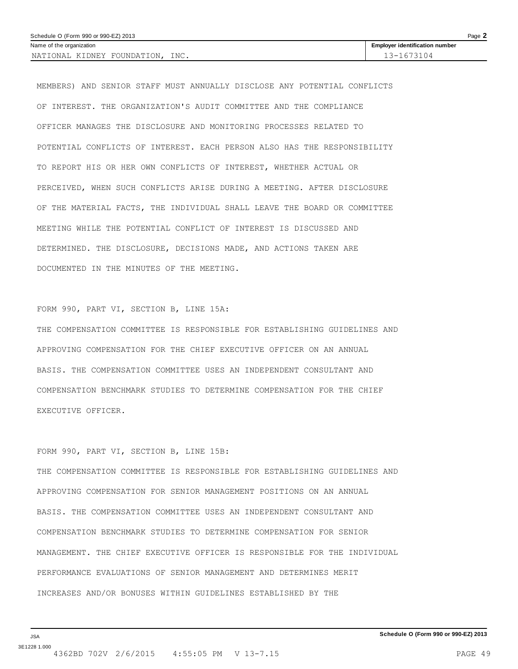| Page $\lambda$<br>Schedule O (Form 990 or 990-EZ) 2013 |                                       |  |  |  |
|--------------------------------------------------------|---------------------------------------|--|--|--|
| Name of the organization                               | <b>Employer identification number</b> |  |  |  |
| INC.<br>NATIONAL KIDNEY FOUNDATION.                    | 13-1673104                            |  |  |  |

MEMBERS) AND SENIOR STAFF MUST ANNUALLY DISCLOSE ANY POTENTIAL CONFLICTS OF INTEREST. THE ORGANIZATION'S AUDIT COMMITTEE AND THE COMPLIANCE OFFICER MANAGES THE DISCLOSURE AND MONITORING PROCESSES RELATED TO POTENTIAL CONFLICTS OF INTEREST. EACH PERSON ALSO HAS THE RESPONSIBILITY TO REPORT HIS OR HER OWN CONFLICTS OF INTEREST, WHETHER ACTUAL OR PERCEIVED, WHEN SUCH CONFLICTS ARISE DURING A MEETING. AFTER DISCLOSURE OF THE MATERIAL FACTS, THE INDIVIDUAL SHALL LEAVE THE BOARD OR COMMITTEE MEETING WHILE THE POTENTIAL CONFLICT OF INTEREST IS DISCUSSED AND DETERMINED. THE DISCLOSURE, DECISIONS MADE, AND ACTIONS TAKEN ARE DOCUMENTED IN THE MINUTES OF THE MEETING.

#### FORM 990, PART VI, SECTION B, LINE 15A:

THE COMPENSATION COMMITTEE IS RESPONSIBLE FOR ESTABLISHING GUIDELINES AND APPROVING COMPENSATION FOR THE CHIEF EXECUTIVE OFFICER ON AN ANNUAL BASIS. THE COMPENSATION COMMITTEE USES AN INDEPENDENT CONSULTANT AND COMPENSATION BENCHMARK STUDIES TO DETERMINE COMPENSATION FOR THE CHIEF EXECUTIVE OFFICER.

#### FORM 990, PART VI, SECTION B, LINE 15B:

THE COMPENSATION COMMITTEE IS RESPONSIBLE FOR ESTABLISHING GUIDELINES AND APPROVING COMPENSATION FOR SENIOR MANAGEMENT POSITIONS ON AN ANNUAL BASIS. THE COMPENSATION COMMITTEE USES AN INDEPENDENT CONSULTANT AND COMPENSATION BENCHMARK STUDIES TO DETERMINE COMPENSATION FOR SENIOR MANAGEMENT. THE CHIEF EXECUTIVE OFFICER IS RESPONSIBLE FOR THE INDIVIDUAL PERFORMANCE EVALUATIONS OF SENIOR MANAGEMENT AND DETERMINES MERIT INCREASES AND/OR BONUSES WITHIN GUIDELINES ESTABLISHED BY THE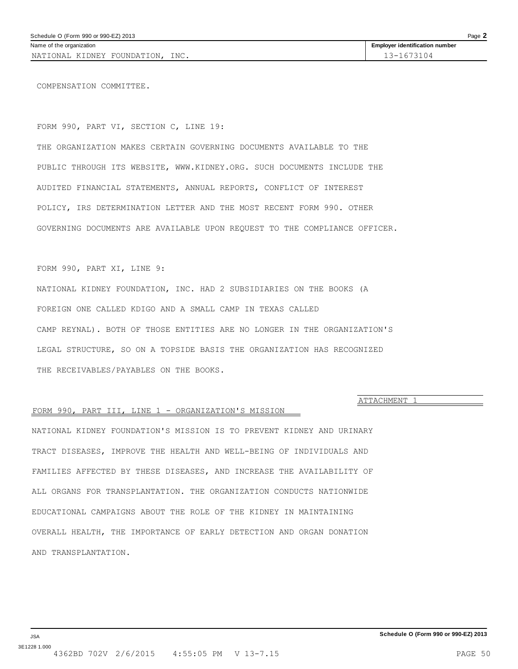<span id="page-49-0"></span>NATIONAL KIDNEY FOUNDATION, INC. 13-1673104

COMPENSATION COMMITTEE.

FORM 990, PART VI, SECTION C, LINE 19:

THE ORGANIZATION MAKES CERTAIN GOVERNING DOCUMENTS AVAILABLE TO THE PUBLIC THROUGH ITS WEBSITE, WWW.KIDNEY.ORG. SUCH DOCUMENTS INCLUDE THE AUDITED FINANCIAL STATEMENTS, ANNUAL REPORTS, CONFLICT OF INTEREST POLICY, IRS DETERMINATION LETTER AND THE MOST RECENT FORM 990. OTHER GOVERNING DOCUMENTS ARE AVAILABLE UPON REQUEST TO THE COMPLIANCE OFFICER.

FORM 990, PART XI, LINE 9:

NATIONAL KIDNEY FOUNDATION, INC. HAD 2 SUBSIDIARIES ON THE BOOKS (A FOREIGN ONE CALLED KDIGO AND A SMALL CAMP IN TEXAS CALLED CAMP REYNAL). BOTH OF THOSE ENTITIES ARE NO LONGER IN THE ORGANIZATION'S LEGAL STRUCTURE, SO ON A TOPSIDE BASIS THE ORGANIZATION HAS RECOGNIZED THE RECEIVABLES/PAYABLES ON THE BOOKS.

**ATTACHMENT** 

#### FORM 990, PART III, LINE 1 - ORGANIZATION'S MISSION

NATIONAL KIDNEY FOUNDATION'S MISSION IS TO PREVENT KIDNEY AND URINARY TRACT DISEASES, IMPROVE THE HEALTH AND WELL-BEING OF INDIVIDUALS AND FAMILIES AFFECTED BY THESE DISEASES, AND INCREASE THE AVAILABILITY OF ALL ORGANS FOR TRANSPLANTATION. THE ORGANIZATION CONDUCTS NATIONWIDE EDUCATIONAL CAMPAIGNS ABOUT THE ROLE OF THE KIDNEY IN MAINTAINING OVERALL HEALTH, THE IMPORTANCE OF EARLY DETECTION AND ORGAN DONATION AND TRANSPLANTATION.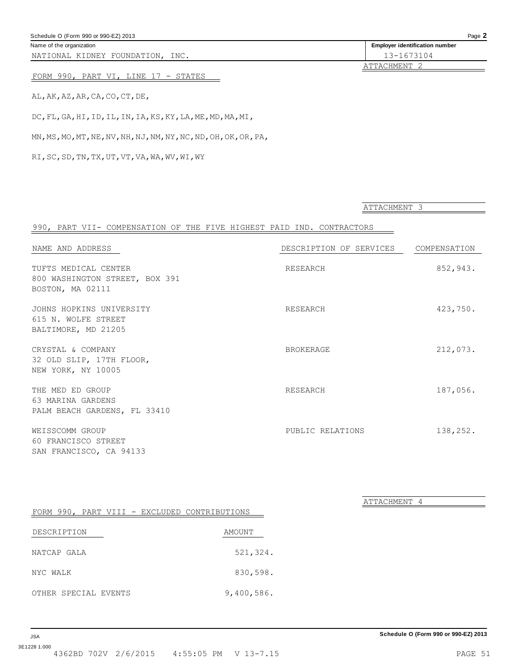| <b>JSA</b>   |  |                                           | Schedule O (Form 990 or 990-EZ) 2013 |
|--------------|--|-------------------------------------------|--------------------------------------|
| 3E1228 1.000 |  | 4362BD 702V 2/6/2015 4:55:05 PM V 13-7.15 | PAGE 51                              |

<span id="page-50-0"></span>Name of the organization **Employer identification number Employer identification number** 

NATIONAL KIDNEY FOUNDATION, INC. 13-1673104

ATTACHMENT 2

ATTACHMENT 3

ATTACHMENT 4

### FORM 990, PART VI, LINE 17 - STATES

AL,AK,AZ,AR,CA,CO,CT,DE,

DC,FL,GA,HI,ID,IL,IN,IA,KS,KY,LA,ME,MD,MA,MI,

MN,MS,MO,MT,NE,NV,NH,NJ,NM,NY,NC,ND,OH,OK,OR,PA,

RI,SC,SD,TN,TX,UT,VT,VA,WA,WV,WI,WY

| 990, PART VII- COMPENSATION OF THE FIVE HIGHEST PAID IND. CONTRACTORS      |                         |              |
|----------------------------------------------------------------------------|-------------------------|--------------|
| NAME AND ADDRESS                                                           | DESCRIPTION OF SERVICES | COMPENSATION |
| TUFTS MEDICAL CENTER<br>800 WASHINGTON STREET, BOX 391<br>BOSTON, MA 02111 | RESEARCH                | 852,943.     |
| JOHNS HOPKINS UNIVERSITY<br>615 N. WOLFE STREET<br>BALTIMORE, MD 21205     | RESEARCH                | 423,750.     |
| CRYSTAL & COMPANY<br>32 OLD SLIP, 17TH FLOOR,<br>NEW YORK, NY 10005        | <b>BROKERAGE</b>        | 212,073.     |
| THE MED ED GROUP<br>63 MARINA GARDENS<br>PALM BEACH GARDENS, FL 33410      | RESEARCH                | 187,056.     |
| WEISSCOMM GROUP<br>60 FRANCISCO STREET<br>SAN FRANCISCO, CA 94133          | PUBLIC RELATIONS        | 138,252.     |

|             |  |                      | FORM 990, PART VIII - EXCLUDED CONTRIBUTIONS |            |  |
|-------------|--|----------------------|----------------------------------------------|------------|--|
| DESCRIPTION |  |                      |                                              | AMOUNT     |  |
|             |  |                      |                                              |            |  |
| NATCAP GALA |  |                      |                                              | 521,324.   |  |
| NYC WALK    |  |                      |                                              | 830,598.   |  |
|             |  | OTHER SPECIAL EVENTS |                                              | 9,400,586. |  |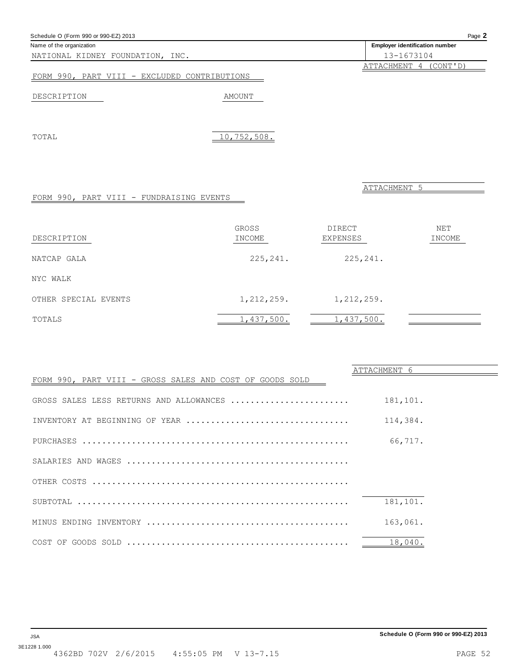FORM 990, PART VIII - GROSS SALES AND COST OF GOODS SOLD

ATTACHMENT 5 FORM 990, PART VIII - FUNDRAISING EVENTS GROSS DIRECT NET DESCRIPTION INCOME INCOME EXPENSES INCOME NATCAP GALA 225,241. 225,241. 225,241. NYC WALK OTHER SPECIAL EVENTS 1,212,259. 1,212,259. TOTALS 1,437,500. 1,437,500. 1,437,500.

| INVENTORY AT BEGINNING OF YEAR | 114,384. |
|--------------------------------|----------|
|                                | 66,717.  |
|                                |          |
|                                |          |
|                                | 181,101. |
|                                | 163,061. |
|                                | 18,040.  |
|                                |          |

GROSS SALES LESS RETURNS AND ALLOWANCES ........................ 181,101.

#### <span id="page-51-0"></span>Schedule O (Form 990 or 990-EZ) 2013 Page **2**

NATIONAL KIDNEY FOUNDATION, INC. 13-1673104

FORM 990, PART VIII - EXCLUDED CONTRIBUTIONS

### DESCRIPTION AMOUNT

TOTAL 10,752,508.



ATTACHMENT 6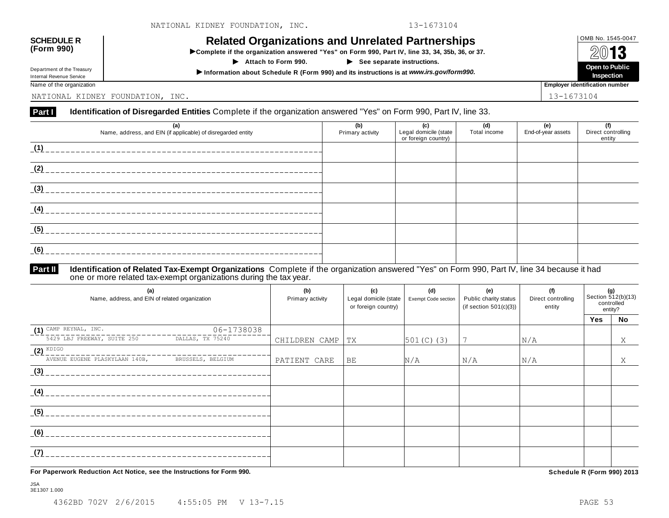# OMB No. 1545-0047 **SCHEDULE R (Form 990) Related Organizations and Unrelated Partnerships**

INCREASED UPD ATTERATION OF THE OF A THE STIPS<br>
In Complete if the organization answered "Yes" on Form 990, Part IV, line 33, 34, 35b, 36, or 37.<br>
in Attach to Form 990. 
in See separate instructions. Open to Public

**Attach to Form 990. See separate instructions.**

 **Open to Public** I **Inspection Information about Schedule R (Form 990) and its instructions is at** *www.irs.gov/form990.*

Internal Revenue Service Name of the organization **Employer identification number Employer identification number** 

Department of the Treasury

NATIONAL KIDNEY FOUNDATION, INC. 13-1673104

### Part I Identification of Disregarded Entities Complete if the organization answered "Yes" on Form 990, Part IV, line 33.

| (a)<br>Name, address, and EIN (if applicable) of disregarded entity | (b)<br>Primary activity | (c)<br>Legal domicile (state<br>or foreign country) | (d)<br>Total income | (e)<br>End-of-year assets | (f)<br>Direct controlling<br>entity |
|---------------------------------------------------------------------|-------------------------|-----------------------------------------------------|---------------------|---------------------------|-------------------------------------|
| (1)                                                                 |                         |                                                     |                     |                           |                                     |
| (2)                                                                 |                         |                                                     |                     |                           |                                     |
| (3)                                                                 |                         |                                                     |                     |                           |                                     |
| (4)                                                                 |                         |                                                     |                     |                           |                                     |
| (5)                                                                 |                         |                                                     |                     |                           |                                     |
| (6)                                                                 |                         |                                                     |                     |                           |                                     |

#### **Identification of Related Tax-Exempt Organizations** Complete if the organization answered "Yes" on Form 990, Part IV, line 34 because it had one or more related tax-exempt organizations during the tax year. **Part II**

| (a)<br>Name, address, and EIN of related organization |                   | (b)<br>Primary activity | (c)<br>Legal domicile (state<br>or foreign country) | (d)<br>Exempt Code section | (e)<br>Public charity status<br>(if section $501(c)(3)$ ) | (f)<br>Direct controlling<br>entity | (g)<br>controlled | Section 512(b)(13)<br>entity? |
|-------------------------------------------------------|-------------------|-------------------------|-----------------------------------------------------|----------------------------|-----------------------------------------------------------|-------------------------------------|-------------------|-------------------------------|
|                                                       |                   |                         |                                                     |                            |                                                           |                                     | Yes               | No                            |
| $(1)$ CAMP REYNAL, INC.                               | 06-1738038        |                         |                                                     |                            |                                                           |                                     |                   |                               |
| 5429 LBJ FREEWAY, SUITE 250                           | DALLAS, TX 75240  | CHILDREN CAMP           | TX                                                  | $501(C)$ (3)               |                                                           | N/A                                 |                   | Χ                             |
| $(2)$ KDIGO                                           |                   |                         |                                                     |                            |                                                           |                                     |                   |                               |
| AVENUE EUGENE PLASKYLAAN 140B,                        | BRUSSELS, BELGIUM | PATIENT CARE            | BE                                                  | N/A                        | N/A                                                       | N/A                                 |                   | Χ                             |
| (3)                                                   |                   |                         |                                                     |                            |                                                           |                                     |                   |                               |
| (4)                                                   |                   |                         |                                                     |                            |                                                           |                                     |                   |                               |
| (5)                                                   |                   |                         |                                                     |                            |                                                           |                                     |                   |                               |
| (6)                                                   |                   |                         |                                                     |                            |                                                           |                                     |                   |                               |
| (7)                                                   |                   |                         |                                                     |                            |                                                           |                                     |                   |                               |

**For Paperwork Reduction Act Notice, see the Instructions for Form 990. Schedule R (Form 990) 2013**

JSA 3E1307 1.000

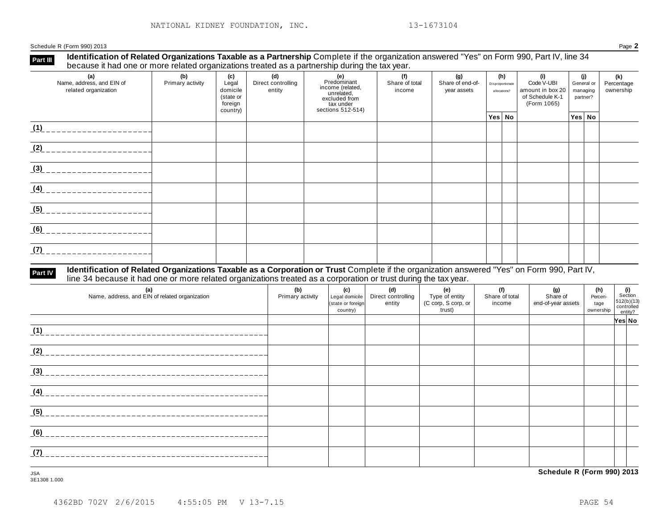Schedule R (Form 990) 2013 Page **2**

#### **Identification of Related Organizations Taxable as a Partnership** Complete if the organization answered "Yes" on Form 990, Part IV, line 34 because it had one or more related organizations treated as a partnership during the tax year. **Part III**

| <b>Booddoo</b> it had one of more related organizations treated as a partneroing and tax year. |                         |                                                              |                                     |                                                                                                         |                                 |                                        |                                         |                                                                         |                                           |                                |
|------------------------------------------------------------------------------------------------|-------------------------|--------------------------------------------------------------|-------------------------------------|---------------------------------------------------------------------------------------------------------|---------------------------------|----------------------------------------|-----------------------------------------|-------------------------------------------------------------------------|-------------------------------------------|--------------------------------|
| (a)<br>Name, address, and EIN of<br>related organization                                       | (b)<br>Primary activity | (c)<br>Legal<br>domicile<br>(state or<br>foreign<br>country) | (d)<br>Direct controlling<br>entity | (e)<br>Predominant<br>income (related,<br>unrelated,<br>excluded from<br>tax under<br>sections 512-514) | (f)<br>Share of total<br>income | (g)<br>Share of end-of-<br>year assets | (h)<br>Disproportionate<br>allocations? | (i)<br>Code V-UBI<br>amount in box 20<br>of Schedule K-1<br>(Form 1065) | (i)<br>General or<br>managing<br>partner? | (k)<br>Percentage<br>ownership |
|                                                                                                |                         |                                                              |                                     |                                                                                                         |                                 |                                        | Yes No                                  |                                                                         | Yes No                                    |                                |
| (1)                                                                                            |                         |                                                              |                                     |                                                                                                         |                                 |                                        |                                         |                                                                         |                                           |                                |
| (2)                                                                                            |                         |                                                              |                                     |                                                                                                         |                                 |                                        |                                         |                                                                         |                                           |                                |
| (3)                                                                                            |                         |                                                              |                                     |                                                                                                         |                                 |                                        |                                         |                                                                         |                                           |                                |
| (4)                                                                                            |                         |                                                              |                                     |                                                                                                         |                                 |                                        |                                         |                                                                         |                                           |                                |
| (5)                                                                                            |                         |                                                              |                                     |                                                                                                         |                                 |                                        |                                         |                                                                         |                                           |                                |
| (6)                                                                                            |                         |                                                              |                                     |                                                                                                         |                                 |                                        |                                         |                                                                         |                                           |                                |
| (7)                                                                                            |                         |                                                              |                                     |                                                                                                         |                                 |                                        |                                         |                                                                         |                                           |                                |

#### **Identification of Related Organizations Taxable as a Corporation or Trust** Complete if the organization answered "Yes" on Form 990, Part IV, **reart IV** Identification of Related Organizations Taxable as a Corporation or Trust Complete if the organization ansume line 34 because it had one or more related organizations treated as a corporation or trust during the

| (a)<br>Name, address, and EIN of related organization | (b)<br>Primary activity | (c)<br>Legal domicile<br>(state or foreign<br>country) | (d)<br>Direct controlling<br>entity | (e)<br>Type of entity<br>(C corp, S corp, or<br>trust) | (f)<br>Share of total<br>income | (g)<br>Share of<br>end-of-year assets | (h)<br>Percen-<br>tage<br>ownership | (i)<br>Section<br>$512(b)(13)$<br>controlled<br>entity? |  |
|-------------------------------------------------------|-------------------------|--------------------------------------------------------|-------------------------------------|--------------------------------------------------------|---------------------------------|---------------------------------------|-------------------------------------|---------------------------------------------------------|--|
|                                                       |                         |                                                        |                                     |                                                        |                                 |                                       |                                     | Yes∣ No                                                 |  |
| (1)                                                   |                         |                                                        |                                     |                                                        |                                 |                                       |                                     |                                                         |  |
| (2)                                                   |                         |                                                        |                                     |                                                        |                                 |                                       |                                     |                                                         |  |
| (3)                                                   |                         |                                                        |                                     |                                                        |                                 |                                       |                                     |                                                         |  |
| (4)                                                   |                         |                                                        |                                     |                                                        |                                 |                                       |                                     |                                                         |  |
| (5)                                                   |                         |                                                        |                                     |                                                        |                                 |                                       |                                     |                                                         |  |
| (6)<br>--------------                                 |                         |                                                        |                                     |                                                        |                                 |                                       |                                     |                                                         |  |
| (7)                                                   |                         |                                                        |                                     |                                                        |                                 |                                       |                                     |                                                         |  |

3E1308 1.000

JSA **Schedule R (Form 990) 2013**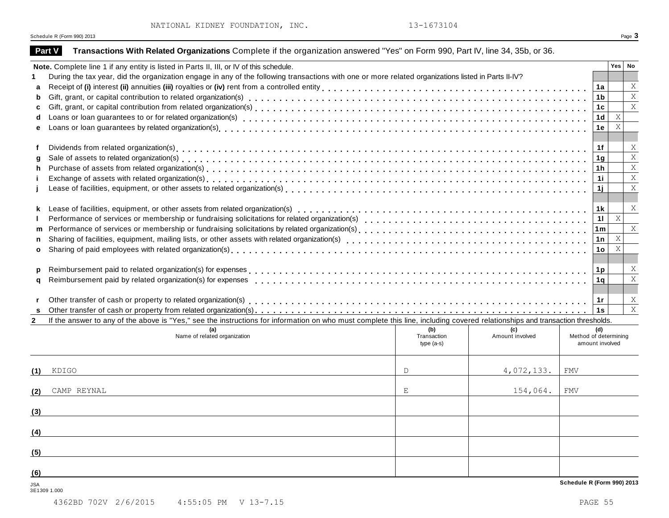|  |  | NATIONAL KIDNEY FOUNDATION, INC. |  |
|--|--|----------------------------------|--|
|--|--|----------------------------------|--|

 $2.$  13-1673104

|              | Schedule R (Form 990) 2013                                                                                                                                                   |              |                 |                                   |                 |                           | Page 3                    |
|--------------|------------------------------------------------------------------------------------------------------------------------------------------------------------------------------|--------------|-----------------|-----------------------------------|-----------------|---------------------------|---------------------------|
|              | Transactions With Related Organizations Complete if the organization answered "Yes" on Form 990, Part IV, line 34, 35b, or 36.<br><b>Part V</b>                              |              |                 |                                   |                 |                           |                           |
|              | Note. Complete line 1 if any entity is listed in Parts II, III, or IV of this schedule.                                                                                      |              |                 |                                   |                 | Yes   No                  |                           |
|              | During the tax year, did the organization engage in any of the following transactions with one or more related organizations listed in Parts II-IV?                          |              |                 |                                   |                 |                           |                           |
| a            |                                                                                                                                                                              |              |                 |                                   | 1a              |                           | X                         |
| b            |                                                                                                                                                                              |              |                 |                                   | 1b              |                           | $\bar{X}$                 |
| c            |                                                                                                                                                                              |              |                 |                                   | 1c              |                           | $\mathbf X$               |
| d            |                                                                                                                                                                              |              |                 |                                   | 1 <sub>d</sub>  | $\boldsymbol{\mathrm{X}}$ |                           |
| е            |                                                                                                                                                                              |              |                 |                                   | 1e              | X                         |                           |
| f            |                                                                                                                                                                              |              |                 |                                   | 1f              |                           | X                         |
| a            |                                                                                                                                                                              |              |                 |                                   | 1 <sub>g</sub>  |                           | $\mathbf X$               |
| h.           |                                                                                                                                                                              |              |                 |                                   | 1h              |                           | X                         |
|              |                                                                                                                                                                              |              |                 |                                   | 11              |                           | $\mathbf X$               |
|              |                                                                                                                                                                              |              |                 |                                   | 1j              |                           | X                         |
|              |                                                                                                                                                                              |              |                 |                                   |                 |                           |                           |
|              |                                                                                                                                                                              |              |                 |                                   | 1 k             |                           | $\boldsymbol{\mathrm{X}}$ |
|              |                                                                                                                                                                              |              |                 |                                   | 11              | $\,$ X                    |                           |
| m            |                                                                                                                                                                              |              |                 |                                   | 1 <sub>m</sub>  |                           | $\mathbf{X}$              |
|              |                                                                                                                                                                              |              |                 |                                   | 1n              | $\boldsymbol{\mathrm{X}}$ |                           |
| $\mathbf{o}$ |                                                                                                                                                                              |              |                 |                                   | 1o              | $\boldsymbol{\mathrm{X}}$ |                           |
|              |                                                                                                                                                                              |              |                 |                                   |                 |                           | X                         |
|              | Reimbursement paid by related organization(s) for expenses                                                                                                                   |              |                 |                                   | 1p              |                           | $\overline{X}$            |
| a            |                                                                                                                                                                              |              |                 |                                   | 1q              |                           |                           |
|              |                                                                                                                                                                              |              |                 |                                   | 1r              |                           | X                         |
| s            |                                                                                                                                                                              |              |                 |                                   |                 |                           | $\mathbf X$               |
| $\mathbf{2}$ | If the answer to any of the above is "Yes," see the instructions for information on who must complete this line, including covered relationships and transaction thresholds. |              |                 |                                   |                 |                           |                           |
|              | (a)                                                                                                                                                                          | (b)          | (C)             |                                   | (d)             |                           |                           |
|              | Name of related organization                                                                                                                                                 | Transaction  | Amount involved | Method of determining             |                 |                           |                           |
|              |                                                                                                                                                                              | type $(a-s)$ |                 |                                   | amount involved |                           |                           |
| (1)          | KDIGO                                                                                                                                                                        | D            | 4,072,133.      | <b>FMV</b>                        |                 |                           |                           |
|              |                                                                                                                                                                              |              |                 |                                   |                 |                           |                           |
| (2)          | CAMP REYNAL                                                                                                                                                                  | Ε            | 154,064.        | <b>FMV</b>                        |                 |                           |                           |
| (3)          |                                                                                                                                                                              |              |                 |                                   |                 |                           |                           |
|              |                                                                                                                                                                              |              |                 |                                   |                 |                           |                           |
| (4)          |                                                                                                                                                                              |              |                 |                                   |                 |                           |                           |
| (5)          |                                                                                                                                                                              |              |                 |                                   |                 |                           |                           |
| (6)          |                                                                                                                                                                              |              |                 |                                   |                 |                           |                           |
| <b>JSA</b>   | 3E1309 1.000                                                                                                                                                                 |              |                 | <b>Schedule R (Form 990) 2013</b> |                 |                           |                           |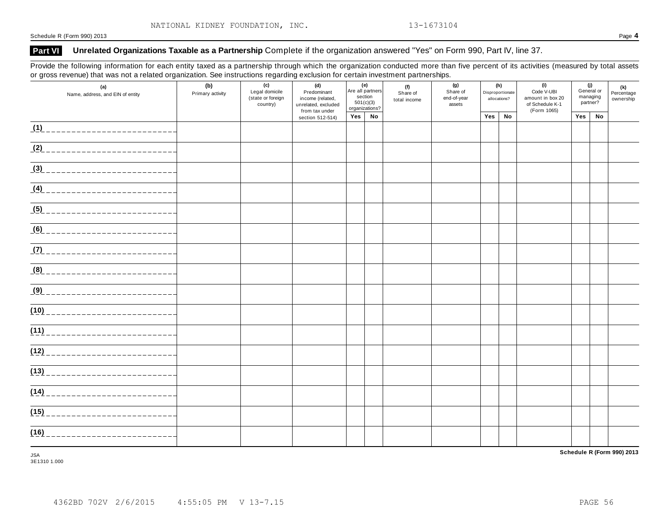Schedule R (Form 990) 2013 Page **4**

### Part VI Unrelated Organizations Taxable as a Partnership Complete if the organization answered "Yes" on Form 990, Part IV, line 37.

Provide the following information for each entity taxed as a partnership through which the organization conducted more than five percent of its activities (measured by total assets or gross revenue) that was not a related organization. See instructions regarding exclusion for certain investment partnerships.

| $\tilde{\phantom{a}}$ | (a)<br>Name, address, and EIN of entity | (b)<br>Primary activity | (c)<br>Legal domicile<br>(state or foreign<br>country) | (d)<br>Predominant<br>income (related,<br>unrelated, excluded<br>from tax under | (e)<br>Are all partners<br>section | 501(c)(3)<br>organizations? | (f)<br>Share of<br>total income | (g)<br>Share of<br>end-of-year<br>assets |     | (h)<br>Disproportionate<br>allocations? | (i)<br>Code V-UBI<br>amount in box 20<br>of Schedule K-1<br>(Form 1065) | partner? | (j)<br>General or<br>managing | (k)<br>Percentage<br>ownership |
|-----------------------|-----------------------------------------|-------------------------|--------------------------------------------------------|---------------------------------------------------------------------------------|------------------------------------|-----------------------------|---------------------------------|------------------------------------------|-----|-----------------------------------------|-------------------------------------------------------------------------|----------|-------------------------------|--------------------------------|
|                       |                                         |                         |                                                        | section 512-514)                                                                | Yes No                             |                             |                                 |                                          | Yes | No                                      |                                                                         | Yes      | No                            |                                |
|                       |                                         |                         |                                                        |                                                                                 |                                    |                             |                                 |                                          |     |                                         |                                                                         |          |                               |                                |
|                       | <u>(2)</u> _______________________      |                         |                                                        |                                                                                 |                                    |                             |                                 |                                          |     |                                         |                                                                         |          |                               |                                |
|                       | <u>(3) __________________________</u>   |                         |                                                        |                                                                                 |                                    |                             |                                 |                                          |     |                                         |                                                                         |          |                               |                                |
|                       |                                         |                         |                                                        |                                                                                 |                                    |                             |                                 |                                          |     |                                         |                                                                         |          |                               |                                |
|                       |                                         |                         |                                                        |                                                                                 |                                    |                             |                                 |                                          |     |                                         |                                                                         |          |                               |                                |
|                       |                                         |                         |                                                        |                                                                                 |                                    |                             |                                 |                                          |     |                                         |                                                                         |          |                               |                                |
|                       |                                         |                         |                                                        |                                                                                 |                                    |                             |                                 |                                          |     |                                         |                                                                         |          |                               |                                |
|                       |                                         |                         |                                                        |                                                                                 |                                    |                             |                                 |                                          |     |                                         |                                                                         |          |                               |                                |
|                       |                                         |                         |                                                        |                                                                                 |                                    |                             |                                 |                                          |     |                                         |                                                                         |          |                               |                                |
|                       |                                         |                         |                                                        |                                                                                 |                                    |                             |                                 |                                          |     |                                         |                                                                         |          |                               |                                |
|                       | (11)                                    |                         |                                                        |                                                                                 |                                    |                             |                                 |                                          |     |                                         |                                                                         |          |                               |                                |
|                       |                                         |                         |                                                        |                                                                                 |                                    |                             |                                 |                                          |     |                                         |                                                                         |          |                               |                                |
|                       | (13)                                    |                         |                                                        |                                                                                 |                                    |                             |                                 |                                          |     |                                         |                                                                         |          |                               |                                |
|                       | (14)                                    |                         |                                                        |                                                                                 |                                    |                             |                                 |                                          |     |                                         |                                                                         |          |                               |                                |
|                       | (15)                                    |                         |                                                        |                                                                                 |                                    |                             |                                 |                                          |     |                                         |                                                                         |          |                               |                                |
| (16)                  | ------------------------                |                         |                                                        |                                                                                 |                                    |                             |                                 |                                          |     |                                         |                                                                         |          |                               |                                |

3E1310 1.000

**Schedule R (Form 990) 2013** JSA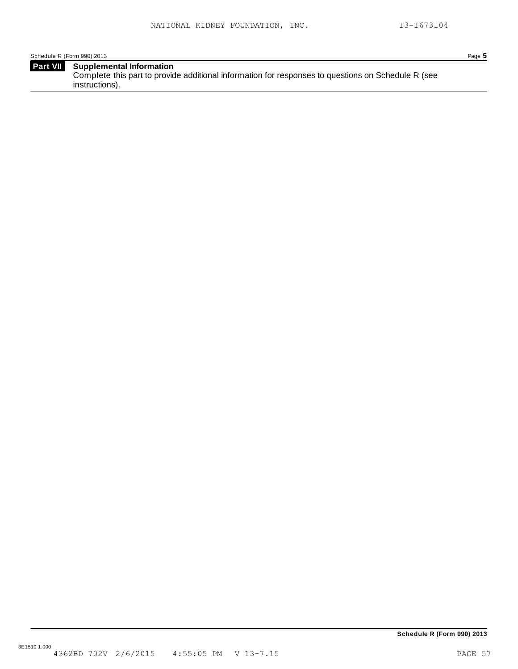Schedule R (Form 990) 2013 Page **5**

| <b>Part VII</b> | Supplemental Information                                                                           |
|-----------------|----------------------------------------------------------------------------------------------------|
|                 | Complete this part to provide additional information for responses to questions on Schedule R (see |
|                 | instructions).                                                                                     |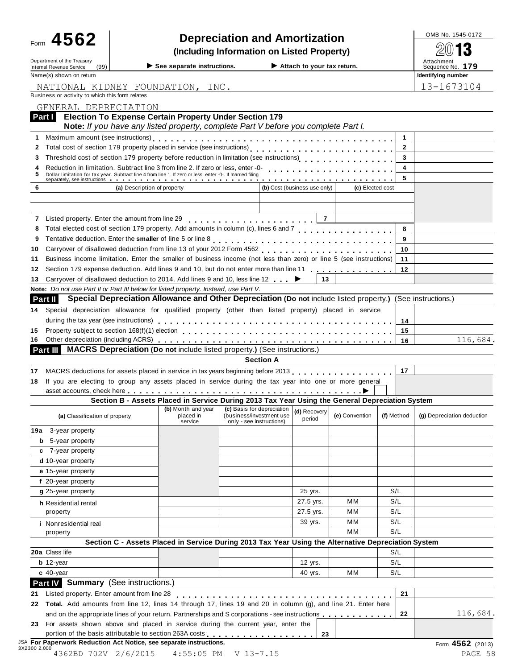| Form 4562                                                                                                                                                                                                                                                                                                       |                                                                                                                                                                                                                               | <b>Depreciation and Amortization</b>                                               |                              |                  |                | OMB No. 1545-0172                                  |
|-----------------------------------------------------------------------------------------------------------------------------------------------------------------------------------------------------------------------------------------------------------------------------------------------------------------|-------------------------------------------------------------------------------------------------------------------------------------------------------------------------------------------------------------------------------|------------------------------------------------------------------------------------|------------------------------|------------------|----------------|----------------------------------------------------|
|                                                                                                                                                                                                                                                                                                                 |                                                                                                                                                                                                                               | (Including Information on Listed Property)                                         |                              |                  |                |                                                    |
| Department of the Treasury<br>Internal Revenue Service<br>(99)                                                                                                                                                                                                                                                  | See separate instructions.                                                                                                                                                                                                    |                                                                                    | Attach to your tax return.   |                  |                | Attachment<br>Sequence No. 179                     |
| Name(s) shown on return                                                                                                                                                                                                                                                                                         |                                                                                                                                                                                                                               |                                                                                    |                              |                  |                | Identifying number                                 |
| NATIONAL KIDNEY FOUNDATION, INC.                                                                                                                                                                                                                                                                                |                                                                                                                                                                                                                               |                                                                                    |                              |                  |                | 13-1673104                                         |
| Business or activity to which this form relates                                                                                                                                                                                                                                                                 |                                                                                                                                                                                                                               |                                                                                    |                              |                  |                |                                                    |
| GENERAL DEPRECIATION                                                                                                                                                                                                                                                                                            |                                                                                                                                                                                                                               |                                                                                    |                              |                  |                |                                                    |
| Part I                                                                                                                                                                                                                                                                                                          | <b>Election To Expense Certain Property Under Section 179</b>                                                                                                                                                                 |                                                                                    |                              |                  |                |                                                    |
|                                                                                                                                                                                                                                                                                                                 | Note: If you have any listed property, complete Part V before you complete Part I.                                                                                                                                            |                                                                                    |                              |                  |                |                                                    |
| 1                                                                                                                                                                                                                                                                                                               |                                                                                                                                                                                                                               |                                                                                    |                              |                  | 1              |                                                    |
| 2                                                                                                                                                                                                                                                                                                               |                                                                                                                                                                                                                               |                                                                                    |                              |                  | $\overline{2}$ |                                                    |
| 3                                                                                                                                                                                                                                                                                                               | Threshold cost of section 179 property before reduction in limitation (see instructions)                                                                                                                                      |                                                                                    |                              |                  | 3              |                                                    |
|                                                                                                                                                                                                                                                                                                                 | Reduction in limitation. Subtract line 3 from line 2. If zero or less, enter -0-<br>Dollar limitation for tax year. Subtract line 4 from line 1. If zero or less, enter -0-. If married filing                                |                                                                                    |                              |                  | 4              |                                                    |
|                                                                                                                                                                                                                                                                                                                 | separately, see instructions we are asked to a series of the series of the series of the series of the series of the series of the series of the series of the series of the series of the series of the series of the series |                                                                                    |                              |                  | 5              |                                                    |
| 6                                                                                                                                                                                                                                                                                                               | (a) Description of property                                                                                                                                                                                                   |                                                                                    | (b) Cost (business use only) | (c) Elected cost |                |                                                    |
|                                                                                                                                                                                                                                                                                                                 |                                                                                                                                                                                                                               |                                                                                    |                              |                  |                |                                                    |
|                                                                                                                                                                                                                                                                                                                 |                                                                                                                                                                                                                               |                                                                                    | $\overline{7}$               |                  |                |                                                    |
| 8                                                                                                                                                                                                                                                                                                               | Total elected cost of section 179 property. Add amounts in column (c), lines 6 and 7                                                                                                                                          |                                                                                    |                              |                  | 8              |                                                    |
| 9                                                                                                                                                                                                                                                                                                               |                                                                                                                                                                                                                               |                                                                                    |                              |                  | 9              |                                                    |
| 10                                                                                                                                                                                                                                                                                                              |                                                                                                                                                                                                                               |                                                                                    |                              |                  | 10             |                                                    |
| 11                                                                                                                                                                                                                                                                                                              | Business income limitation. Enter the smaller of business income (not less than zero) or line 5 (see instructions)                                                                                                            |                                                                                    |                              |                  | 11             |                                                    |
| 12                                                                                                                                                                                                                                                                                                              | Section 179 expense deduction. Add lines 9 and 10, but do not enter more than line 11                                                                                                                                         |                                                                                    |                              |                  | 12             |                                                    |
| 13                                                                                                                                                                                                                                                                                                              | Carryover of disallowed deduction to 2014. Add lines 9 and 10, less line 12 ►                                                                                                                                                 |                                                                                    | 13                           |                  |                |                                                    |
| Note: Do not use Part II or Part III below for listed property. Instead, use Part V.                                                                                                                                                                                                                            |                                                                                                                                                                                                                               |                                                                                    |                              |                  |                |                                                    |
| Part II                                                                                                                                                                                                                                                                                                         | Special Depreciation Allowance and Other Depreciation (Do not include listed property.) (See instructions.)                                                                                                                   |                                                                                    |                              |                  |                |                                                    |
| 14                                                                                                                                                                                                                                                                                                              | Special depreciation allowance for qualified property (other than listed property) placed in service                                                                                                                          |                                                                                    |                              |                  |                |                                                    |
|                                                                                                                                                                                                                                                                                                                 |                                                                                                                                                                                                                               |                                                                                    |                              |                  | 14             |                                                    |
| 15                                                                                                                                                                                                                                                                                                              |                                                                                                                                                                                                                               |                                                                                    |                              |                  |                |                                                    |
|                                                                                                                                                                                                                                                                                                                 |                                                                                                                                                                                                                               |                                                                                    |                              |                  | 15             |                                                    |
| 16                                                                                                                                                                                                                                                                                                              |                                                                                                                                                                                                                               |                                                                                    |                              |                  | 16             |                                                    |
| Part III MACRS Depreciation (Do not include listed property.) (See instructions.)                                                                                                                                                                                                                               |                                                                                                                                                                                                                               |                                                                                    |                              |                  |                |                                                    |
|                                                                                                                                                                                                                                                                                                                 |                                                                                                                                                                                                                               | <b>Section A</b>                                                                   |                              |                  |                |                                                    |
| 17                                                                                                                                                                                                                                                                                                              | MACRS deductions for assets placed in service in tax years beginning before 2013.                                                                                                                                             |                                                                                    |                              |                  | 17             |                                                    |
|                                                                                                                                                                                                                                                                                                                 | If you are electing to group any assets placed in service during the tax year into one or more general                                                                                                                        |                                                                                    |                              |                  |                |                                                    |
|                                                                                                                                                                                                                                                                                                                 |                                                                                                                                                                                                                               |                                                                                    |                              |                  |                |                                                    |
|                                                                                                                                                                                                                                                                                                                 | Section B - Assets Placed in Service During 2013 Tax Year Using the General Depreciation System                                                                                                                               |                                                                                    |                              |                  |                |                                                    |
| (a) Classification of property                                                                                                                                                                                                                                                                                  | (b) Month and year<br>placed in<br>service                                                                                                                                                                                    | (c) Basis for depreciation<br>(business/investment use<br>only - see instructions) | (d) Recovery<br>period       | (e) Convention   | (f) Method     |                                                    |
|                                                                                                                                                                                                                                                                                                                 |                                                                                                                                                                                                                               |                                                                                    |                              |                  |                |                                                    |
| <b>b</b> 5-year property                                                                                                                                                                                                                                                                                        |                                                                                                                                                                                                                               |                                                                                    |                              |                  |                |                                                    |
| c 7-year property                                                                                                                                                                                                                                                                                               |                                                                                                                                                                                                                               |                                                                                    |                              |                  |                |                                                    |
| d 10-year property                                                                                                                                                                                                                                                                                              |                                                                                                                                                                                                                               |                                                                                    |                              |                  |                |                                                    |
| e 15-year property                                                                                                                                                                                                                                                                                              |                                                                                                                                                                                                                               |                                                                                    |                              |                  |                |                                                    |
| f 20-year property                                                                                                                                                                                                                                                                                              |                                                                                                                                                                                                                               |                                                                                    |                              |                  |                |                                                    |
| g 25-year property                                                                                                                                                                                                                                                                                              |                                                                                                                                                                                                                               |                                                                                    | 25 yrs.                      |                  | S/L            |                                                    |
| h Residential rental                                                                                                                                                                                                                                                                                            |                                                                                                                                                                                                                               |                                                                                    | 27.5 yrs.                    | MМ               | S/L            |                                                    |
| property                                                                                                                                                                                                                                                                                                        |                                                                                                                                                                                                                               |                                                                                    | 27.5 yrs.                    | МM               | S/L            |                                                    |
| <i>i</i> Nonresidential real                                                                                                                                                                                                                                                                                    |                                                                                                                                                                                                                               |                                                                                    | 39 yrs.                      | MМ               | S/L            |                                                    |
| property                                                                                                                                                                                                                                                                                                        |                                                                                                                                                                                                                               |                                                                                    |                              | MM               | S/L            |                                                    |
|                                                                                                                                                                                                                                                                                                                 | Section C - Assets Placed in Service During 2013 Tax Year Using the Alternative Depreciation System                                                                                                                           |                                                                                    |                              |                  |                |                                                    |
|                                                                                                                                                                                                                                                                                                                 |                                                                                                                                                                                                                               |                                                                                    |                              |                  | S/L            |                                                    |
| $b$ 12-year                                                                                                                                                                                                                                                                                                     |                                                                                                                                                                                                                               |                                                                                    | 12 yrs.                      |                  | S/L            |                                                    |
| $c$ 40-year                                                                                                                                                                                                                                                                                                     |                                                                                                                                                                                                                               |                                                                                    | 40 yrs.                      | МM               | S/L            |                                                    |
|                                                                                                                                                                                                                                                                                                                 |                                                                                                                                                                                                                               |                                                                                    |                              |                  |                |                                                    |
| Listed property. Enter amount from line 28                                                                                                                                                                                                                                                                      |                                                                                                                                                                                                                               |                                                                                    |                              |                  | 21             |                                                    |
|                                                                                                                                                                                                                                                                                                                 |                                                                                                                                                                                                                               |                                                                                    |                              |                  |                |                                                    |
| 18<br><b>19a</b> 3-year property<br>20a Class life<br><b>Part IV</b> Summary (See instructions.)<br>21<br>22 Total. Add amounts from line 12, lines 14 through 17, lines 19 and 20 in column (g), and line 21. Enter here<br>23 For assets shown above and placed in service during the current year, enter the | and on the appropriate lines of your return. Partnerships and S corporations - see instructions                                                                                                                               |                                                                                    |                              |                  | 22             | 116,684.<br>(g) Depreciation deduction<br>116,684. |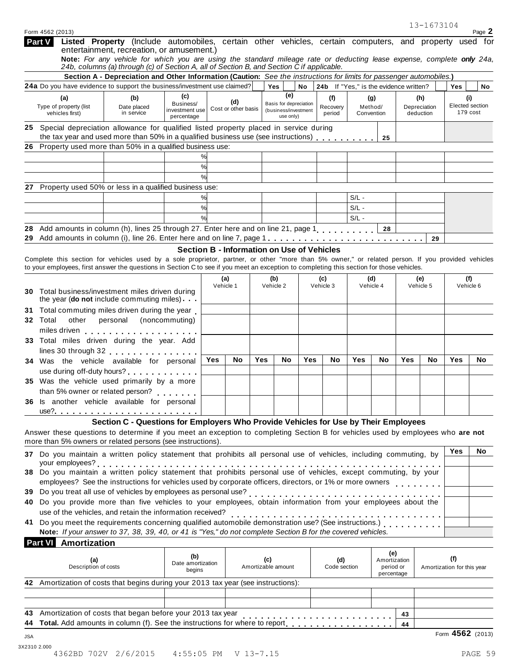|          | Form 4562 (2013)                                 |                                                                                                                                                                                                                                                                                                |                                                  |           |                            |     |                                                                    |           |                                        |            |                                         |            | 13-1673104                       |                                   | Page 2    |
|----------|--------------------------------------------------|------------------------------------------------------------------------------------------------------------------------------------------------------------------------------------------------------------------------------------------------------------------------------------------------|--------------------------------------------------|-----------|----------------------------|-----|--------------------------------------------------------------------|-----------|----------------------------------------|------------|-----------------------------------------|------------|----------------------------------|-----------------------------------|-----------|
| Part V   |                                                  | Listed Property (Include automobiles, certain other vehicles, certain computers, and property used for<br>entertainment, recreation, or amusement.)                                                                                                                                            |                                                  |           |                            |     |                                                                    |           |                                        |            |                                         |            |                                  |                                   |           |
|          |                                                  | Note: For any vehicle for which you are using the standard mileage rate or deducting lease expense, complete only 24a,<br>24b, columns (a) through (c) of Section A, all of Section B, and Section C if applicable.                                                                            |                                                  |           |                            |     |                                                                    |           |                                        |            |                                         |            |                                  |                                   |           |
|          |                                                  | Section A - Depreciation and Other Information (Caution: See the instructions for limits for passenger automobiles.)                                                                                                                                                                           |                                                  |           |                            |     |                                                                    |           |                                        |            |                                         |            |                                  |                                   |           |
|          |                                                  | 24a Do you have evidence to support the business/investment use claimed?                                                                                                                                                                                                                       |                                                  |           |                            |     | Yes                                                                | <b>No</b> | 24b If "Yes," is the evidence written? |            |                                         |            |                                  | Yes                               | No        |
|          | (a)<br>Type of property (list<br>vehicles first) | (b)<br>Date placed<br>in service                                                                                                                                                                                                                                                               | (c)<br>Business/<br>investment use<br>percentage |           | (d)<br>Cost or other basis |     | (e)<br>Basis for depreciation<br>(business/investment<br>use only) |           | (f)<br>Recovery<br>period              | Convention | (g)<br>Method/                          |            | (h)<br>Depreciation<br>deduction | (i)<br>Elected section            | 179 cost  |
|          |                                                  | 25 Special depreciation allowance for qualified listed property placed in service during                                                                                                                                                                                                       |                                                  |           |                            |     |                                                                    |           |                                        |            |                                         |            |                                  |                                   |           |
|          |                                                  | the tax year and used more than 50% in a qualified business use (see instructions)                                                                                                                                                                                                             |                                                  |           |                            |     |                                                                    |           |                                        |            | 25                                      |            |                                  |                                   |           |
|          |                                                  | 26 Property used more than 50% in a qualified business use:                                                                                                                                                                                                                                    |                                                  |           |                            |     |                                                                    |           |                                        |            |                                         |            |                                  |                                   |           |
|          |                                                  |                                                                                                                                                                                                                                                                                                | %<br>%                                           |           |                            |     |                                                                    |           |                                        |            |                                         |            |                                  |                                   |           |
|          |                                                  |                                                                                                                                                                                                                                                                                                | %                                                |           |                            |     |                                                                    |           |                                        |            |                                         |            |                                  |                                   |           |
|          |                                                  | 27 Property used 50% or less in a qualified business use:                                                                                                                                                                                                                                      |                                                  |           |                            |     |                                                                    |           |                                        |            |                                         |            |                                  |                                   |           |
|          |                                                  |                                                                                                                                                                                                                                                                                                | %                                                |           |                            |     |                                                                    |           |                                        | $S/L -$    |                                         |            |                                  |                                   |           |
|          |                                                  |                                                                                                                                                                                                                                                                                                | %                                                |           |                            |     |                                                                    |           |                                        | $S/L -$    |                                         |            |                                  |                                   |           |
|          |                                                  |                                                                                                                                                                                                                                                                                                | %                                                |           |                            |     |                                                                    |           |                                        | $S/L -$    |                                         |            |                                  |                                   |           |
| 28       |                                                  | Add amounts in column (h), lines 25 through 27. Enter here and on line 21, page 1                                                                                                                                                                                                              |                                                  |           |                            |     |                                                                    |           |                                        |            | 28                                      |            |                                  |                                   |           |
| 29       |                                                  |                                                                                                                                                                                                                                                                                                |                                                  |           |                            |     |                                                                    |           |                                        |            |                                         |            | 29                               |                                   |           |
|          |                                                  |                                                                                                                                                                                                                                                                                                | Section B - Information on Use of Vehicles       |           |                            |     |                                                                    |           |                                        |            |                                         |            |                                  |                                   |           |
|          |                                                  | Complete this section for vehicles used by a sole proprietor, partner, or other "more than 5% owner," or related person. If you provided vehicles<br>to your employees, first answer the questions in Section C to see if you meet an exception to completing this section for those vehicles. |                                                  |           |                            |     |                                                                    |           |                                        |            |                                         |            |                                  |                                   |           |
|          |                                                  |                                                                                                                                                                                                                                                                                                |                                                  |           |                            |     |                                                                    |           |                                        |            |                                         |            |                                  |                                   |           |
|          |                                                  |                                                                                                                                                                                                                                                                                                |                                                  | Vehicle 1 | (a)                        |     | (b)<br>Vehicle 2                                                   |           | (c)<br>Vehicle 3                       |            | (d)<br>Vehicle 4                        |            | (e)<br>Vehicle 5                 | (f)<br>Vehicle 6                  |           |
| 30.      |                                                  | Total business/investment miles driven during<br>the year (do not include commuting miles)                                                                                                                                                                                                     |                                                  |           |                            |     |                                                                    |           |                                        |            |                                         |            |                                  |                                   |           |
| 31.      |                                                  | Total commuting miles driven during the year                                                                                                                                                                                                                                                   |                                                  |           |                            |     |                                                                    |           |                                        |            |                                         |            |                                  |                                   |           |
| 32 Total |                                                  | other personal (noncommuting)                                                                                                                                                                                                                                                                  |                                                  |           |                            |     |                                                                    |           |                                        |            |                                         |            |                                  |                                   |           |
|          |                                                  |                                                                                                                                                                                                                                                                                                |                                                  |           |                            |     |                                                                    |           |                                        |            |                                         |            |                                  |                                   |           |
|          |                                                  | 33 Total miles driven during the year. Add                                                                                                                                                                                                                                                     |                                                  |           |                            |     |                                                                    |           |                                        |            |                                         |            |                                  |                                   |           |
|          |                                                  | lines 30 through 32 expression and the set of the set of the set of the set of the set of the set of the set o                                                                                                                                                                                 |                                                  |           |                            |     |                                                                    |           |                                        |            |                                         |            |                                  |                                   |           |
|          |                                                  | 34 Was the vehicle available for personal                                                                                                                                                                                                                                                      |                                                  | Yes       | No                         | Yes | No                                                                 | Yes       | No                                     | Yes        | No                                      | <b>Yes</b> | No                               | Yes                               | <b>No</b> |
|          |                                                  | use during off-duty hours?                                                                                                                                                                                                                                                                     |                                                  |           |                            |     |                                                                    |           |                                        |            |                                         |            |                                  |                                   |           |
|          |                                                  | 35 Was the vehicle used primarily by a more                                                                                                                                                                                                                                                    |                                                  |           |                            |     |                                                                    |           |                                        |            |                                         |            |                                  |                                   |           |
|          |                                                  | than 5% owner or related person?<br>36 Is another vehicle available for personal                                                                                                                                                                                                               |                                                  |           |                            |     |                                                                    |           |                                        |            |                                         |            |                                  |                                   |           |
|          |                                                  |                                                                                                                                                                                                                                                                                                |                                                  |           |                            |     |                                                                    |           |                                        |            |                                         |            |                                  |                                   |           |
|          |                                                  | Section C - Questions for Employers Who Provide Vehicles for Use by Their Employees                                                                                                                                                                                                            |                                                  |           |                            |     |                                                                    |           |                                        |            |                                         |            |                                  |                                   |           |
|          |                                                  | Answer these questions to determine if you meet an exception to completing Section B for vehicles used by employees who are not                                                                                                                                                                |                                                  |           |                            |     |                                                                    |           |                                        |            |                                         |            |                                  |                                   |           |
|          |                                                  | more than 5% owners or related persons (see instructions).                                                                                                                                                                                                                                     |                                                  |           |                            |     |                                                                    |           |                                        |            |                                         |            |                                  |                                   |           |
|          |                                                  | 37 Do you maintain a written policy statement that prohibits all personal use of vehicles, including commuting, by                                                                                                                                                                             |                                                  |           |                            |     |                                                                    |           |                                        |            |                                         |            |                                  | Yes                               | No.       |
|          |                                                  | your employees?<br>Do you maintain a written policy statement that prohibits personal use of vehicles, except commuting, by your                                                                                                                                                               |                                                  |           |                            |     |                                                                    |           |                                        |            |                                         |            |                                  |                                   |           |
| 38       |                                                  |                                                                                                                                                                                                                                                                                                |                                                  |           |                            |     |                                                                    |           |                                        |            |                                         |            |                                  |                                   |           |
|          |                                                  | employees? See the instructions for vehicles used by corporate officers, directors, or 1% or more owners                                                                                                                                                                                       |                                                  |           |                            |     |                                                                    |           |                                        |            |                                         |            |                                  |                                   |           |
| 39<br>40 |                                                  | Do you provide more than five vehicles to your employees, obtain information from your employees about the                                                                                                                                                                                     |                                                  |           |                            |     |                                                                    |           |                                        |            |                                         |            |                                  |                                   |           |
|          |                                                  | use of the vehicles, and retain the information received?                                                                                                                                                                                                                                      |                                                  |           |                            |     |                                                                    |           |                                        |            |                                         |            |                                  |                                   |           |
| 41       |                                                  | Note: If your answer to 37, 38, 39, 40, or 41 is "Yes," do not complete Section B for the covered vehicles.                                                                                                                                                                                    |                                                  |           |                            |     |                                                                    |           |                                        |            |                                         |            |                                  |                                   |           |
|          | <b>Part VI</b> Amortization                      |                                                                                                                                                                                                                                                                                                |                                                  |           |                            |     |                                                                    |           |                                        |            |                                         |            |                                  |                                   |           |
|          |                                                  |                                                                                                                                                                                                                                                                                                |                                                  |           |                            |     |                                                                    |           |                                        |            | (e)                                     |            |                                  |                                   |           |
|          | (a)<br>Description of costs                      |                                                                                                                                                                                                                                                                                                | (b)<br>Date amortization<br>begins               |           |                            | (c) | Amortizable amount                                                 |           | (d)<br>Code section                    |            | Amortization<br>period or<br>percentage |            |                                  | (f)<br>Amortization for this year |           |
|          |                                                  | 42 Amortization of costs that begins during your 2013 tax year (see instructions):                                                                                                                                                                                                             |                                                  |           |                            |     |                                                                    |           |                                        |            |                                         |            |                                  |                                   |           |
|          |                                                  |                                                                                                                                                                                                                                                                                                |                                                  |           |                            |     |                                                                    |           |                                        |            |                                         |            |                                  |                                   |           |
|          |                                                  |                                                                                                                                                                                                                                                                                                |                                                  |           |                            |     |                                                                    |           |                                        |            |                                         |            |                                  |                                   |           |
| 43       |                                                  | Amortization of costs that began before your 2013 tax year                                                                                                                                                                                                                                     |                                                  |           |                            |     |                                                                    |           |                                        |            |                                         | 43         |                                  |                                   |           |
| 44       |                                                  |                                                                                                                                                                                                                                                                                                |                                                  |           |                            |     |                                                                    |           |                                        |            |                                         | 44         |                                  |                                   |           |
| JSA      |                                                  |                                                                                                                                                                                                                                                                                                |                                                  |           |                            |     |                                                                    |           |                                        |            |                                         |            |                                  | Form 4562 (2013)                  |           |